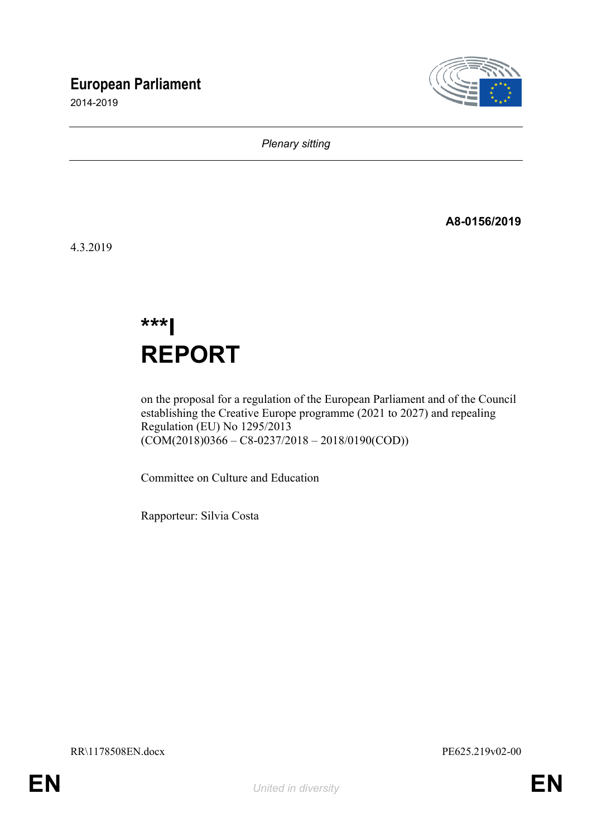# **European Parliament**

2014-2019



*Plenary sitting*

**A8-0156/2019**

4.3.2019

**\*\*\*I REPORT**

on the proposal for a regulation of the European Parliament and of the Council establishing the Creative Europe programme (2021 to 2027) and repealing Regulation (EU) No 1295/2013  $(COM(2018)0366 - C8 - 0237/2018 - 2018/0190(COD))$ 

Committee on Culture and Education

Rapporteur: Silvia Costa

RR\1178508EN.docx PE625.219v02-00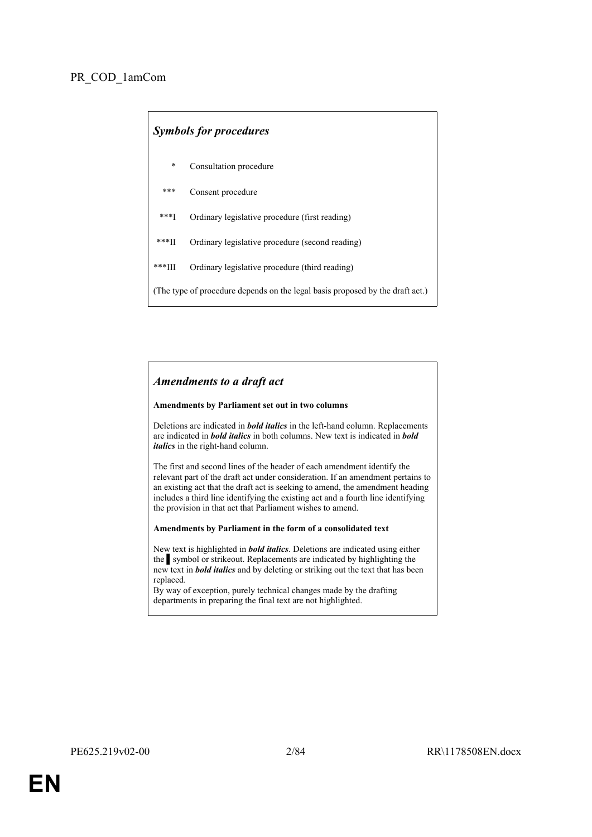| <b>Symbols for procedures</b>                                                 |                                                 |  |
|-------------------------------------------------------------------------------|-------------------------------------------------|--|
| *                                                                             | Consultation procedure                          |  |
| $***$                                                                         | Consent procedure                               |  |
| $***$ <sup>1</sup>                                                            | Ordinary legislative procedure (first reading)  |  |
| ***∏                                                                          | Ordinary legislative procedure (second reading) |  |
| ***III                                                                        | Ordinary legislative procedure (third reading)  |  |
| (The type of procedure depends on the legal basis proposed by the draft act.) |                                                 |  |

## *Amendments to a draft act*

### **Amendments by Parliament set out in two columns**

Deletions are indicated in *bold italics* in the left-hand column. Replacements are indicated in *bold italics* in both columns. New text is indicated in *bold italics* in the right-hand column.

The first and second lines of the header of each amendment identify the relevant part of the draft act under consideration. If an amendment pertains to an existing act that the draft act is seeking to amend, the amendment heading includes a third line identifying the existing act and a fourth line identifying the provision in that act that Parliament wishes to amend.

### **Amendments by Parliament in the form of a consolidated text**

New text is highlighted in *bold italics*. Deletions are indicated using either the symbol or strikeout. Replacements are indicated by highlighting the new text in *bold italics* and by deleting or striking out the text that has been replaced.

By way of exception, purely technical changes made by the drafting departments in preparing the final text are not highlighted.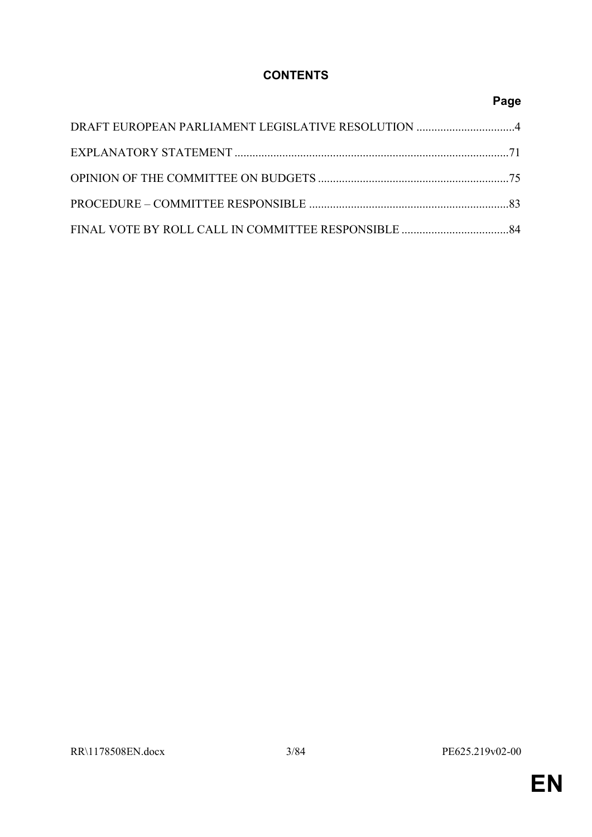## **CONTENTS**

## **Page**

| DRAFT EUROPEAN PARLIAMENT LEGISLATIVE RESOLUTION 4 |  |
|----------------------------------------------------|--|
|                                                    |  |
|                                                    |  |
|                                                    |  |
|                                                    |  |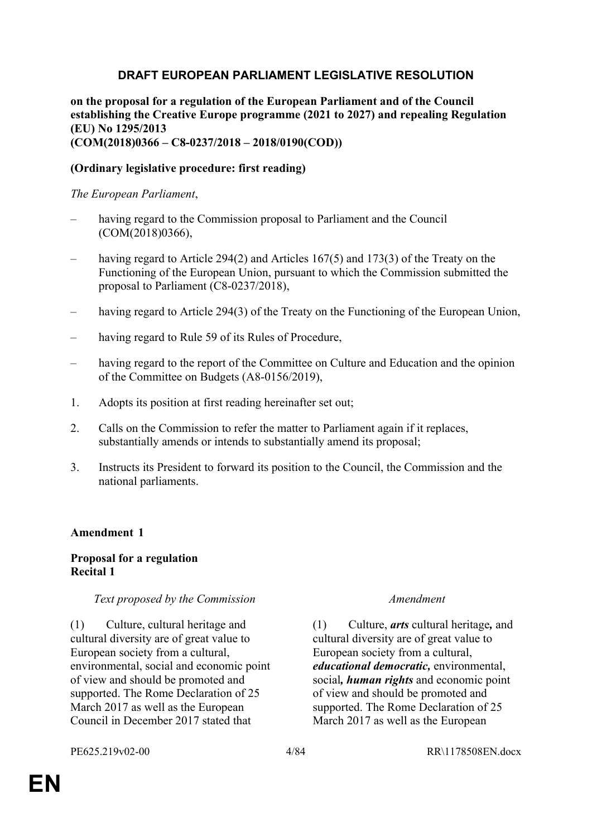## <span id="page-3-0"></span>**DRAFT EUROPEAN PARLIAMENT LEGISLATIVE RESOLUTION**

**on the proposal for a regulation of the European Parliament and of the Council establishing the Creative Europe programme (2021 to 2027) and repealing Regulation (EU) No 1295/2013 (COM(2018)0366 – C8-0237/2018 – 2018/0190(COD))**

## **(Ordinary legislative procedure: first reading)**

## *The European Parliament*,

- having regard to the Commission proposal to Parliament and the Council (COM(2018)0366),
- having regard to Article 294(2) and Articles 167(5) and 173(3) of the Treaty on the Functioning of the European Union, pursuant to which the Commission submitted the proposal to Parliament (C8-0237/2018),
- having regard to Article 294(3) of the Treaty on the Functioning of the European Union.
- having regard to Rule 59 of its Rules of Procedure,
- having regard to the report of the Committee on Culture and Education and the opinion of the Committee on Budgets (A8-0156/2019),
- 1. Adopts its position at first reading hereinafter set out;
- 2. Calls on the Commission to refer the matter to Parliament again if it replaces, substantially amends or intends to substantially amend its proposal;
- 3. Instructs its President to forward its position to the Council, the Commission and the national parliaments.

## **Amendment 1**

## **Proposal for a regulation Recital 1**

## *Text proposed by the Commission Amendment*

(1) Culture, cultural heritage and cultural diversity are of great value to European society from a cultural, environmental, social and economic point of view and should be promoted and supported. The Rome Declaration of 25 March 2017 as well as the European Council in December 2017 stated that

(1) Culture, *arts* cultural heritage*,* and cultural diversity are of great value to European society from a cultural, *educational democratic,* environmental, social*, human rights* and economic point of view and should be promoted and supported. The Rome Declaration of 25 March 2017 as well as the European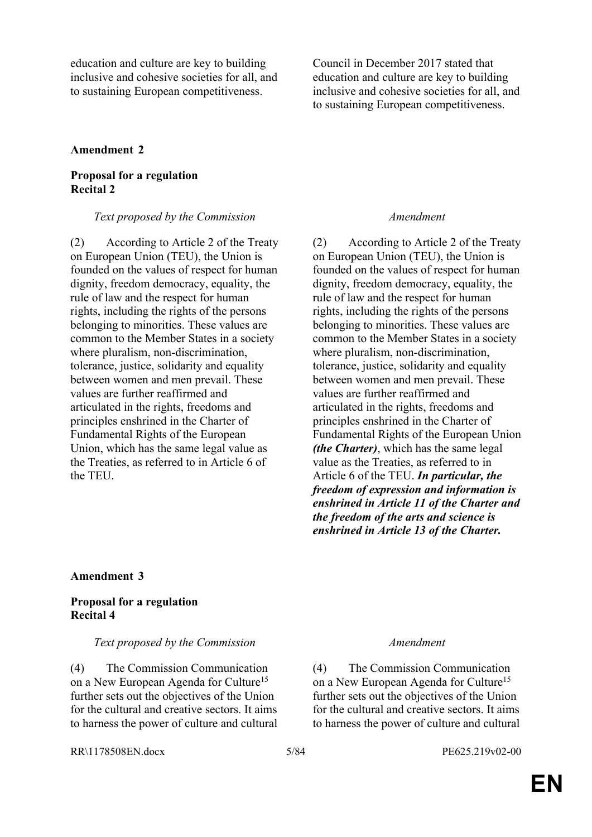education and culture are key to building inclusive and cohesive societies for all, and to sustaining European competitiveness.

Council in December 2017 stated that education and culture are key to building inclusive and cohesive societies for all, and to sustaining European competitiveness.

### **Amendment 2**

## **Proposal for a regulation Recital 2**

*Text proposed by the Commission Amendment*

(2) According to Article 2 of the Treaty on European Union (TEU), the Union is founded on the values of respect for human dignity, freedom democracy, equality, the rule of law and the respect for human rights, including the rights of the persons belonging to minorities. These values are common to the Member States in a society where pluralism, non-discrimination, tolerance, justice, solidarity and equality between women and men prevail. These values are further reaffirmed and articulated in the rights, freedoms and principles enshrined in the Charter of Fundamental Rights of the European Union, which has the same legal value as the Treaties, as referred to in Article 6 of the TEU.

(2) According to Article 2 of the Treaty on European Union (TEU), the Union is founded on the values of respect for human dignity, freedom democracy, equality, the rule of law and the respect for human rights, including the rights of the persons belonging to minorities. These values are common to the Member States in a society where pluralism, non-discrimination, tolerance, justice, solidarity and equality between women and men prevail. These values are further reaffirmed and articulated in the rights, freedoms and principles enshrined in the Charter of Fundamental Rights of the European Union *(the Charter)*, which has the same legal value as the Treaties, as referred to in Article 6 of the TEU. *In particular, the freedom of expression and information is enshrined in Article 11 of the Charter and the freedom of the arts and science is enshrined in Article 13 of the Charter.*

## **Amendment 3**

## **Proposal for a regulation Recital 4**

## *Text proposed by the Commission Amendment*

(4) The Commission Communication on a New European Agenda for Culture<sup>15</sup> further sets out the objectives of the Union for the cultural and creative sectors. It aims to harness the power of culture and cultural

(4) The Commission Communication on a New European Agenda for Culture<sup>15</sup> further sets out the objectives of the Union for the cultural and creative sectors. It aims to harness the power of culture and cultural

RR\1178508EN.docx 5/84 PE625.219v02-00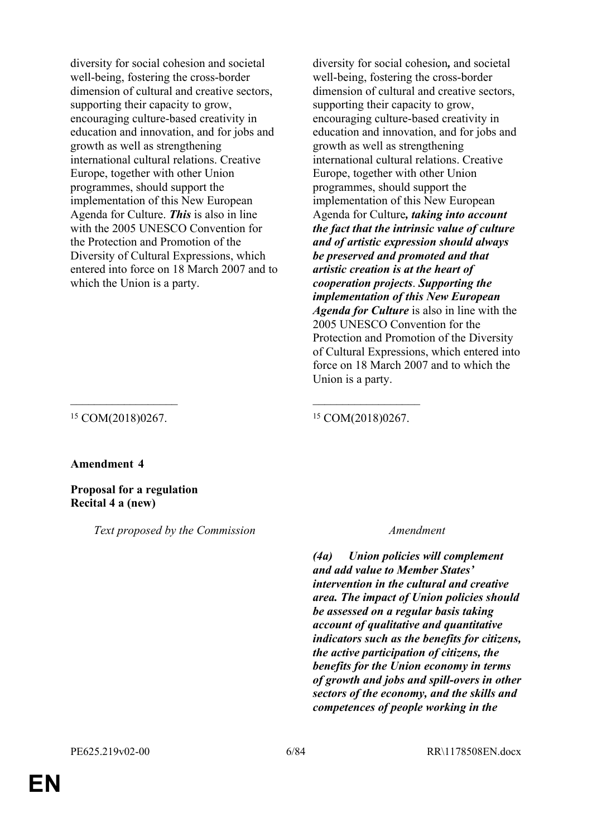diversity for social cohesion and societal well-being, fostering the cross-border dimension of cultural and creative sectors, supporting their capacity to grow, encouraging culture-based creativity in education and innovation, and for jobs and growth as well as strengthening international cultural relations. Creative Europe, together with other Union programmes, should support the implementation of this New European Agenda for Culture. *This* is also in line with the 2005 UNESCO Convention for the Protection and Promotion of the Diversity of Cultural Expressions, which entered into force on 18 March 2007 and to which the Union is a party.

diversity for social cohesion*,* and societal well-being, fostering the cross-border dimension of cultural and creative sectors, supporting their capacity to grow, encouraging culture-based creativity in education and innovation, and for jobs and growth as well as strengthening international cultural relations. Creative Europe, together with other Union programmes, should support the implementation of this New European Agenda for Culture*, taking into account the fact that the intrinsic value of culture and of artistic expression should always be preserved and promoted and that artistic creation is at the heart of cooperation projects*. *Supporting the implementation of this New European Agenda for Culture* is also in line with the 2005 UNESCO Convention for the Protection and Promotion of the Diversity of Cultural Expressions, which entered into force on 18 March 2007 and to which the Union is a party.

<sup>15</sup> COM(2018)0267. <sup>15</sup> COM(2018)0267.

## **Amendment 4**

**Proposal for a regulation Recital 4 a (new)**

*Text proposed by the Commission Amendment*

 $\mathcal{L}_\text{max}$  , and the contract of the contract of the contract of the contract of the contract of the contract of

*(4a) Union policies will complement and add value to Member States' intervention in the cultural and creative area. The impact of Union policies should be assessed on a regular basis taking account of qualitative and quantitative indicators such as the benefits for citizens, the active participation of citizens, the benefits for the Union economy in terms of growth and jobs and spill-overs in other sectors of the economy, and the skills and competences of people working in the*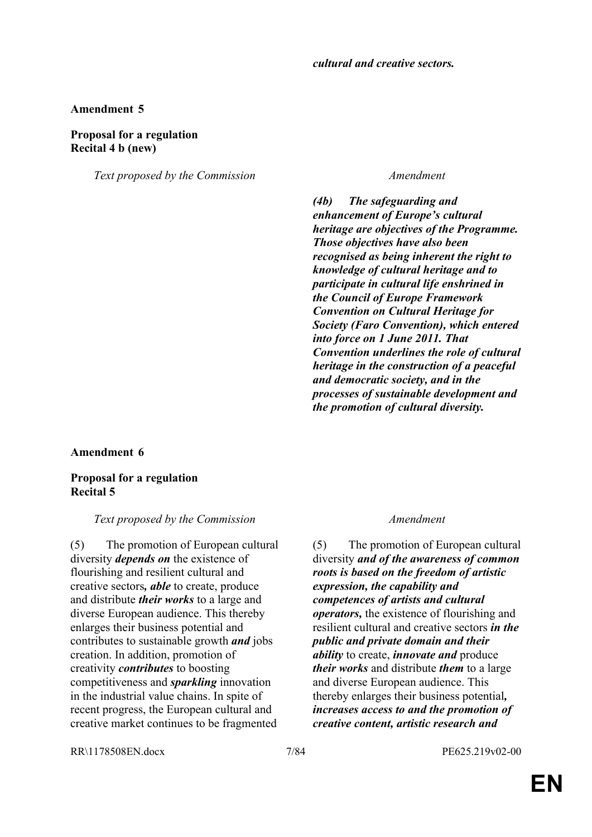## **Proposal for a regulation Recital 4 b (new)**

*Text proposed by the Commission Amendment*

*(4b) The safeguarding and enhancement of Europe's cultural heritage are objectives of the Programme. Those objectives have also been recognised as being inherent the right to knowledge of cultural heritage and to participate in cultural life enshrined in the Council of Europe Framework Convention on Cultural Heritage for Society (Faro Convention), which entered into force on 1 June 2011. That Convention underlines the role of cultural heritage in the construction of a peaceful and democratic society, and in the processes of sustainable development and the promotion of cultural diversity.*

**Amendment 6**

**Proposal for a regulation Recital 5**

## *Text proposed by the Commission Amendment*

(5) The promotion of European cultural diversity *depends on* the existence of flourishing and resilient cultural and creative sectors*, able* to create, produce and distribute *their works* to a large and diverse European audience. This thereby enlarges their business potential and contributes to sustainable growth *and* jobs creation. In addition, promotion of creativity *contributes* to boosting competitiveness and *sparkling* innovation in the industrial value chains. In spite of recent progress, the European cultural and creative market continues to be fragmented

(5) The promotion of European cultural diversity *and of the awareness of common roots is based on the freedom of artistic expression, the capability and competences of artists and cultural operators,* the existence of flourishing and resilient cultural and creative sectors *in the public and private domain and their ability* to create, *innovate and* produce *their works* and distribute *them* to a large and diverse European audience. This thereby enlarges their business potential*, increases access to and the promotion of creative content, artistic research and* 

RR\1178508EN.docx 7/84 PE625.219v02-00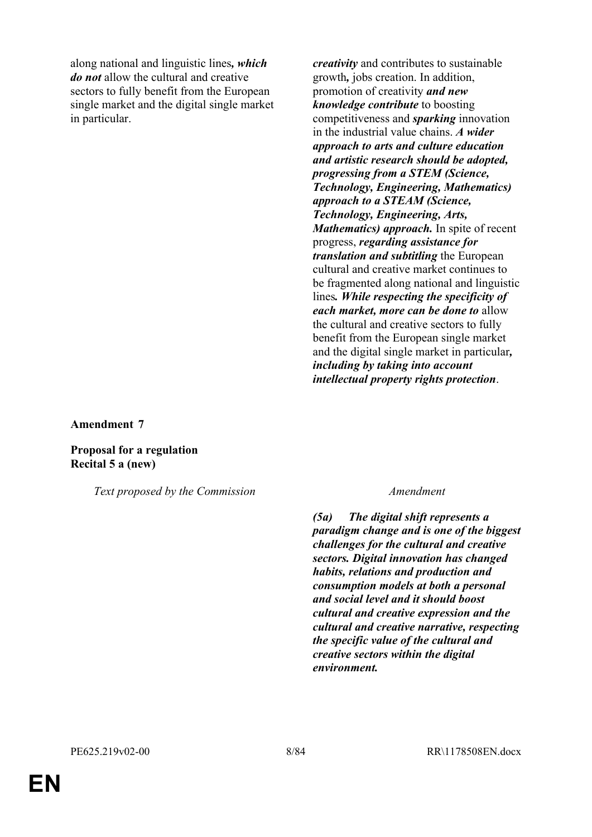along national and linguistic lines*, which do not* allow the cultural and creative sectors to fully benefit from the European single market and the digital single market in particular.

*creativity* and contributes to sustainable growth*,* jobs creation. In addition, promotion of creativity *and new knowledge contribute* to boosting competitiveness and *sparking* innovation in the industrial value chains. *A wider approach to arts and culture education and artistic research should be adopted, progressing from a STEM (Science, Technology, Engineering, Mathematics) approach to a STEAM (Science, Technology, Engineering, Arts, Mathematics) approach.* In spite of recent progress, *regarding assistance for translation and subtitling* the European cultural and creative market continues to be fragmented along national and linguistic lines*. While respecting the specificity of each market, more can be done to* allow the cultural and creative sectors to fully benefit from the European single market and the digital single market in particular*, including by taking into account intellectual property rights protection*.

**Amendment 7**

**Proposal for a regulation Recital 5 a (new)**

*Text proposed by the Commission Amendment*

*(5a) The digital shift represents a paradigm change and is one of the biggest challenges for the cultural and creative sectors. Digital innovation has changed habits, relations and production and consumption models at both a personal and social level and it should boost cultural and creative expression and the cultural and creative narrative, respecting the specific value of the cultural and creative sectors within the digital environment.*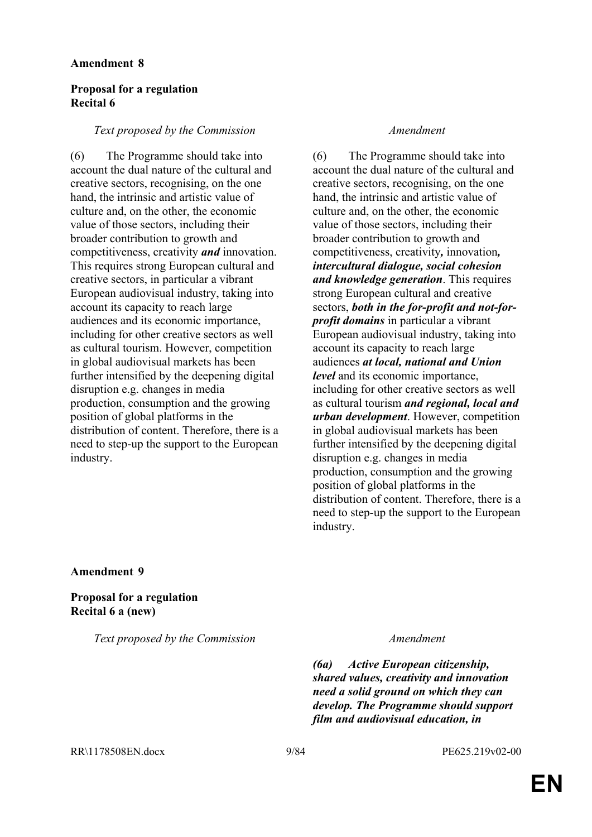## **Proposal for a regulation Recital 6**

## *Text proposed by the Commission Amendment*

(6) The Programme should take into account the dual nature of the cultural and creative sectors, recognising, on the one hand, the intrinsic and artistic value of culture and, on the other, the economic value of those sectors, including their broader contribution to growth and competitiveness, creativity *and* innovation. This requires strong European cultural and creative sectors, in particular a vibrant European audiovisual industry, taking into account its capacity to reach large audiences and its economic importance, including for other creative sectors as well as cultural tourism. However, competition in global audiovisual markets has been further intensified by the deepening digital disruption e.g. changes in media production, consumption and the growing position of global platforms in the distribution of content. Therefore, there is a need to step-up the support to the European industry.

(6) The Programme should take into account the dual nature of the cultural and creative sectors, recognising, on the one hand, the intrinsic and artistic value of culture and, on the other, the economic value of those sectors, including their broader contribution to growth and competitiveness, creativity*,* innovation*, intercultural dialogue, social cohesion and knowledge generation*. This requires strong European cultural and creative sectors, *both in the for-profit and not-forprofit domains* in particular a vibrant European audiovisual industry, taking into account its capacity to reach large audiences *at local, national and Union level* and its economic importance, including for other creative sectors as well as cultural tourism *and regional, local and urban development*. However, competition in global audiovisual markets has been further intensified by the deepening digital disruption e.g. changes in media production, consumption and the growing position of global platforms in the distribution of content. Therefore, there is a need to step-up the support to the European industry.

## **Amendment 9**

**Proposal for a regulation Recital 6 a (new)**

*Text proposed by the Commission Amendment*

*(6a) Active European citizenship, shared values, creativity and innovation need a solid ground on which they can develop. The Programme should support film and audiovisual education, in*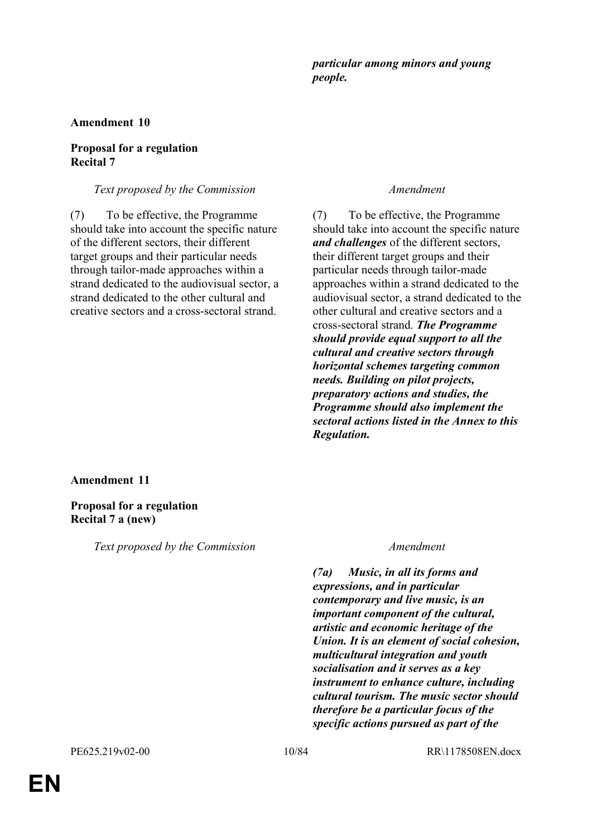## *particular among minors and young people.*

## **Amendment 10**

## **Proposal for a regulation Recital 7**

### *Text proposed by the Commission Amendment*

(7) To be effective, the Programme should take into account the specific nature of the different sectors, their different target groups and their particular needs through tailor-made approaches within a strand dedicated to the audiovisual sector, a strand dedicated to the other cultural and creative sectors and a cross-sectoral strand.

(7) To be effective, the Programme should take into account the specific nature *and challenges* of the different sectors, their different target groups and their particular needs through tailor-made approaches within a strand dedicated to the audiovisual sector, a strand dedicated to the other cultural and creative sectors and a cross-sectoral strand. *The Programme should provide equal support to all the cultural and creative sectors through horizontal schemes targeting common needs. Building on pilot projects, preparatory actions and studies, the Programme should also implement the sectoral actions listed in the Annex to this Regulation.*

## **Amendment 11**

**Proposal for a regulation Recital 7 a (new)**

*Text proposed by the Commission Amendment*

*(7a) Music, in all its forms and expressions, and in particular contemporary and live music, is an important component of the cultural, artistic and economic heritage of the Union. It is an element of social cohesion, multicultural integration and youth socialisation and it serves as a key instrument to enhance culture, including cultural tourism. The music sector should therefore be a particular focus of the specific actions pursued as part of the*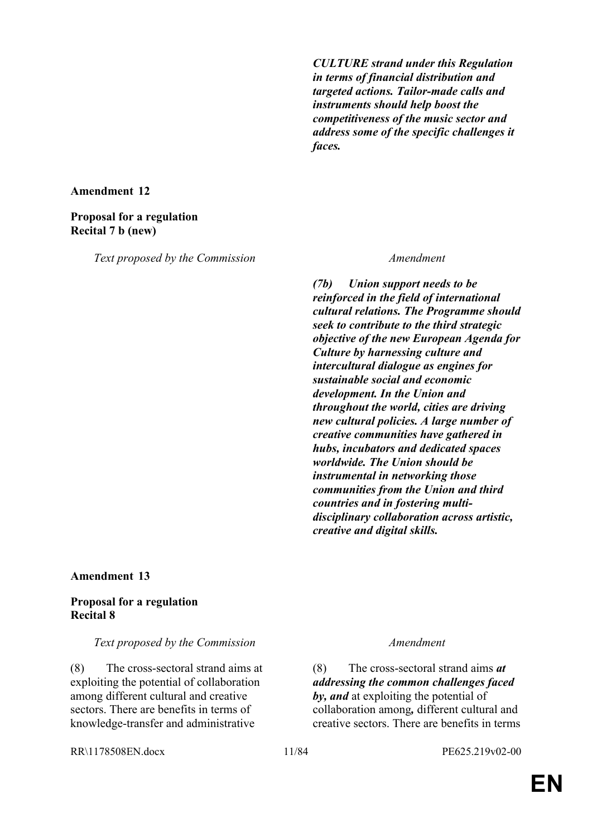*CULTURE strand under this Regulation in terms of financial distribution and targeted actions. Tailor-made calls and instruments should help boost the competitiveness of the music sector and address some of the specific challenges it faces.*

**Amendment 12**

## **Proposal for a regulation Recital 7 b (new)**

*Text proposed by the Commission Amendment*

*(7b) Union support needs to be reinforced in the field of international cultural relations. The Programme should seek to contribute to the third strategic objective of the new European Agenda for Culture by harnessing culture and intercultural dialogue as engines for sustainable social and economic development. In the Union and throughout the world, cities are driving new cultural policies. A large number of creative communities have gathered in hubs, incubators and dedicated spaces worldwide. The Union should be instrumental in networking those communities from the Union and third countries and in fostering multidisciplinary collaboration across artistic, creative and digital skills.*

**Amendment 13**

## **Proposal for a regulation Recital 8**

## *Text proposed by the Commission Amendment*

(8) The cross-sectoral strand aims at exploiting the potential of collaboration among different cultural and creative sectors. There are benefits in terms of knowledge-transfer and administrative

(8) The cross-sectoral strand aims *at addressing the common challenges faced by, and* at exploiting the potential of collaboration among*,* different cultural and creative sectors. There are benefits in terms

RR\1178508EN.docx 11/84 PE625.219v02-00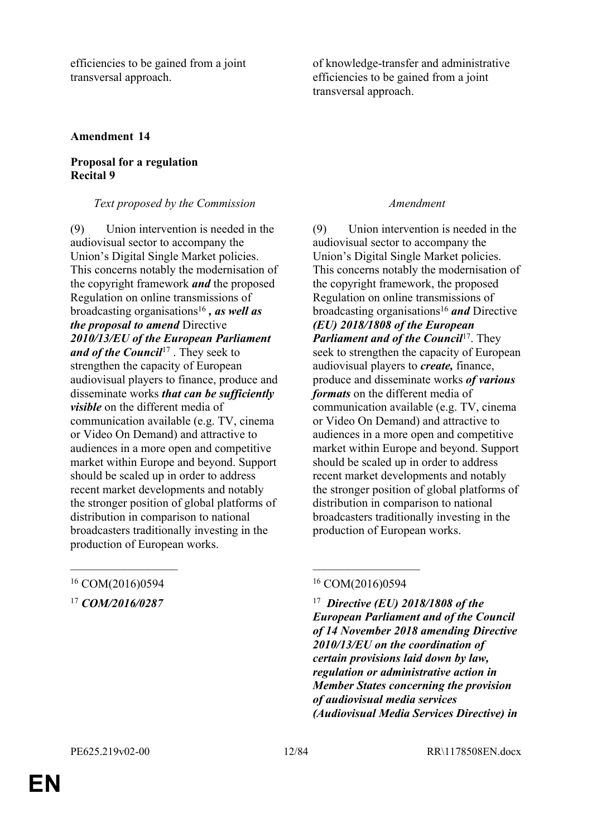efficiencies to be gained from a joint transversal approach.

of knowledge-transfer and administrative efficiencies to be gained from a joint transversal approach.

## **Amendment 14**

## **Proposal for a regulation Recital 9**

## *Text proposed by the Commission Amendment*

(9) Union intervention is needed in the audiovisual sector to accompany the Union's Digital Single Market policies. This concerns notably the modernisation of the copyright framework *and* the proposed Regulation on online transmissions of broadcasting organisations<sup>16</sup> *, as well as the proposal to amend* Directive *2010/13/EU of the European Parliament*  and of the Council<sup>17</sup>. They seek to strengthen the capacity of European audiovisual players to finance, produce and disseminate works *that can be sufficiently visible* on the different media of communication available (e.g. TV, cinema or Video On Demand) and attractive to audiences in a more open and competitive market within Europe and beyond. Support should be scaled up in order to address recent market developments and notably the stronger position of global platforms of distribution in comparison to national broadcasters traditionally investing in the production of European works.

(9) Union intervention is needed in the audiovisual sector to accompany the Union's Digital Single Market policies. This concerns notably the modernisation of the copyright framework, the proposed Regulation on online transmissions of broadcasting organisations<sup>16</sup> *and* Directive *(EU) 2018/1808 of the European Parliament and of the Council<sup>17</sup>. They* seek to strengthen the capacity of European audiovisual players to *create,* finance, produce and disseminate works *of various formats* on the different media of communication available (e.g. TV, cinema or Video On Demand) and attractive to audiences in a more open and competitive market within Europe and beyond. Support should be scaled up in order to address recent market developments and notably the stronger position of global platforms of distribution in comparison to national broadcasters traditionally investing in the production of European works.

 *Directive (EU) 2018/1808 of the European Parliament and of the Council of 14 November 2018 amending Directive 2010/13/EU on the coordination of certain provisions laid down by law, regulation or administrative action in Member States concerning the provision of audiovisual media services (Audiovisual Media Services Directive) in* 

## <sup>16</sup> COM(2016)0594 <sup>16</sup> COM(2016)0594

<sup>17</sup> *COM/2016/0287* <sup>17</sup>

**EN**

 $\mathcal{L}_\text{max}$  , and the contract of the contract of the contract of the contract of the contract of the contract of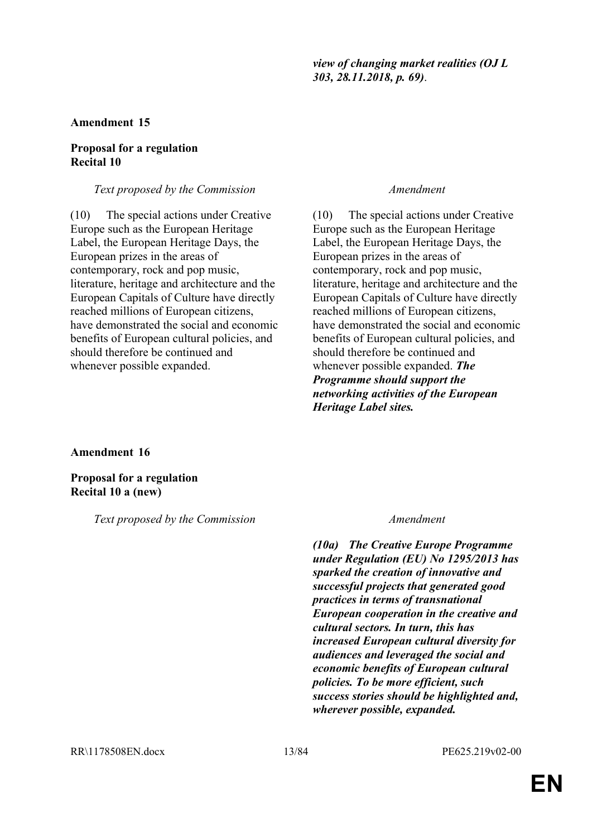*view of changing market realities (OJ L 303, 28.11.2018, p. 69)*.

### **Amendment 15**

## **Proposal for a regulation Recital 10**

### *Text proposed by the Commission Amendment*

(10) The special actions under Creative Europe such as the European Heritage Label, the European Heritage Days, the European prizes in the areas of contemporary, rock and pop music, literature, heritage and architecture and the European Capitals of Culture have directly reached millions of European citizens, have demonstrated the social and economic benefits of European cultural policies, and should therefore be continued and whenever possible expanded.

(10) The special actions under Creative Europe such as the European Heritage Label, the European Heritage Days, the European prizes in the areas of contemporary, rock and pop music, literature, heritage and architecture and the European Capitals of Culture have directly reached millions of European citizens, have demonstrated the social and economic benefits of European cultural policies, and should therefore be continued and whenever possible expanded. *The Programme should support the networking activities of the European Heritage Label sites.*

**Amendment 16**

**Proposal for a regulation Recital 10 a (new)**

*Text proposed by the Commission Amendment*

*(10a) The Creative Europe Programme under Regulation (EU) No 1295/2013 has sparked the creation of innovative and successful projects that generated good practices in terms of transnational European cooperation in the creative and cultural sectors. In turn, this has increased European cultural diversity for audiences and leveraged the social and economic benefits of European cultural policies. To be more efficient, such success stories should be highlighted and, wherever possible, expanded.*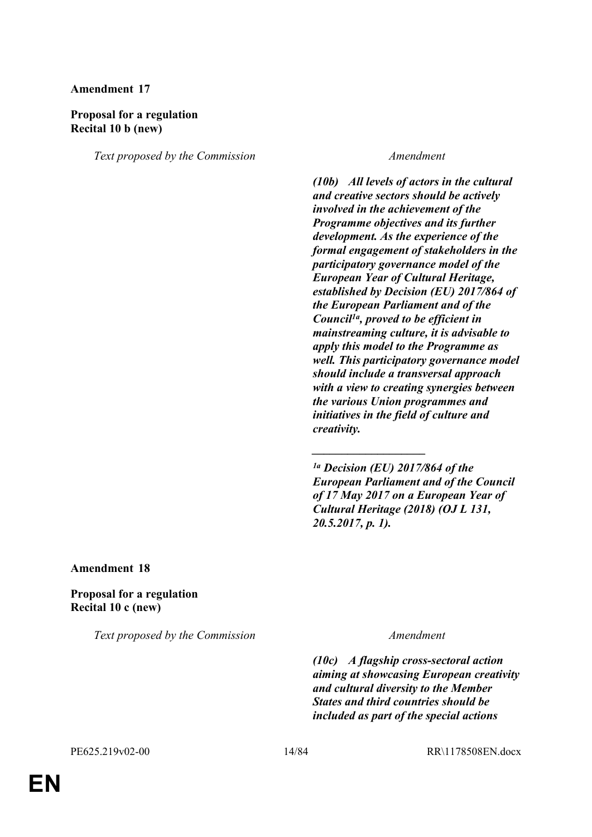## **Proposal for a regulation Recital 10 b (new)**

*Text proposed by the Commission Amendment*

*(10b) All levels of actors in the cultural and creative sectors should be actively involved in the achievement of the Programme objectives and its further development. As the experience of the formal engagement of stakeholders in the participatory governance model of the European Year of Cultural Heritage, established by Decision (EU) 2017/864 of the European Parliament and of the Council1a, proved to be efficient in mainstreaming culture, it is advisable to apply this model to the Programme as well. This participatory governance model should include a transversal approach with a view to creating synergies between the various Union programmes and initiatives in the field of culture and creativity.*

*\_\_\_\_\_\_\_\_\_\_\_\_\_\_\_\_\_\_\_*

**Amendment 18**

**Proposal for a regulation Recital 10 c (new)**

*Text proposed by the Commission Amendment*

*(10c) A flagship cross-sectoral action aiming at showcasing European creativity and cultural diversity to the Member States and third countries should be included as part of the special actions* 

*<sup>1</sup>a Decision (EU) 2017/864 of the European Parliament and of the Council of 17 May 2017 on a European Year of Cultural Heritage (2018) (OJ L 131, 20.5.2017, p. 1).*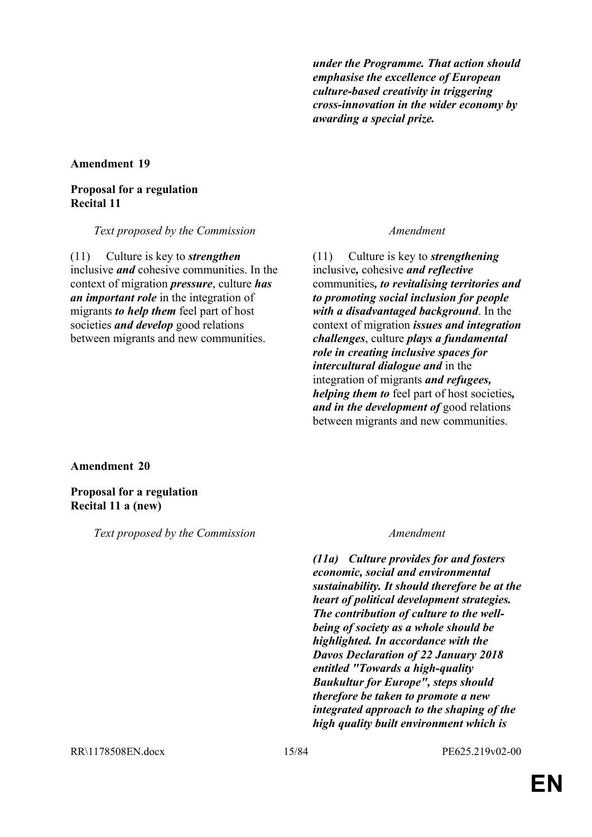*under the Programme. That action should emphasise the excellence of European culture-based creativity in triggering cross-innovation in the wider economy by awarding a special prize.*

### **Amendment 19**

## **Proposal for a regulation Recital 11**

*Text proposed by the Commission Amendment*

(11) Culture is key to *strengthen* inclusive *and* cohesive communities. In the context of migration *pressure*, culture *has an important role* in the integration of migrants *to help them* feel part of host societies *and develop* good relations between migrants and new communities.

(11) Culture is key to *strengthening* inclusive*,* cohesive *and reflective* communities*, to revitalising territories and to promoting social inclusion for people with a disadvantaged background*. In the context of migration *issues and integration challenges*, culture *plays a fundamental role in creating inclusive spaces for intercultural dialogue and* in the integration of migrants *and refugees, helping them to* feel part of host societies*, and in the development of* good relations between migrants and new communities.

**Amendment 20**

**Proposal for a regulation Recital 11 a (new)**

*Text proposed by the Commission Amendment*

*(11a) Culture provides for and fosters economic, social and environmental sustainability. It should therefore be at the heart of political development strategies. The contribution of culture to the wellbeing of society as a whole should be highlighted. In accordance with the Davos Declaration of 22 January 2018 entitled "Towards a high-quality Baukultur for Europe", steps should therefore be taken to promote a new integrated approach to the shaping of the high quality built environment which is*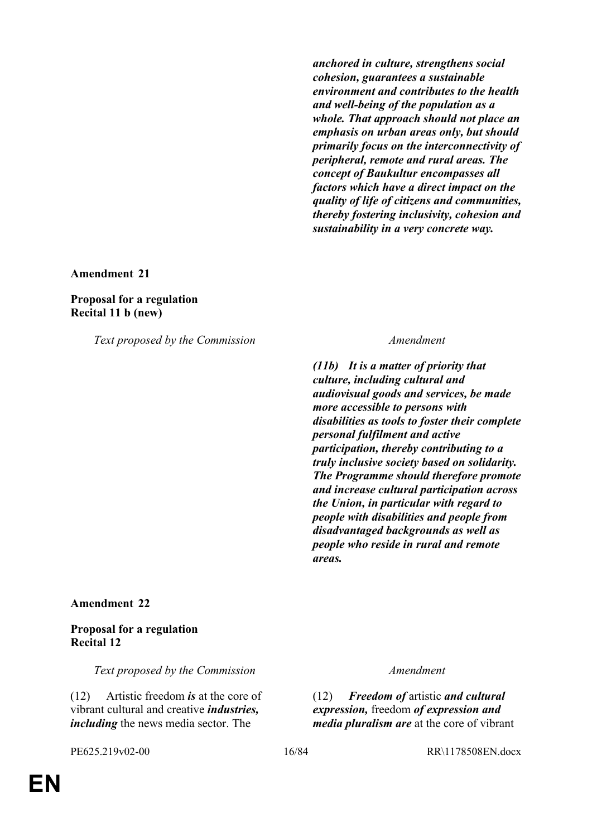*anchored in culture, strengthens social cohesion, guarantees a sustainable environment and contributes to the health and well-being of the population as a whole. That approach should not place an emphasis on urban areas only, but should primarily focus on the interconnectivity of peripheral, remote and rural areas. The concept of Baukultur encompasses all factors which have a direct impact on the quality of life of citizens and communities, thereby fostering inclusivity, cohesion and sustainability in a very concrete way.*

**Amendment 21**

### **Proposal for a regulation Recital 11 b (new)**

*Text proposed by the Commission Amendment*

*(11b) It is a matter of priority that culture, including cultural and audiovisual goods and services, be made more accessible to persons with disabilities as tools to foster their complete personal fulfilment and active participation, thereby contributing to a truly inclusive society based on solidarity. The Programme should therefore promote and increase cultural participation across the Union, in particular with regard to people with disabilities and people from disadvantaged backgrounds as well as people who reside in rural and remote areas.*

### **Amendment 22**

## **Proposal for a regulation Recital 12**

*Text proposed by the Commission Amendment*

(12) Artistic freedom *is* at the core of vibrant cultural and creative *industries, including* the news media sector. The

(12) *Freedom of* artistic *and cultural expression,* freedom *of expression and media pluralism are* at the core of vibrant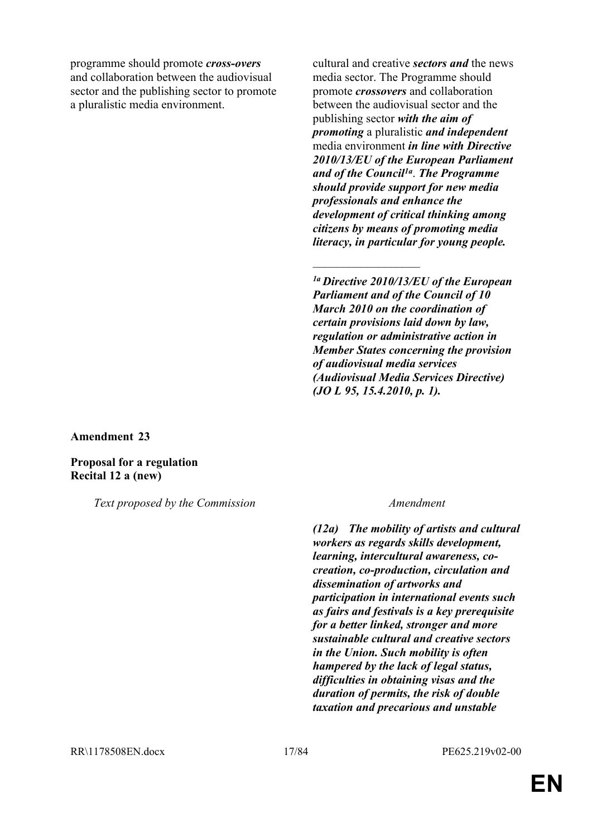programme should promote *cross-overs* and collaboration between the audiovisual sector and the publishing sector to promote a pluralistic media environment.

cultural and creative *sectors and* the news media sector. The Programme should promote *crossovers* and collaboration between the audiovisual sector and the publishing sector *with the aim of promoting* a pluralistic *and independent*  media environment *in line with Directive 2010/13/EU of the European Parliament and of the Council1a* . *The Programme should provide support for new media professionals and enhance the development of critical thinking among citizens by means of promoting media literacy, in particular for young people.*

*1a Directive 2010/13/EU of the European Parliament and of the Council of 10 March 2010 on the coordination of certain provisions laid down by law, regulation or administrative action in Member States concerning the provision of audiovisual media services (Audiovisual Media Services Directive) (JO L 95, 15.4.2010, p. 1).*

 $\mathcal{L}_\text{max}$ 

**Amendment 23**

**Proposal for a regulation Recital 12 a (new)**

*Text proposed by the Commission Amendment*

*(12a) The mobility of artists and cultural workers as regards skills development, learning, intercultural awareness, cocreation, co-production, circulation and dissemination of artworks and participation in international events such as fairs and festivals is a key prerequisite for a better linked, stronger and more sustainable cultural and creative sectors in the Union. Such mobility is often hampered by the lack of legal status, difficulties in obtaining visas and the duration of permits, the risk of double taxation and precarious and unstable*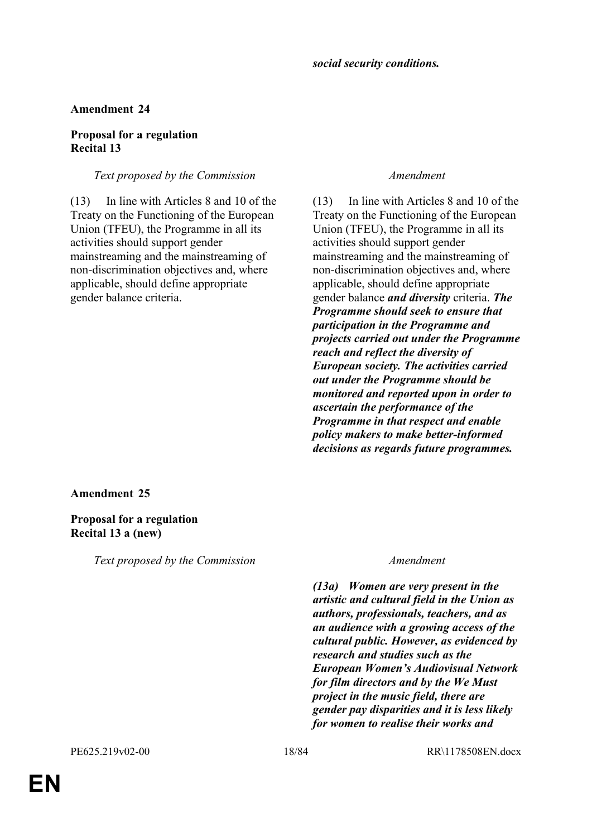## **Proposal for a regulation Recital 13**

## *Text proposed by the Commission Amendment*

(13) In line with Articles 8 and 10 of the Treaty on the Functioning of the European Union (TFEU), the Programme in all its activities should support gender mainstreaming and the mainstreaming of non-discrimination objectives and, where applicable, should define appropriate gender balance criteria.

(13) In line with Articles 8 and 10 of the Treaty on the Functioning of the European Union (TFEU), the Programme in all its activities should support gender mainstreaming and the mainstreaming of non-discrimination objectives and, where applicable, should define appropriate gender balance *and diversity* criteria. *The Programme should seek to ensure that participation in the Programme and projects carried out under the Programme reach and reflect the diversity of European society. The activities carried out under the Programme should be monitored and reported upon in order to ascertain the performance of the Programme in that respect and enable policy makers to make better-informed decisions as regards future programmes.*

## **Amendment 25**

## **Proposal for a regulation Recital 13 a (new)**

*Text proposed by the Commission Amendment*

*(13a) Women are very present in the artistic and cultural field in the Union as authors, professionals, teachers, and as an audience with a growing access of the cultural public. However, as evidenced by research and studies such as the European Women's Audiovisual Network for film directors and by the We Must project in the music field, there are gender pay disparities and it is less likely for women to realise their works and*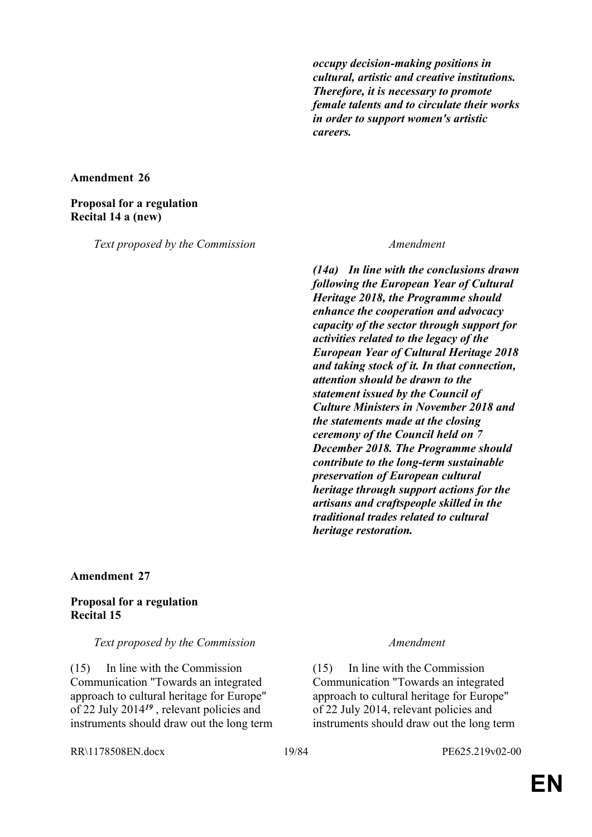*occupy decision-making positions in cultural, artistic and creative institutions. Therefore, it is necessary to promote female talents and to circulate their works in order to support women's artistic careers.*

### **Amendment 26**

## **Proposal for a regulation Recital 14 a (new)**

*Text proposed by the Commission Amendment*

*(14a) In line with the conclusions drawn following the European Year of Cultural Heritage 2018, the Programme should enhance the cooperation and advocacy capacity of the sector through support for activities related to the legacy of the European Year of Cultural Heritage 2018 and taking stock of it. In that connection, attention should be drawn to the statement issued by the Council of Culture Ministers in November 2018 and the statements made at the closing ceremony of the Council held on 7 December 2018. The Programme should contribute to the long-term sustainable preservation of European cultural heritage through support actions for the artisans and craftspeople skilled in the traditional trades related to cultural heritage restoration.*

### **Amendment 27**

## **Proposal for a regulation Recital 15**

### *Text proposed by the Commission Amendment*

(15) In line with the Commission Communication "Towards an integrated approach to cultural heritage for Europe" of 22 July 2014*<sup>19</sup>* , relevant policies and instruments should draw out the long term

(15) In line with the Commission Communication "Towards an integrated approach to cultural heritage for Europe" of 22 July 2014, relevant policies and instruments should draw out the long term

RR\1178508EN.docx 19/84 PE625.219v02-00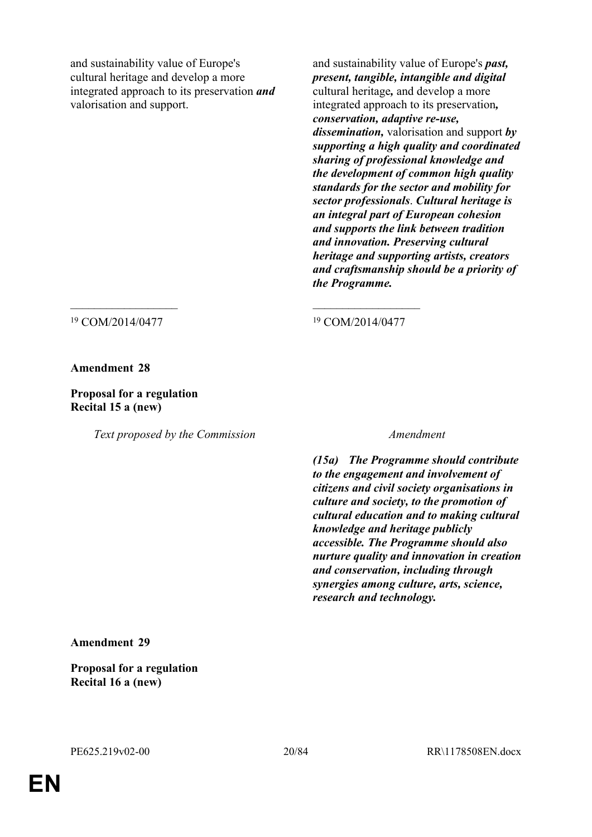and sustainability value of Europe's cultural heritage and develop a more integrated approach to its preservation *and* valorisation and support.

and sustainability value of Europe's *past, present, tangible, intangible and digital* cultural heritage*,* and develop a more integrated approach to its preservation*, conservation, adaptive re-use, dissemination,* valorisation and support *by supporting a high quality and coordinated sharing of professional knowledge and the development of common high quality standards for the sector and mobility for sector professionals*. *Cultural heritage is an integral part of European cohesion and supports the link between tradition and innovation. Preserving cultural heritage and supporting artists, creators and craftsmanship should be a priority of the Programme.*

<sup>19</sup> COM/2014/0477 <sup>19</sup> COM/2014/0477

**Amendment 28**

**Proposal for a regulation Recital 15 a (new)**

*Text proposed by the Commission Amendment*

 $\mathcal{L}_\text{max}$  , and the contract of the contract of the contract of the contract of the contract of the contract of

*(15a) The Programme should contribute to the engagement and involvement of citizens and civil society organisations in culture and society, to the promotion of cultural education and to making cultural knowledge and heritage publicly accessible. The Programme should also nurture quality and innovation in creation and conservation, including through synergies among culture, arts, science, research and technology.*

**Amendment 29**

**Proposal for a regulation Recital 16 a (new)**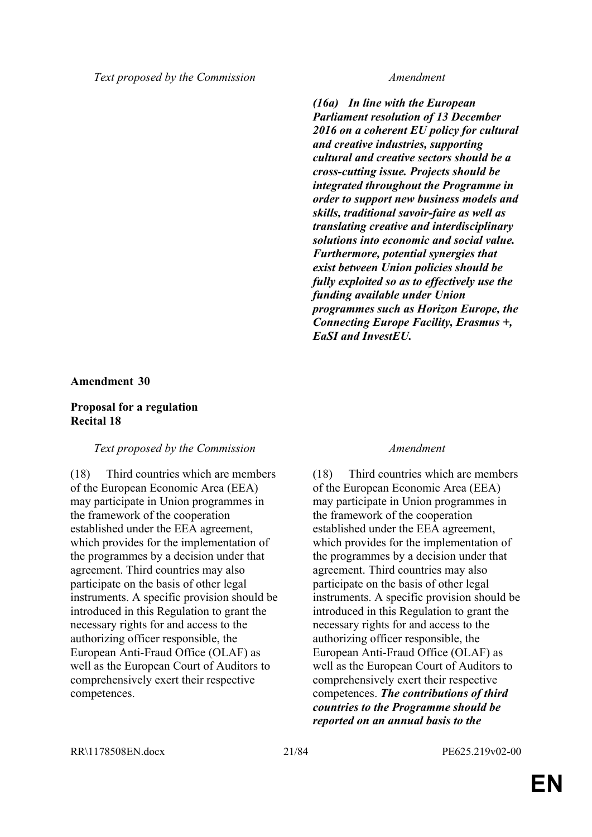*Text proposed by the Commission Amendment*

*(16a) In line with the European Parliament resolution of 13 December 2016 on a coherent EU policy for cultural and creative industries, supporting cultural and creative sectors should be a cross-cutting issue. Projects should be integrated throughout the Programme in order to support new business models and skills, traditional savoir-faire as well as translating creative and interdisciplinary solutions into economic and social value. Furthermore, potential synergies that exist between Union policies should be fully exploited so as to effectively use the funding available under Union programmes such as Horizon Europe, the Connecting Europe Facility, Erasmus +, EaSI and InvestEU.*

## **Amendment 30**

## **Proposal for a regulation Recital 18**

## *Text proposed by the Commission Amendment*

(18) Third countries which are members of the European Economic Area (EEA) may participate in Union programmes in the framework of the cooperation established under the EEA agreement, which provides for the implementation of the programmes by a decision under that agreement. Third countries may also participate on the basis of other legal instruments. A specific provision should be introduced in this Regulation to grant the necessary rights for and access to the authorizing officer responsible, the European Anti-Fraud Office (OLAF) as well as the European Court of Auditors to comprehensively exert their respective competences.

(18) Third countries which are members of the European Economic Area (EEA) may participate in Union programmes in the framework of the cooperation established under the EEA agreement, which provides for the implementation of the programmes by a decision under that agreement. Third countries may also participate on the basis of other legal instruments. A specific provision should be introduced in this Regulation to grant the necessary rights for and access to the authorizing officer responsible, the European Anti-Fraud Office (OLAF) as well as the European Court of Auditors to comprehensively exert their respective competences. *The contributions of third countries to the Programme should be reported on an annual basis to the* 

RR\1178508EN.docx 21/84 PE625.219v02-00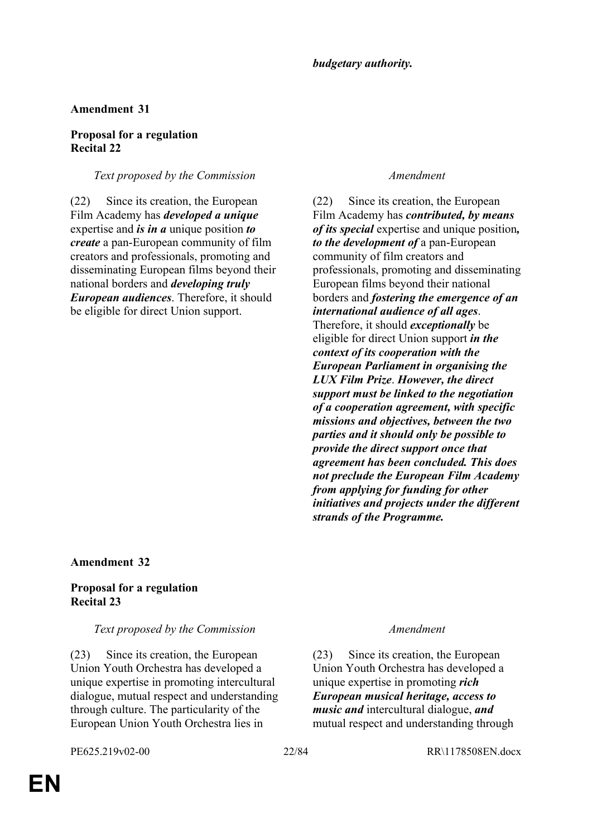## **Proposal for a regulation Recital 22**

## *Text proposed by the Commission Amendment*

(22) Since its creation, the European Film Academy has *developed a unique* expertise and *is in a* unique position *to create* a pan-European community of film creators and professionals, promoting and disseminating European films beyond their national borders and *developing truly European audiences*. Therefore, it should be eligible for direct Union support.

(22) Since its creation, the European Film Academy has *contributed, by means of its special* expertise and unique position*, to the development of* a pan-European community of film creators and professionals, promoting and disseminating European films beyond their national borders and *fostering the emergence of an international audience of all ages*. Therefore, it should *exceptionally* be eligible for direct Union support *in the context of its cooperation with the European Parliament in organising the LUX Film Prize*. *However, the direct support must be linked to the negotiation of a cooperation agreement, with specific missions and objectives, between the two parties and it should only be possible to provide the direct support once that agreement has been concluded. This does not preclude the European Film Academy from applying for funding for other initiatives and projects under the different strands of the Programme.*

## **Amendment 32**

## **Proposal for a regulation Recital 23**

## *Text proposed by the Commission Amendment*

(23) Since its creation, the European Union Youth Orchestra has developed a unique expertise in promoting intercultural dialogue, mutual respect and understanding through culture. The particularity of the European Union Youth Orchestra lies in

(23) Since its creation, the European Union Youth Orchestra has developed a unique expertise in promoting *rich European musical heritage, access to music and* intercultural dialogue, *and* mutual respect and understanding through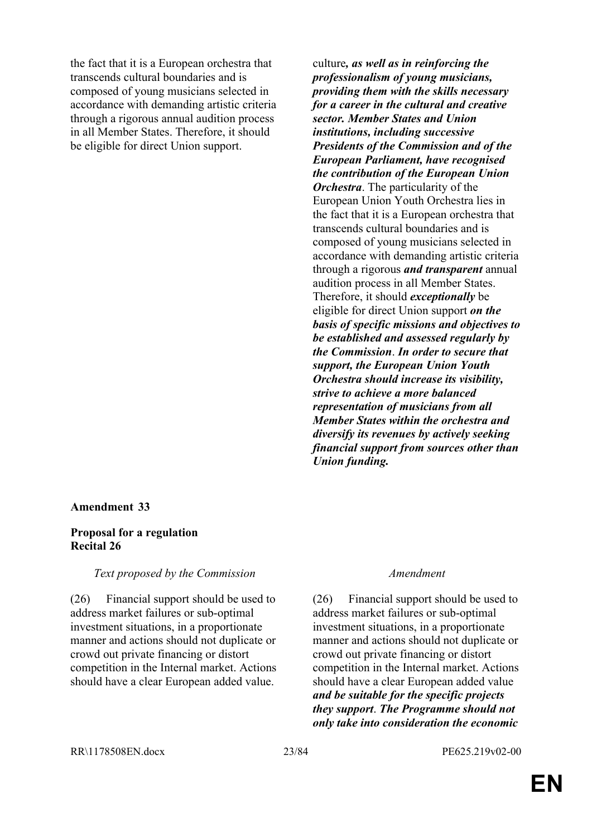the fact that it is a European orchestra that transcends cultural boundaries and is composed of young musicians selected in accordance with demanding artistic criteria through a rigorous annual audition process in all Member States. Therefore, it should be eligible for direct Union support.

## **Amendment 33**

### **Proposal for a regulation Recital 26**

### *Text proposed by the Commission Amendment*

(26) Financial support should be used to address market failures or sub-optimal investment situations, in a proportionate manner and actions should not duplicate or crowd out private financing or distort competition in the Internal market. Actions should have a clear European added value.

culture*, as well as in reinforcing the professionalism of young musicians, providing them with the skills necessary for a career in the cultural and creative sector. Member States and Union institutions, including successive Presidents of the Commission and of the European Parliament, have recognised the contribution of the European Union Orchestra*. The particularity of the European Union Youth Orchestra lies in the fact that it is a European orchestra that transcends cultural boundaries and is composed of young musicians selected in accordance with demanding artistic criteria through a rigorous *and transparent* annual audition process in all Member States. Therefore, it should *exceptionally* be eligible for direct Union support *on the basis of specific missions and objectives to be established and assessed regularly by the Commission*. *In order to secure that support, the European Union Youth Orchestra should increase its visibility, strive to achieve a more balanced representation of musicians from all Member States within the orchestra and diversify its revenues by actively seeking financial support from sources other than Union funding.*

(26) Financial support should be used to address market failures or sub-optimal investment situations, in a proportionate manner and actions should not duplicate or crowd out private financing or distort competition in the Internal market. Actions should have a clear European added value *and be suitable for the specific projects they support*. *The Programme should not only take into consideration the economic*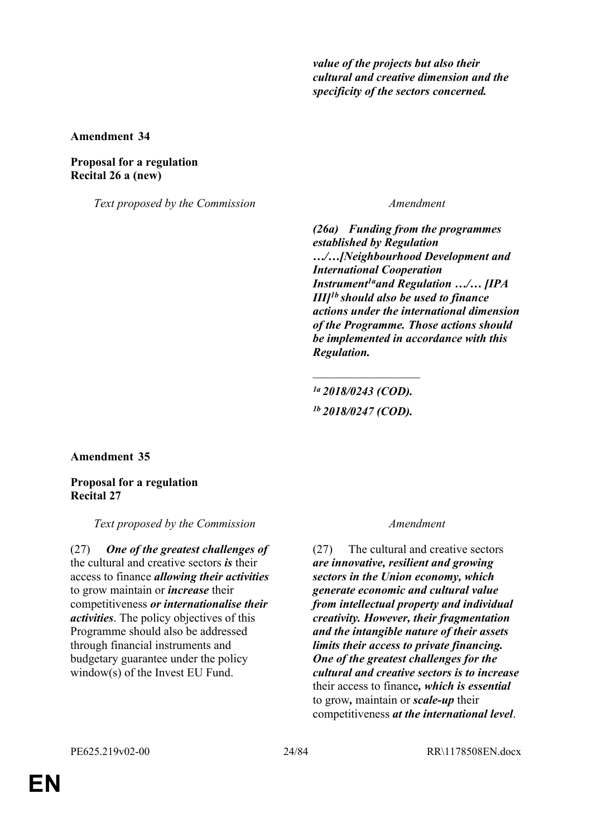*value of the projects but also their cultural and creative dimension and the specificity of the sectors concerned.*

**Amendment 34**

## **Proposal for a regulation Recital 26 a (new)**

*Text proposed by the Commission Amendment*

*(26a) Funding from the programmes established by Regulation …/…[Neighbourhood Development and International Cooperation Instrument1aand Regulation …/… [IPA III]1b should also be used to finance actions under the international dimension of the Programme. Those actions should be implemented in accordance with this Regulation.*

*1a 2018/0243 (COD). 1b 2018/0247 (COD).*

 $\overline{\phantom{a}}$  , where  $\overline{\phantom{a}}$ 

**Amendment 35**

## **Proposal for a regulation Recital 27**

*Text proposed by the Commission Amendment*

(27) *One of the greatest challenges of* the cultural and creative sectors *is* their access to finance *allowing their activities* to grow maintain or *increase* their competitiveness *or internationalise their activities*. The policy objectives of this Programme should also be addressed through financial instruments and budgetary guarantee under the policy window(s) of the Invest EU Fund.

(27) The cultural and creative sectors *are innovative, resilient and growing sectors in the Union economy, which generate economic and cultural value from intellectual property and individual creativity. However, their fragmentation and the intangible nature of their assets limits their access to private financing. One of the greatest challenges for the cultural and creative sectors is to increase* their access to finance*, which is essential* to grow*,* maintain or *scale-up* their competitiveness *at the international level*.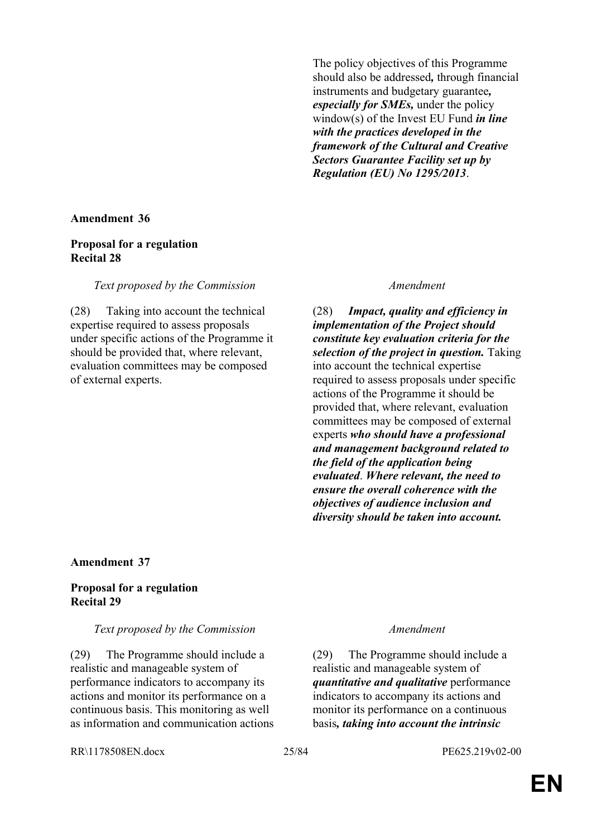The policy objectives of this Programme should also be addressed*,* through financial instruments and budgetary guarantee*, especially for SMEs,* under the policy window(s) of the Invest EU Fund *in line with the practices developed in the framework of the Cultural and Creative Sectors Guarantee Facility set up by Regulation (EU) No 1295/2013*.

### **Amendment 36**

### **Proposal for a regulation Recital 28**

## *Text proposed by the Commission Amendment*

(28) Taking into account the technical expertise required to assess proposals under specific actions of the Programme it should be provided that, where relevant, evaluation committees may be composed of external experts.

(28) *Impact, quality and efficiency in implementation of the Project should constitute key evaluation criteria for the selection of the project in question.* Taking into account the technical expertise required to assess proposals under specific actions of the Programme it should be provided that, where relevant, evaluation committees may be composed of external experts *who should have a professional and management background related to the field of the application being evaluated*. *Where relevant, the need to ensure the overall coherence with the objectives of audience inclusion and diversity should be taken into account.*

## **Amendment 37**

## **Proposal for a regulation Recital 29**

## *Text proposed by the Commission Amendment*

(29) The Programme should include a realistic and manageable system of performance indicators to accompany its actions and monitor its performance on a continuous basis. This monitoring as well as information and communication actions

(29) The Programme should include a realistic and manageable system of *quantitative and qualitative* performance indicators to accompany its actions and monitor its performance on a continuous basis*, taking into account the intrinsic* 

RR\1178508EN.docx 25/84 PE625.219v02-00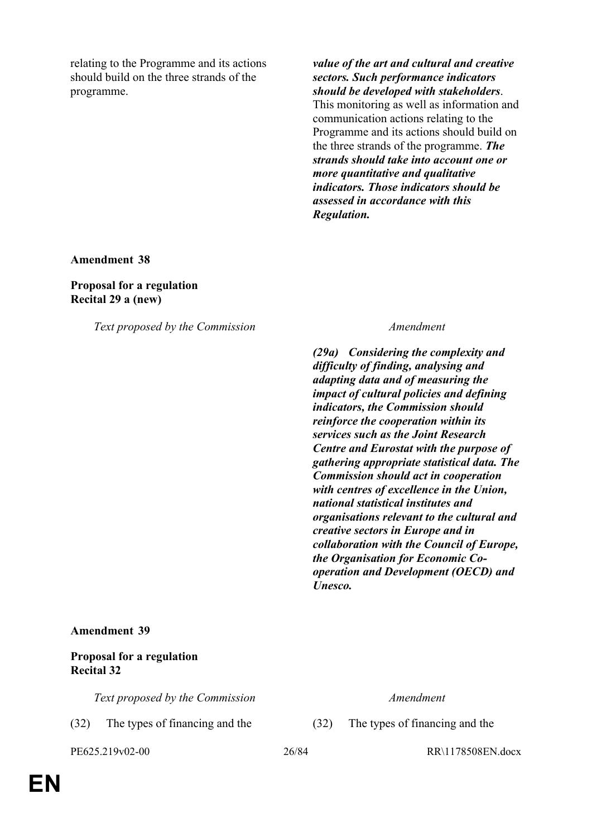relating to the Programme and its actions should build on the three strands of the programme.

*value of the art and cultural and creative sectors. Such performance indicators should be developed with stakeholders*. This monitoring as well as information and communication actions relating to the Programme and its actions should build on the three strands of the programme. *The strands should take into account one or more quantitative and qualitative indicators. Those indicators should be assessed in accordance with this Regulation.*

**Amendment 38**

**Proposal for a regulation Recital 29 a (new)**

*Text proposed by the Commission Amendment*

*(29a) Considering the complexity and difficulty of finding, analysing and adapting data and of measuring the impact of cultural policies and defining indicators, the Commission should reinforce the cooperation within its services such as the Joint Research Centre and Eurostat with the purpose of gathering appropriate statistical data. The Commission should act in cooperation with centres of excellence in the Union, national statistical institutes and organisations relevant to the cultural and creative sectors in Europe and in collaboration with the Council of Europe, the Organisation for Economic Cooperation and Development (OECD) and Unesco.*

### **Amendment 39**

### **Proposal for a regulation Recital 32**

*Text proposed by the Commission Amendment*

(32) The types of financing and the (32) The types of financing and the

PE625.219v02-00 26/84 RR\1178508EN.docx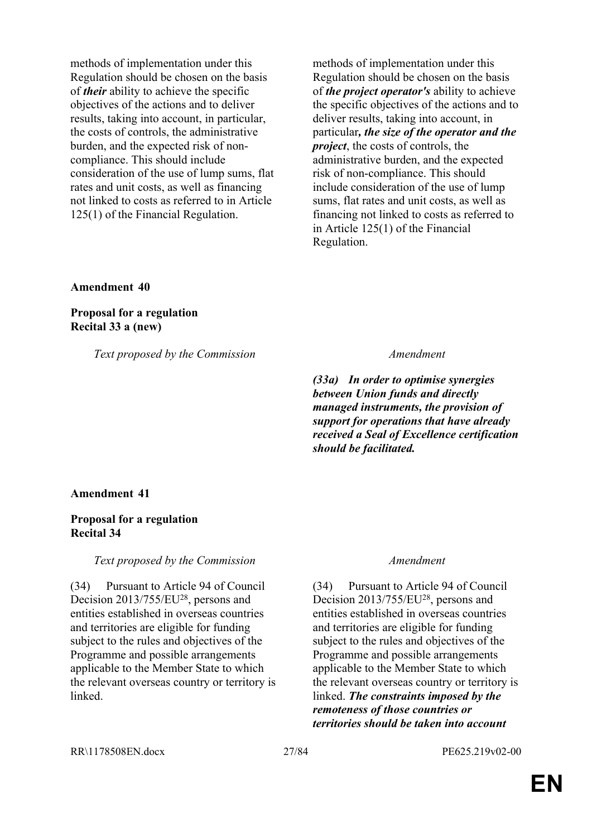methods of implementation under this Regulation should be chosen on the basis of *their* ability to achieve the specific objectives of the actions and to deliver results, taking into account, in particular, the costs of controls, the administrative burden, and the expected risk of noncompliance. This should include consideration of the use of lump sums, flat rates and unit costs, as well as financing not linked to costs as referred to in Article 125(1) of the Financial Regulation.

methods of implementation under this Regulation should be chosen on the basis of *the project operator's* ability to achieve the specific objectives of the actions and to deliver results, taking into account, in particular*, the size of the operator and the project*, the costs of controls, the administrative burden, and the expected risk of non-compliance. This should include consideration of the use of lump sums, flat rates and unit costs, as well as financing not linked to costs as referred to in Article 125(1) of the Financial Regulation.

### **Amendment 40**

## **Proposal for a regulation Recital 33 a (new)**

*Text proposed by the Commission Amendment*

*(33a) In order to optimise synergies between Union funds and directly managed instruments, the provision of support for operations that have already received a Seal of Excellence certification should be facilitated.*

## **Amendment 41**

## **Proposal for a regulation Recital 34**

### *Text proposed by the Commission Amendment*

(34) Pursuant to Article 94 of Council Decision 2013/755/EU<sup>28</sup>, persons and entities established in overseas countries and territories are eligible for funding subject to the rules and objectives of the Programme and possible arrangements applicable to the Member State to which the relevant overseas country or territory is linked.

(34) Pursuant to Article 94 of Council Decision 2013/755/EU<sup>28</sup>, persons and entities established in overseas countries and territories are eligible for funding subject to the rules and objectives of the Programme and possible arrangements applicable to the Member State to which the relevant overseas country or territory is linked. *The constraints imposed by the remoteness of those countries or territories should be taken into account*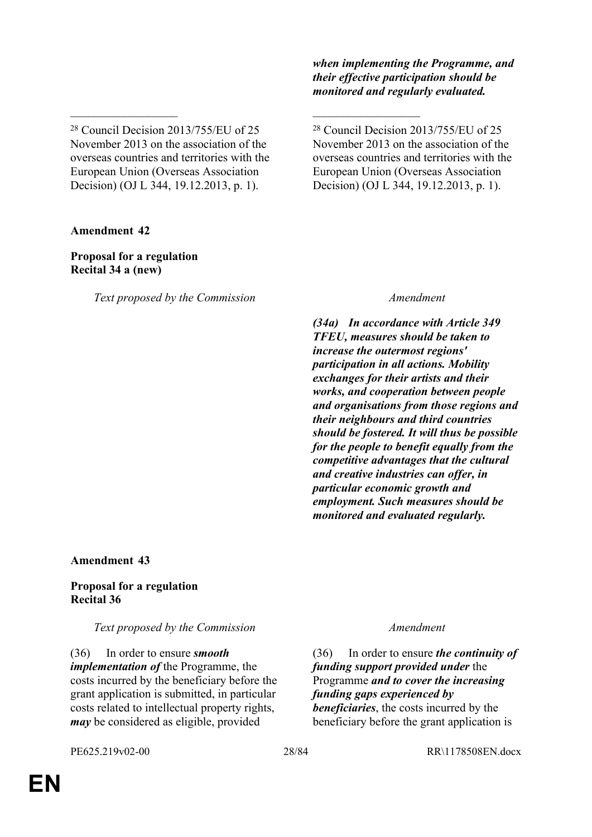<sup>28</sup> Council Decision 2013/755/EU of 25 November 2013 on the association of the overseas countries and territories with the European Union (Overseas Association Decision) (OJ L 344, 19.12.2013, p. 1).

 $\mathcal{L}_\text{max}$  , and the contract of the contract of the contract of the contract of the contract of the contract of

**Amendment 42**

## **Proposal for a regulation Recital 34 a (new)**

*Text proposed by the Commission Amendment*

*when implementing the Programme, and their effective participation should be monitored and regularly evaluated.*

<sup>28</sup> Council Decision 2013/755/EU of 25 November 2013 on the association of the overseas countries and territories with the European Union (Overseas Association Decision) (OJ L 344, 19.12.2013, p. 1).

*(34a) In accordance with Article 349 TFEU, measures should be taken to increase the outermost regions' participation in all actions. Mobility exchanges for their artists and their works, and cooperation between people and organisations from those regions and their neighbours and third countries should be fostered. It will thus be possible for the people to benefit equally from the competitive advantages that the cultural and creative industries can offer, in particular economic growth and employment. Such measures should be monitored and evaluated regularly.*

## **Amendment 43**

## **Proposal for a regulation Recital 36**

*Text proposed by the Commission Amendment*

(36) In order to ensure *smooth implementation of* the Programme, the costs incurred by the beneficiary before the grant application is submitted, in particular costs related to intellectual property rights, *may* be considered as eligible, provided

(36) In order to ensure *the continuity of funding support provided under* the Programme *and to cover the increasing funding gaps experienced by beneficiaries*, the costs incurred by the beneficiary before the grant application is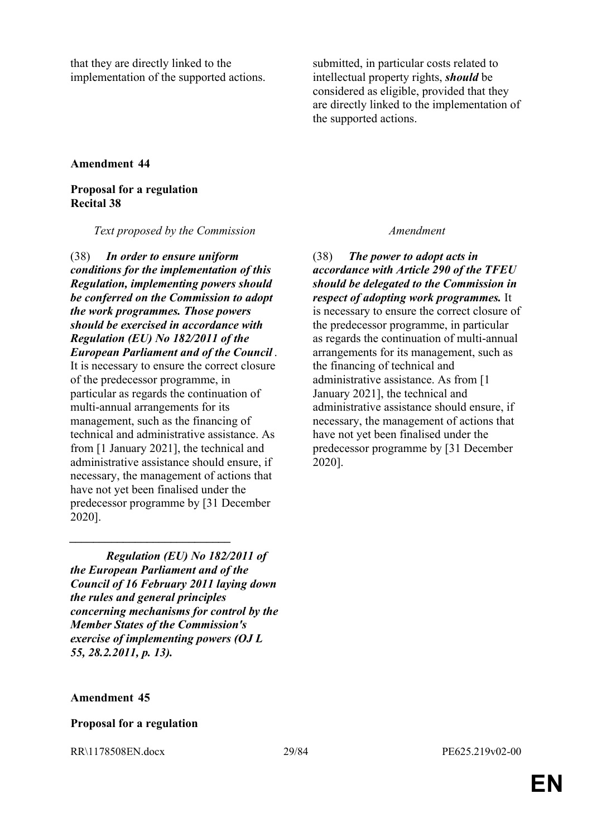that they are directly linked to the implementation of the supported actions. submitted, in particular costs related to intellectual property rights, *should* be considered as eligible, provided that they are directly linked to the implementation of the supported actions.

### **Amendment 44**

## **Proposal for a regulation Recital 38**

*Text proposed by the Commission Amendment*

(38) *In order to ensure uniform conditions for the implementation of this Regulation, implementing powers should be conferred on the Commission to adopt the work programmes. Those powers should be exercised in accordance with Regulation (EU) No 182/2011 of the European Parliament and of the Council* .

It is necessary to ensure the correct closure of the predecessor programme, in particular as regards the continuation of multi-annual arrangements for its management, such as the financing of technical and administrative assistance. As from [1 January 2021], the technical and administrative assistance should ensure, if necessary, the management of actions that have not yet been finalised under the predecessor programme by [31 December 2020].

*Regulation (EU) No 182/2011 of the European Parliament and of the Council of 16 February 2011 laying down the rules and general principles concerning mechanisms for control by the Member States of the Commission's exercise of implementing powers (OJ L 55, 28.2.2011, p. 13).*

*\_\_\_\_\_\_\_\_\_\_\_\_\_\_\_\_\_\_\_\_\_\_\_\_\_\_\_*

(38) *The power to adopt acts in accordance with Article 290 of the TFEU should be delegated to the Commission in respect of adopting work programmes.* It is necessary to ensure the correct closure of the predecessor programme, in particular as regards the continuation of multi-annual arrangements for its management, such as the financing of technical and administrative assistance. As from [1 January 2021], the technical and administrative assistance should ensure, if necessary, the management of actions that have not yet been finalised under the predecessor programme by [31 December 2020].

### **Amendment 45**

### **Proposal for a regulation**

RR\1178508EN.docx 29/84 PE625.219v02-00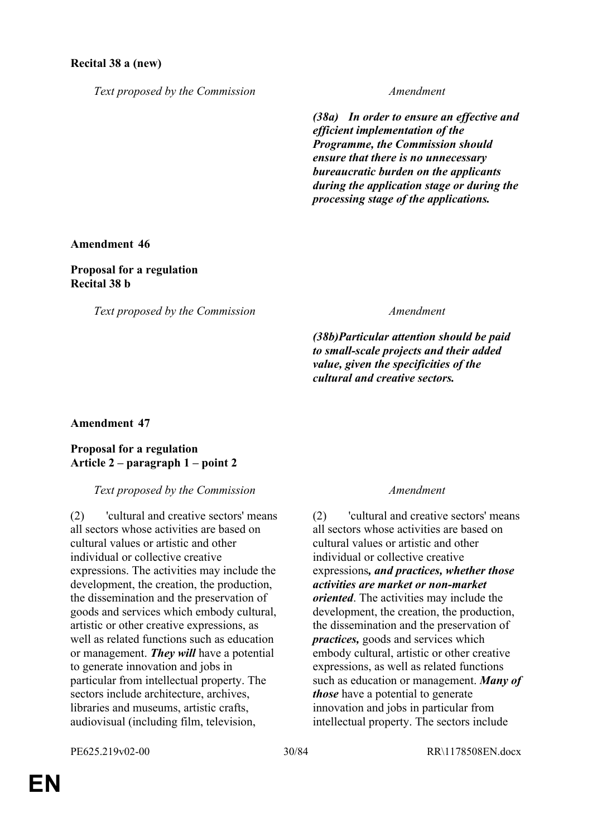## **Recital 38 a (new)**

*Text proposed by the Commission Amendment*

*(38a) In order to ensure an effective and efficient implementation of the Programme, the Commission should ensure that there is no unnecessary bureaucratic burden on the applicants during the application stage or during the processing stage of the applications.*

### **Amendment 46**

**Proposal for a regulation Recital 38 b**

*Text proposed by the Commission Amendment*

*(38b)Particular attention should be paid to small-scale projects and their added value, given the specificities of the cultural and creative sectors.*

## **Amendment 47**

## **Proposal for a regulation Article 2 – paragraph 1 – point 2**

*Text proposed by the Commission Amendment*

(2) 'cultural and creative sectors' means all sectors whose activities are based on cultural values or artistic and other individual or collective creative expressions. The activities may include the development, the creation, the production, the dissemination and the preservation of goods and services which embody cultural, artistic or other creative expressions, as well as related functions such as education or management. *They will* have a potential to generate innovation and jobs in particular from intellectual property. The sectors include architecture, archives, libraries and museums, artistic crafts, audiovisual (including film, television,

(2) 'cultural and creative sectors' means all sectors whose activities are based on cultural values or artistic and other individual or collective creative expressions*, and practices, whether those activities are market or non-market oriented*. The activities may include the development, the creation, the production, the dissemination and the preservation of *practices,* goods and services which embody cultural, artistic or other creative expressions, as well as related functions such as education or management. *Many of those* have a potential to generate innovation and jobs in particular from intellectual property. The sectors include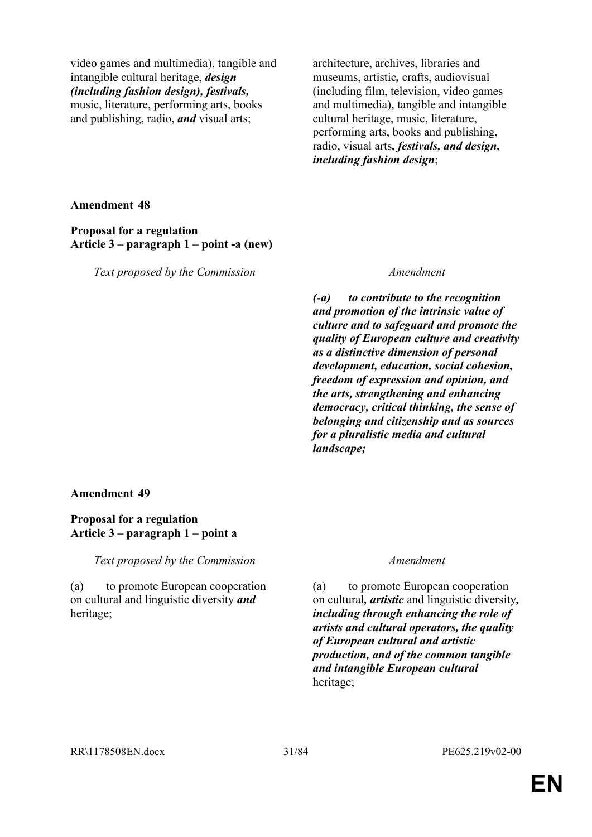video games and multimedia), tangible and intangible cultural heritage, *design (including fashion design), festivals,* music, literature, performing arts, books and publishing, radio, *and* visual arts;

architecture, archives, libraries and museums, artistic*,* crafts, audiovisual (including film, television, video games and multimedia), tangible and intangible cultural heritage, music, literature, performing arts, books and publishing, radio, visual arts*, festivals, and design, including fashion design*;

**Amendment 48**

**Proposal for a regulation Article 3 – paragraph 1 – point -a (new)**

*Text proposed by the Commission Amendment*

*(-a) to contribute to the recognition and promotion of the intrinsic value of culture and to safeguard and promote the quality of European culture and creativity as a distinctive dimension of personal development, education, social cohesion, freedom of expression and opinion, and the arts, strengthening and enhancing democracy, critical thinking, the sense of belonging and citizenship and as sources for a pluralistic media and cultural landscape;*

## **Amendment 49**

## **Proposal for a regulation Article 3 – paragraph 1 – point a**

*Text proposed by the Commission Amendment*

(a) to promote European cooperation on cultural and linguistic diversity *and* heritage;

(a) to promote European cooperation on cultural*, artistic* and linguistic diversity*, including through enhancing the role of artists and cultural operators, the quality of European cultural and artistic production, and of the common tangible and intangible European cultural* heritage;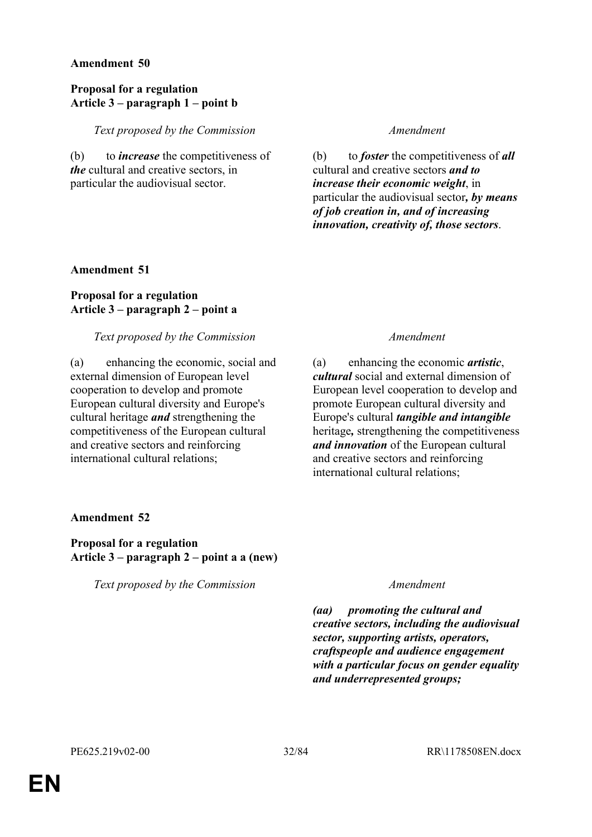## **Proposal for a regulation Article 3 – paragraph 1 – point b**

*Text proposed by the Commission Amendment*

(b) to *increase* the competitiveness of *the* cultural and creative sectors, in particular the audiovisual sector.

(b) to *foster* the competitiveness of *all* cultural and creative sectors *and to increase their economic weight*, in particular the audiovisual sector*, by means of job creation in, and of increasing innovation, creativity of, those sectors*.

## **Amendment 51**

## **Proposal for a regulation Article 3 – paragraph 2 – point a**

## *Text proposed by the Commission Amendment*

(a) enhancing the economic, social and external dimension of European level cooperation to develop and promote European cultural diversity and Europe's cultural heritage *and* strengthening the competitiveness of the European cultural and creative sectors and reinforcing international cultural relations;

(a) enhancing the economic *artistic*, *cultural* social and external dimension of European level cooperation to develop and promote European cultural diversity and Europe's cultural *tangible and intangible* heritage*,* strengthening the competitiveness *and innovation* of the European cultural and creative sectors and reinforcing international cultural relations;

## **Amendment 52**

**Proposal for a regulation Article 3 – paragraph 2 – point a a (new)**

*Text proposed by the Commission Amendment*

*(aa) promoting the cultural and creative sectors, including the audiovisual sector, supporting artists, operators, craftspeople and audience engagement with a particular focus on gender equality and underrepresented groups;*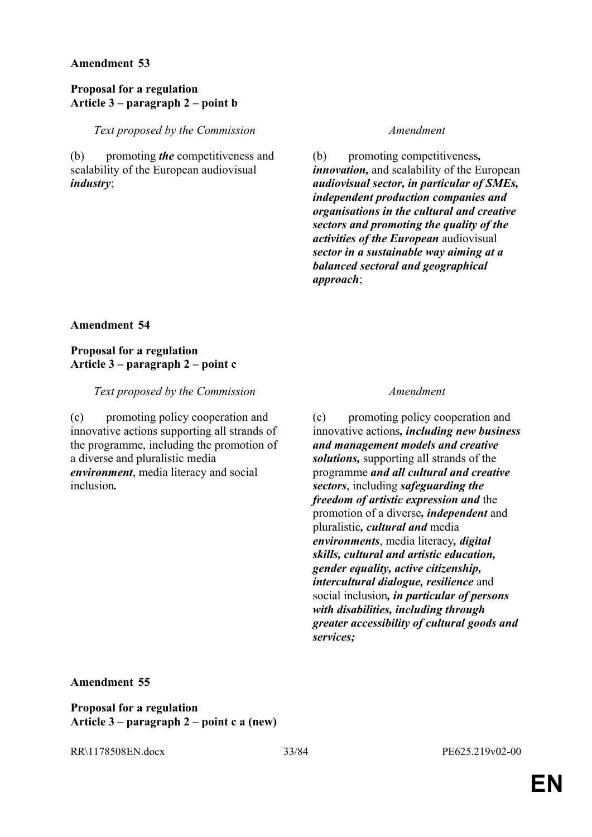## **Proposal for a regulation Article 3 – paragraph 2 – point b**

*Text proposed by the Commission Amendment*

(b) promoting *the* competitiveness and scalability of the European audiovisual *industry*;

(b) promoting competitiveness*, innovation,* and scalability of the European *audiovisual sector, in particular of SMEs, independent production companies and organisations in the cultural and creative sectors and promoting the quality of the activities of the European* audiovisual *sector in a sustainable way aiming at a balanced sectoral and geographical approach*;

## **Amendment 54**

## **Proposal for a regulation Article 3 – paragraph 2 – point c**

*Text proposed by the Commission Amendment*

(c) promoting policy cooperation and innovative actions supporting all strands of the programme, including the promotion of a diverse and pluralistic media *environment*, media literacy and social inclusion*.*

(c) promoting policy cooperation and innovative actions*, including new business and management models and creative solutions,* supporting all strands of the programme *and all cultural and creative sectors*, including *safeguarding the freedom of artistic expression and* the promotion of a diverse*, independent* and pluralistic*, cultural and* media *environments*, media literacy*, digital skills, cultural and artistic education, gender equality, active citizenship, intercultural dialogue, resilience* and social inclusion*, in particular of persons with disabilities, including through greater accessibility of cultural goods and services;*

**Amendment 55**

**Proposal for a regulation Article 3 – paragraph 2 – point c a (new)**

RR\1178508EN.docx 33/84 PE625.219v02-00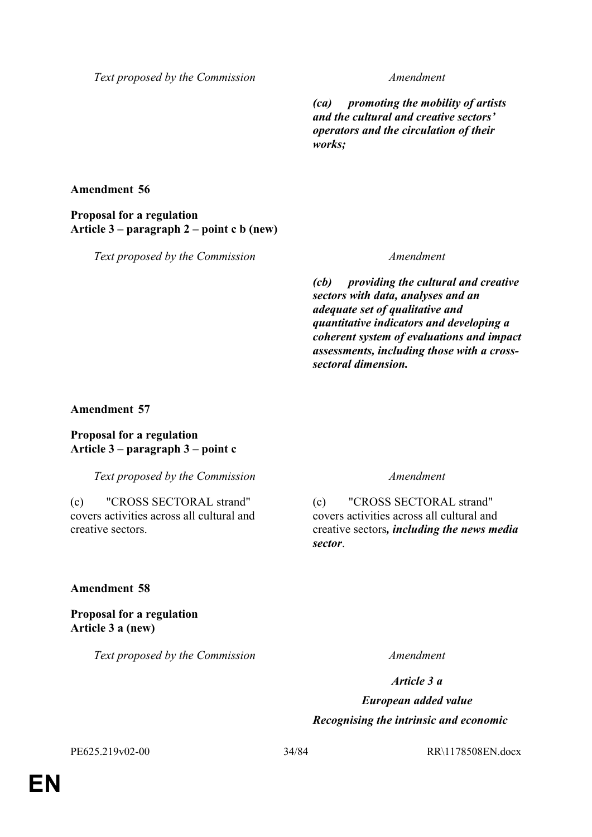*Text proposed by the Commission Amendment*

*(ca) promoting the mobility of artists and the cultural and creative sectors' operators and the circulation of their works;*

**Amendment 56**

**Proposal for a regulation Article 3 – paragraph 2 – point c b (new)**

*Text proposed by the Commission Amendment*

*(cb) providing the cultural and creative sectors with data, analyses and an adequate set of qualitative and quantitative indicators and developing a coherent system of evaluations and impact assessments, including those with a crosssectoral dimension.*

## **Amendment 57**

**Proposal for a regulation Article 3 – paragraph 3 – point c**

*Text proposed by the Commission Amendment*

(c) "CROSS SECTORAL strand" covers activities across all cultural and creative sectors.

(c) "CROSS SECTORAL strand" covers activities across all cultural and creative sectors*, including the news media sector*.

## **Amendment 58**

**Proposal for a regulation Article 3 a (new)**

*Text proposed by the Commission Amendment*

*Article 3 a*

*European added value Recognising the intrinsic and economic* 

PE625.219v02-00 34/84 RR\1178508EN.docx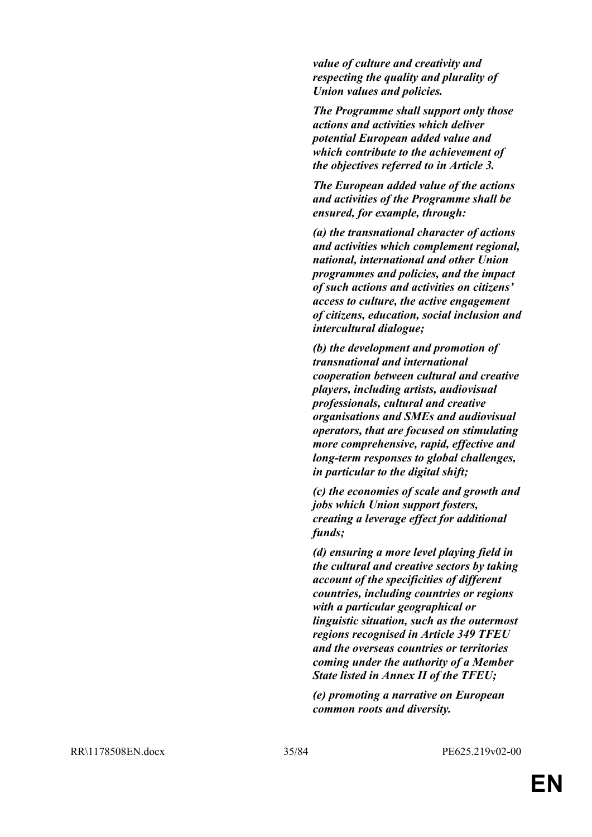*value of culture and creativity and respecting the quality and plurality of Union values and policies.*

*The Programme shall support only those actions and activities which deliver potential European added value and which contribute to the achievement of the objectives referred to in Article 3.*

*The European added value of the actions and activities of the Programme shall be ensured, for example, through:*

*(a) the transnational character of actions and activities which complement regional, national, international and other Union programmes and policies, and the impact of such actions and activities on citizens' access to culture, the active engagement of citizens, education, social inclusion and intercultural dialogue;*

*(b) the development and promotion of transnational and international cooperation between cultural and creative players, including artists, audiovisual professionals, cultural and creative organisations and SMEs and audiovisual operators, that are focused on stimulating more comprehensive, rapid, effective and long-term responses to global challenges, in particular to the digital shift;*

*(c) the economies of scale and growth and jobs which Union support fosters, creating a leverage effect for additional funds;*

*(d) ensuring a more level playing field in the cultural and creative sectors by taking account of the specificities of different countries, including countries or regions with a particular geographical or linguistic situation, such as the outermost regions recognised in Article 349 TFEU and the overseas countries or territories coming under the authority of a Member State listed in Annex II of the TFEU;*

*(e) promoting a narrative on European common roots and diversity.*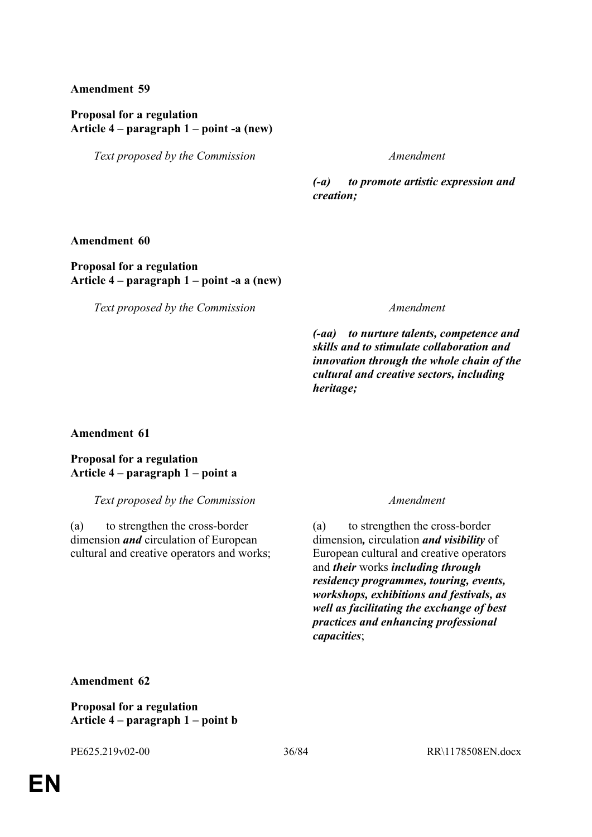## **Proposal for a regulation Article 4 – paragraph 1 – point -a (new)**

*Text proposed by the Commission Amendment*

*(-a) to promote artistic expression and creation;*

**Amendment 60**

**Proposal for a regulation Article 4 – paragraph 1 – point -a a (new)**

*Text proposed by the Commission Amendment*

*(-aa) to nurture talents, competence and skills and to stimulate collaboration and innovation through the whole chain of the cultural and creative sectors, including heritage;*

**Amendment 61**

**Proposal for a regulation Article 4 – paragraph 1 – point a**

*Text proposed by the Commission Amendment*

(a) to strengthen the cross-border dimension *and* circulation of European cultural and creative operators and works;

(a) to strengthen the cross-border dimension*,* circulation *and visibility* of European cultural and creative operators and *their* works *including through residency programmes, touring, events, workshops, exhibitions and festivals, as well as facilitating the exchange of best practices and enhancing professional capacities*;

**Amendment 62**

**Proposal for a regulation Article 4 – paragraph 1 – point b**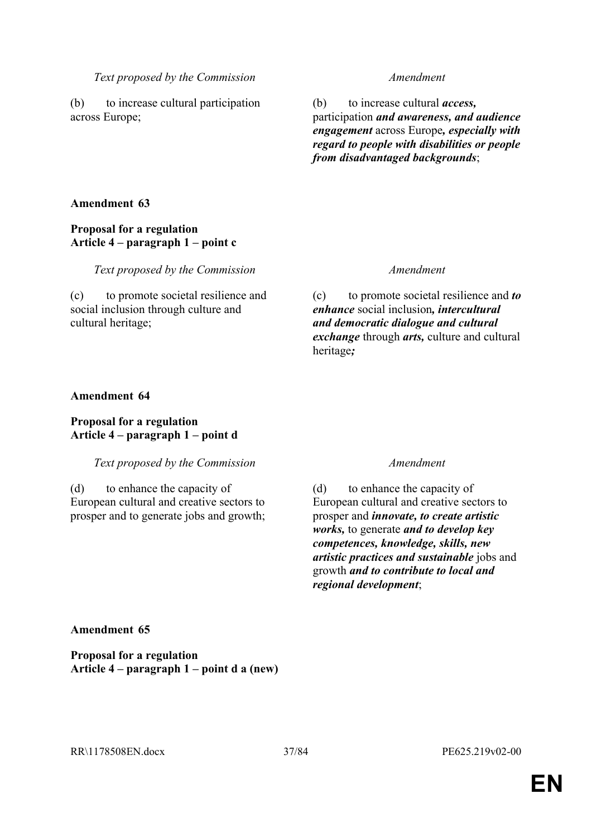(b) to increase cultural participation across Europe;

(b) to increase cultural *access,* participation *and awareness, and audience engagement* across Europe*, especially with regard to people with disabilities or people from disadvantaged backgrounds*;

## **Amendment 63**

## **Proposal for a regulation Article 4 – paragraph 1 – point c**

*Text proposed by the Commission Amendment*

(c) to promote societal resilience and social inclusion through culture and cultural heritage;

(c) to promote societal resilience and *to enhance* social inclusion*, intercultural and democratic dialogue and cultural exchange* through *arts,* culture and cultural heritage*;*

## **Amendment 64**

## **Proposal for a regulation Article 4 – paragraph 1 – point d**

*Text proposed by the Commission Amendment*

(d) to enhance the capacity of European cultural and creative sectors to prosper and to generate jobs and growth;

(d) to enhance the capacity of European cultural and creative sectors to prosper and *innovate, to create artistic works,* to generate *and to develop key competences, knowledge, skills, new artistic practices and sustainable* jobs and growth *and to contribute to local and regional development*;

**Amendment 65**

**Proposal for a regulation Article 4 – paragraph 1 – point d a (new)**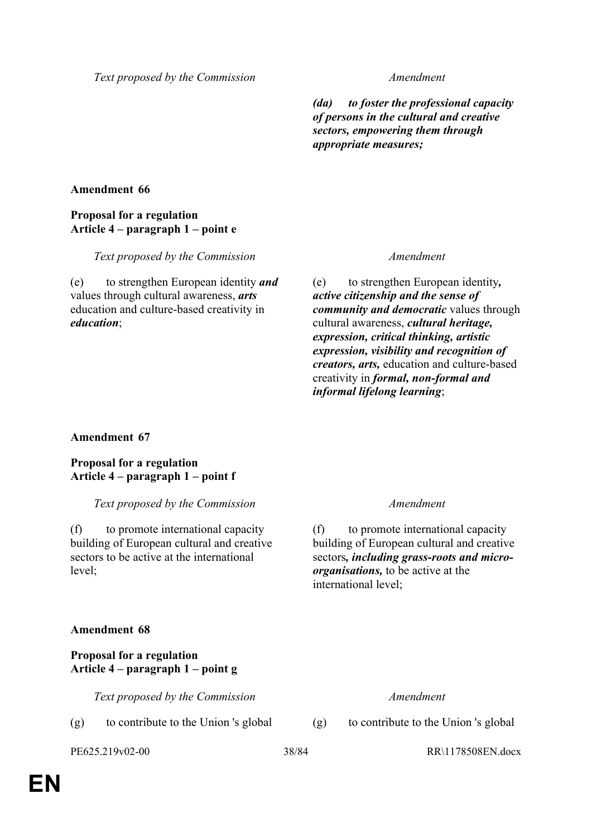*(da) to foster the professional capacity of persons in the cultural and creative sectors, empowering them through appropriate measures;*

## **Amendment 66**

## **Proposal for a regulation Article 4 – paragraph 1 – point e**

*Text proposed by the Commission Amendment*

(e) to strengthen European identity *and* values through cultural awareness, *arts* education and culture-based creativity in *education*;

(e) to strengthen European identity*, active citizenship and the sense of community and democratic* values through cultural awareness, *cultural heritage, expression, critical thinking, artistic expression, visibility and recognition of creators, arts,* education and culture-based creativity in *formal, non-formal and informal lifelong learning*;

**Amendment 67**

**Proposal for a regulation Article 4 – paragraph 1 – point f**

*Text proposed by the Commission Amendment*

(f) to promote international capacity building of European cultural and creative sectors to be active at the international level;

(f) to promote international capacity building of European cultural and creative sectors*, including grass-roots and microorganisations,* to be active at the international level;

### **Amendment 68**

**Proposal for a regulation Article 4 – paragraph 1 – point g**

*Text proposed by the Commission Amendment*

(g) to contribute to the Union 's global (g) to contribute to the Union 's global

PE625.219v02-00 38/84 RR\1178508EN.docx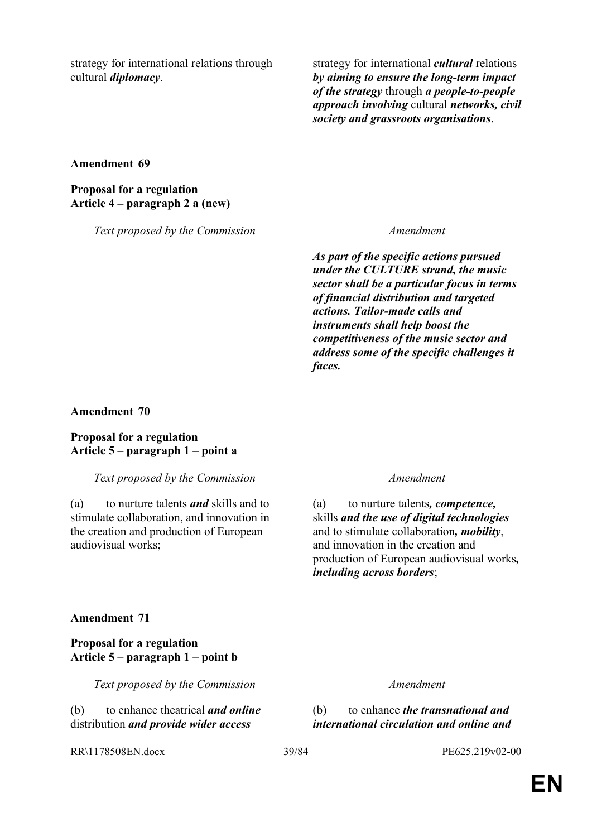strategy for international relations through cultural *diplomacy*.

strategy for international *cultural* relations *by aiming to ensure the long-term impact of the strategy* through *a people-to-people approach involving* cultural *networks, civil society and grassroots organisations*.

**Amendment 69**

**Proposal for a regulation Article 4 – paragraph 2 a (new)**

*Text proposed by the Commission Amendment*

*As part of the specific actions pursued under the CULTURE strand, the music sector shall be a particular focus in terms of financial distribution and targeted actions. Tailor-made calls and instruments shall help boost the competitiveness of the music sector and address some of the specific challenges it faces.*

### **Amendment 70**

### **Proposal for a regulation Article 5 – paragraph 1 – point a**

### *Text proposed by the Commission Amendment*

(a) to nurture talents *and* skills and to stimulate collaboration, and innovation in the creation and production of European audiovisual works;

(a) to nurture talents*, competence,* skills *and the use of digital technologies* and to stimulate collaboration*, mobility*, and innovation in the creation and production of European audiovisual works*, including across borders*;

### **Amendment 71**

### **Proposal for a regulation Article 5 – paragraph 1 – point b**

*Text proposed by the Commission Amendment*

(b) to enhance theatrical *and online* distribution *and provide wider access* 

(b) to enhance *the transnational and international circulation and online and* 

RR\1178508EN.docx 39/84 PE625.219v02-00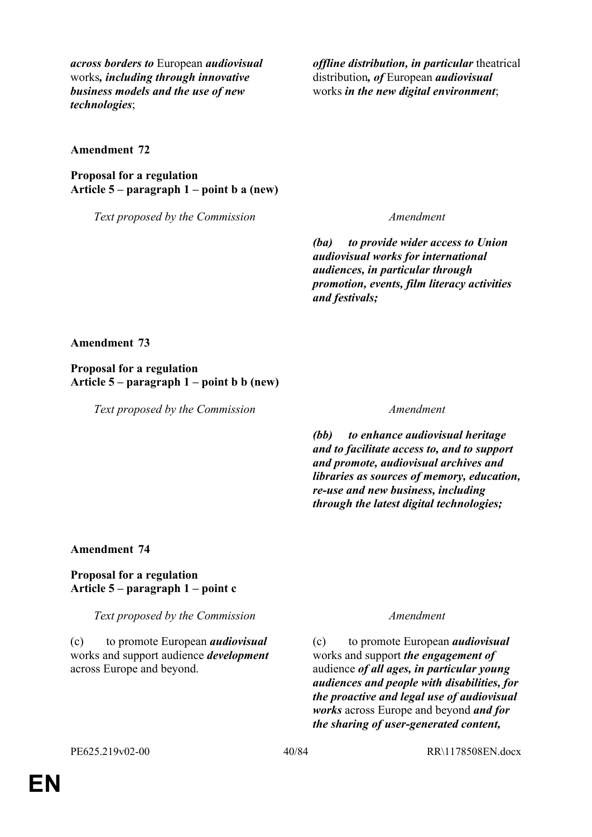*across borders to* European *audiovisual* works*, including through innovative business models and the use of new technologies*;

*offline distribution, in particular* theatrical distribution*, of* European *audiovisual* works *in the new digital environment*;

**Amendment 72**

**Proposal for a regulation Article 5 – paragraph 1 – point b a (new)**

*Text proposed by the Commission Amendment*

*(ba) to provide wider access to Union audiovisual works for international audiences, in particular through promotion, events, film literacy activities and festivals;*

**Amendment 73**

**Proposal for a regulation Article 5 – paragraph 1 – point b b (new)**

*Text proposed by the Commission Amendment*

*(bb) to enhance audiovisual heritage and to facilitate access to, and to support and promote, audiovisual archives and libraries as sources of memory, education, re-use and new business, including through the latest digital technologies;*

### **Amendment 74**

### **Proposal for a regulation Article 5 – paragraph 1 – point c**

*Text proposed by the Commission Amendment*

(c) to promote European *audiovisual* works and support audience *development* across Europe and beyond.

(c) to promote European *audiovisual* works and support *the engagement of* audience *of all ages, in particular young audiences and people with disabilities, for the proactive and legal use of audiovisual works* across Europe and beyond *and for the sharing of user-generated content,*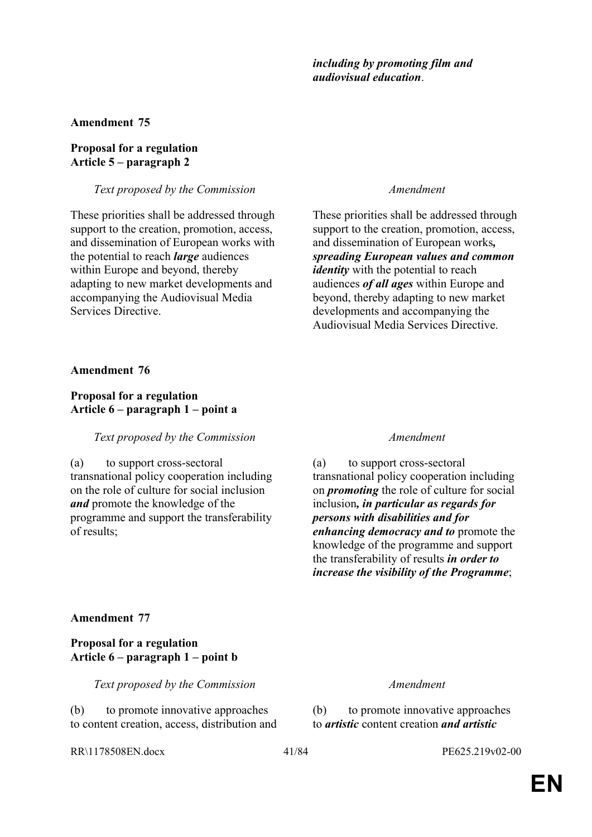### *including by promoting film and audiovisual education*.

### **Amendment 75**

## **Proposal for a regulation Article 5 – paragraph 2**

*Text proposed by the Commission Amendment*

These priorities shall be addressed through support to the creation, promotion, access, and dissemination of European works with the potential to reach *large* audiences within Europe and beyond, thereby adapting to new market developments and accompanying the Audiovisual Media Services Directive.

These priorities shall be addressed through support to the creation, promotion, access, and dissemination of European works*, spreading European values and common identity* with the potential to reach audiences *of all ages* within Europe and beyond, thereby adapting to new market developments and accompanying the Audiovisual Media Services Directive.

**Amendment 76**

## **Proposal for a regulation Article 6 – paragraph 1 – point a**

### *Text proposed by the Commission Amendment*

(a) to support cross-sectoral transnational policy cooperation including on the role of culture for social inclusion *and* promote the knowledge of the programme and support the transferability of results;

(a) to support cross-sectoral transnational policy cooperation including on *promoting* the role of culture for social inclusion*, in particular as regards for persons with disabilities and for enhancing democracy and to* promote the knowledge of the programme and support the transferability of results *in order to increase the visibility of the Programme*;

### **Amendment 77**

## **Proposal for a regulation Article 6 – paragraph 1 – point b**

*Text proposed by the Commission Amendment*

(b) to promote innovative approaches to content creation, access, distribution and

(b) to promote innovative approaches to *artistic* content creation *and artistic* 

RR\1178508EN.docx 41/84 PE625.219v02-00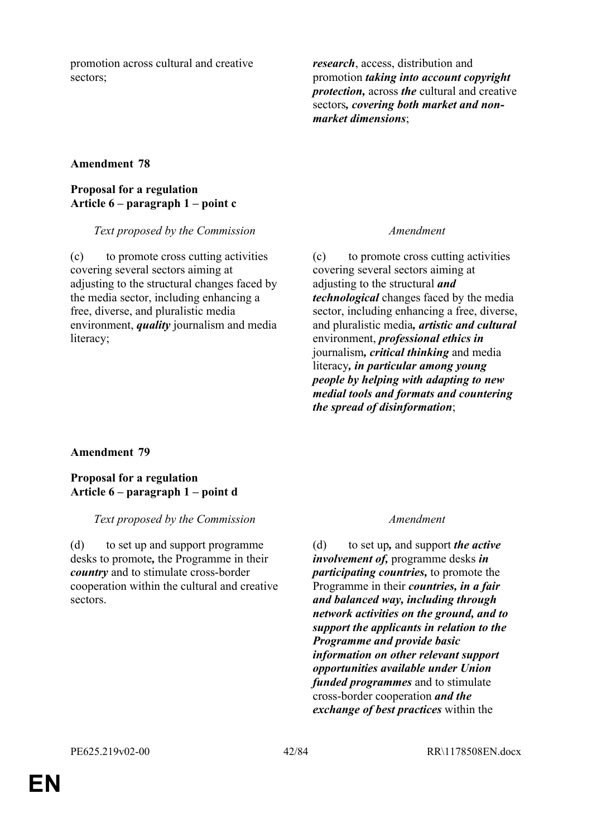promotion across cultural and creative sectors;

*research*, access, distribution and promotion *taking into account copyright protection,* across *the* cultural and creative sectors*, covering both market and nonmarket dimensions*;

## **Amendment 78**

## **Proposal for a regulation Article 6 – paragraph 1 – point c**

### *Text proposed by the Commission Amendment*

(c) to promote cross cutting activities covering several sectors aiming at adjusting to the structural changes faced by the media sector, including enhancing a free, diverse, and pluralistic media environment, *quality* journalism and media literacy;

(c) to promote cross cutting activities covering several sectors aiming at adjusting to the structural *and technological* changes faced by the media sector, including enhancing a free, diverse, and pluralistic media*, artistic and cultural* environment, *professional ethics in* journalism*, critical thinking* and media literacy*, in particular among young people by helping with adapting to new medial tools and formats and countering the spread of disinformation*;

### **Amendment 79**

### **Proposal for a regulation Article 6 – paragraph 1 – point d**

### *Text proposed by the Commission Amendment*

(d) to set up and support programme desks to promote*,* the Programme in their *country* and to stimulate cross-border cooperation within the cultural and creative sectors.

(d) to set up*,* and support *the active involvement of,* programme desks *in participating countries,* to promote the Programme in their *countries, in a fair and balanced way, including through network activities on the ground, and to support the applicants in relation to the Programme and provide basic information on other relevant support opportunities available under Union funded programmes* and to stimulate cross-border cooperation *and the exchange of best practices* within the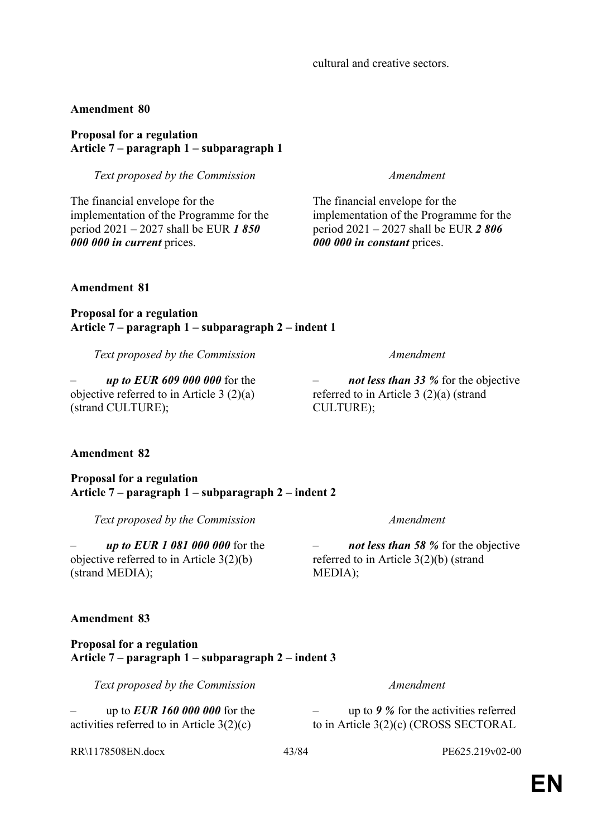# cultural and creative sectors.

## **Amendment 80**

## **Proposal for a regulation Article 7 – paragraph 1 – subparagraph 1**

*Text proposed by the Commission Amendment*

The financial envelope for the implementation of the Programme for the period 2021 – 2027 shall be EUR *1 850 000 000 in current* prices.

The financial envelope for the implementation of the Programme for the period 2021 – 2027 shall be EUR *2 806 000 000 in constant* prices.

**Amendment 81**

**Proposal for a regulation Article 7 – paragraph 1 – subparagraph 2 – indent 1**

*Text proposed by the Commission Amendment*

– *up to EUR 609 000 000* for the objective referred to in Article 3 (2)(a) (strand CULTURE);

# **Amendment 82**

**Proposal for a regulation Article 7 – paragraph 1 – subparagraph 2 – indent 2**

*Text proposed by the Commission Amendment*

– *up to EUR 1 081 000 000* for the objective referred to in Article 3(2)(b) (strand MEDIA);

# **Amendment 83**

## **Proposal for a regulation Article 7 – paragraph 1 – subparagraph 2 – indent 3**

*Text proposed by the Commission Amendment*

– up to *EUR 160 000 000* for the activities referred to in Article 3(2)(c)

RR\1178508EN.docx 43/84 PE625.219v02-00

– *not less than 58 %* for the objective referred to in Article 3(2)(b) (strand MEDIA);

– *not less than 33 %* for the objective

CULTURE);

referred to in Article 3 (2)(a) (strand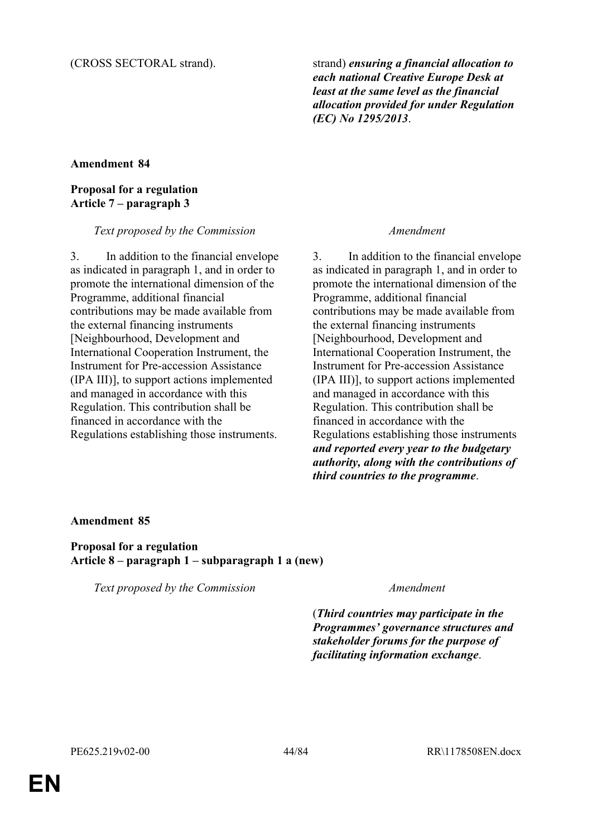(CROSS SECTORAL strand). strand) *ensuring a financial allocation to each national Creative Europe Desk at least at the same level as the financial allocation provided for under Regulation (EC) No 1295/2013*.

# **Amendment 84**

# **Proposal for a regulation Article 7 – paragraph 3**

## *Text proposed by the Commission Amendment*

3. In addition to the financial envelope as indicated in paragraph 1, and in order to promote the international dimension of the Programme, additional financial contributions may be made available from the external financing instruments [Neighbourhood, Development and International Cooperation Instrument, the Instrument for Pre-accession Assistance (IPA III)], to support actions implemented and managed in accordance with this Regulation. This contribution shall be financed in accordance with the Regulations establishing those instruments.

3. In addition to the financial envelope as indicated in paragraph 1, and in order to promote the international dimension of the Programme, additional financial contributions may be made available from the external financing instruments [Neighbourhood, Development and International Cooperation Instrument, the Instrument for Pre-accession Assistance (IPA III)], to support actions implemented and managed in accordance with this Regulation. This contribution shall be financed in accordance with the Regulations establishing those instruments *and reported every year to the budgetary authority, along with the contributions of third countries to the programme*.

# **Amendment 85**

**Proposal for a regulation Article 8 – paragraph 1 – subparagraph 1 a (new)**

*Text proposed by the Commission Amendment*

(*Third countries may participate in the Programmes' governance structures and stakeholder forums for the purpose of facilitating information exchange*.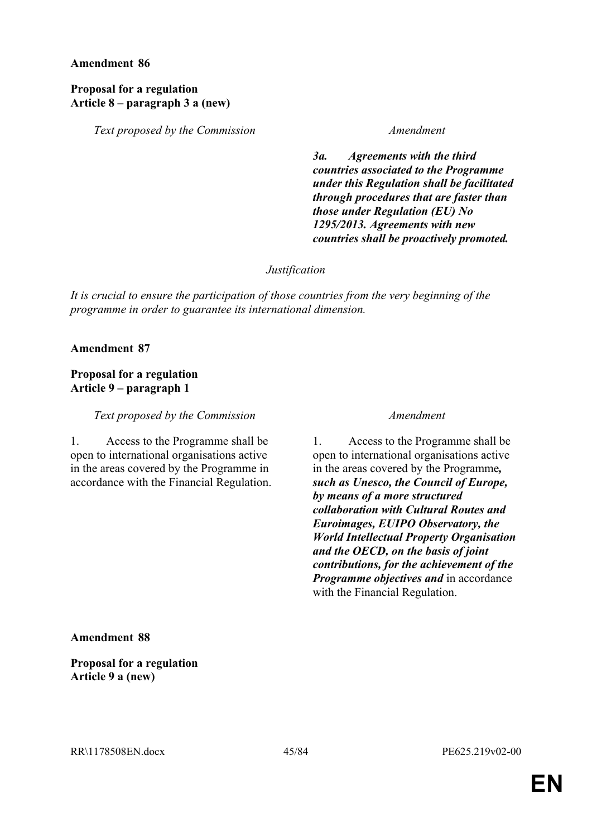### **Proposal for a regulation Article 8 – paragraph 3 a (new)**

*Text proposed by the Commission Amendment*

*3a. Agreements with the third countries associated to the Programme under this Regulation shall be facilitated through procedures that are faster than those under Regulation (EU) No 1295/2013. Agreements with new countries shall be proactively promoted.*

*Justification*

*It is crucial to ensure the participation of those countries from the very beginning of the programme in order to guarantee its international dimension.*

**Amendment 87**

# **Proposal for a regulation Article 9 – paragraph 1**

*Text proposed by the Commission Amendment*

1. Access to the Programme shall be open to international organisations active in the areas covered by the Programme in accordance with the Financial Regulation.

1. Access to the Programme shall be open to international organisations active in the areas covered by the Programme*, such as Unesco, the Council of Europe, by means of a more structured collaboration with Cultural Routes and Euroimages, EUIPO Observatory, the World Intellectual Property Organisation and the OECD, on the basis of joint contributions, for the achievement of the Programme objectives and* in accordance with the Financial Regulation.

**Amendment 88**

**Proposal for a regulation Article 9 a (new)**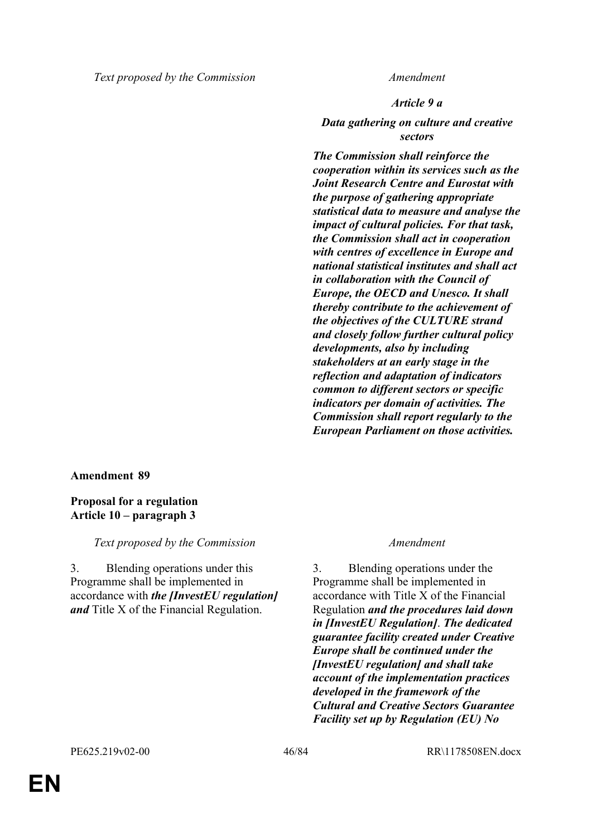*Article 9 a*

*Data gathering on culture and creative sectors*

*The Commission shall reinforce the cooperation within its services such as the Joint Research Centre and Eurostat with the purpose of gathering appropriate statistical data to measure and analyse the impact of cultural policies. For that task, the Commission shall act in cooperation with centres of excellence in Europe and national statistical institutes and shall act in collaboration with the Council of Europe, the OECD and Unesco. It shall thereby contribute to the achievement of the objectives of the CULTURE strand and closely follow further cultural policy developments, also by including stakeholders at an early stage in the reflection and adaptation of indicators common to different sectors or specific indicators per domain of activities. The Commission shall report regularly to the European Parliament on those activities.*

# **Amendment 89**

**Proposal for a regulation Article 10 – paragraph 3**

*Text proposed by the Commission Amendment*

3. Blending operations under this Programme shall be implemented in accordance with *the [InvestEU regulation] and* Title X of the Financial Regulation.

3. Blending operations under the Programme shall be implemented in accordance with Title X of the Financial Regulation *and the procedures laid down in [InvestEU Regulation]*. *The dedicated guarantee facility created under Creative Europe shall be continued under the [InvestEU regulation] and shall take account of the implementation practices developed in the framework of the Cultural and Creative Sectors Guarantee Facility set up by Regulation (EU) No*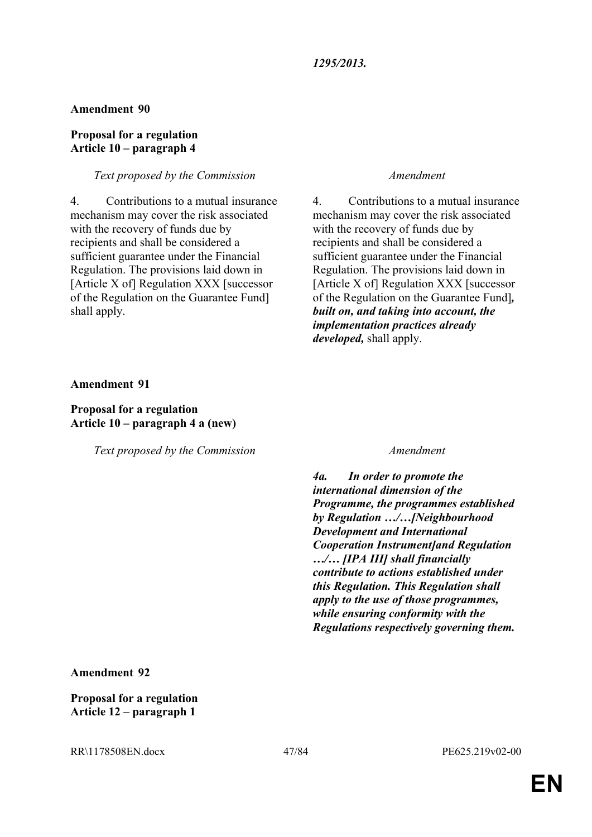## **Proposal for a regulation Article 10 – paragraph 4**

# *Text proposed by the Commission Amendment*

4. Contributions to a mutual insurance mechanism may cover the risk associated with the recovery of funds due by recipients and shall be considered a sufficient guarantee under the Financial Regulation. The provisions laid down in [Article X of] Regulation XXX [successor of the Regulation on the Guarantee Fund] shall apply.

4. Contributions to a mutual insurance mechanism may cover the risk associated with the recovery of funds due by recipients and shall be considered a sufficient guarantee under the Financial Regulation. The provisions laid down in [Article X of] Regulation XXX [successor of the Regulation on the Guarantee Fund]*, built on, and taking into account, the implementation practices already developed,* shall apply.

## **Amendment 91**

# **Proposal for a regulation Article 10 – paragraph 4 a (new)**

*Text proposed by the Commission Amendment*

*4a. In order to promote the international dimension of the Programme, the programmes established by Regulation …/…[Neighbourhood Development and International Cooperation Instrument]and Regulation …/… [IPA III] shall financially contribute to actions established under this Regulation. This Regulation shall apply to the use of those programmes, while ensuring conformity with the Regulations respectively governing them.*

**Amendment 92**

**Proposal for a regulation Article 12 – paragraph 1**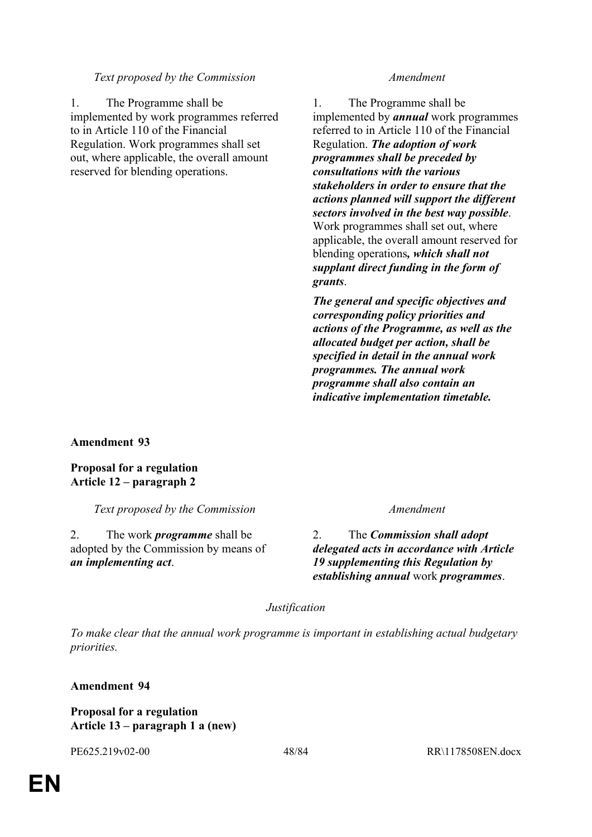1. The Programme shall be implemented by work programmes referred to in Article 110 of the Financial Regulation. Work programmes shall set out, where applicable, the overall amount reserved for blending operations.

1. The Programme shall be implemented by *annual* work programmes referred to in Article 110 of the Financial Regulation. *The adoption of work programmes shall be preceded by consultations with the various stakeholders in order to ensure that the actions planned will support the different sectors involved in the best way possible*. Work programmes shall set out, where applicable, the overall amount reserved for blending operations*, which shall not supplant direct funding in the form of grants*.

*The general and specific objectives and corresponding policy priorities and actions of the Programme, as well as the allocated budget per action, shall be specified in detail in the annual work programmes. The annual work programme shall also contain an indicative implementation timetable.*

**Amendment 93**

**Proposal for a regulation Article 12 – paragraph 2**

*Text proposed by the Commission Amendment*

2. The work *programme* shall be adopted by the Commission by means of *an implementing act*.

2. The *Commission shall adopt delegated acts in accordance with Article 19 supplementing this Regulation by establishing annual* work *programmes*.

*Justification*

*To make clear that the annual work programme is important in establishing actual budgetary priorities.*

**Amendment 94**

**Proposal for a regulation Article 13 – paragraph 1 a (new)**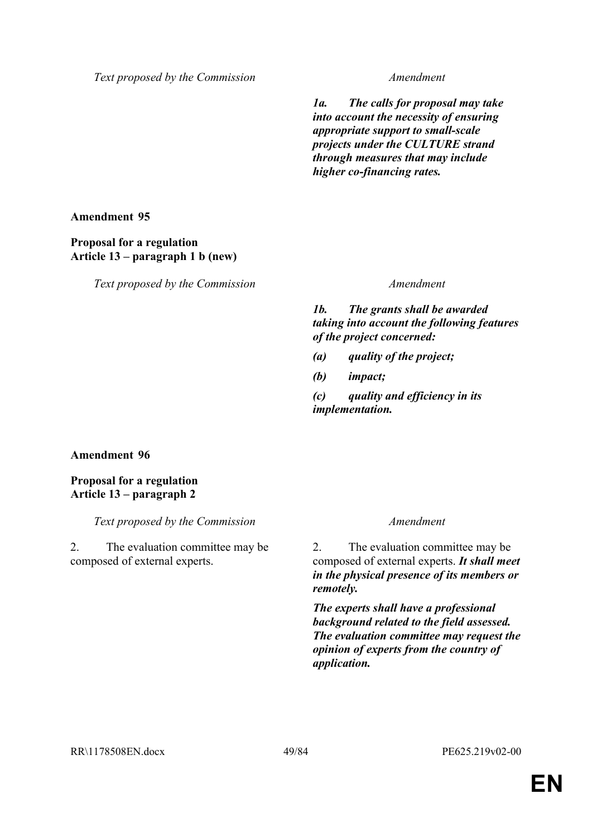*1a. The calls for proposal may take into account the necessity of ensuring appropriate support to small-scale projects under the CULTURE strand through measures that may include higher co-financing rates.*

**Amendment 95**

## **Proposal for a regulation Article 13 – paragraph 1 b (new)**

*Text proposed by the Commission Amendment*

*1b. The grants shall be awarded taking into account the following features of the project concerned:*

- *(a) quality of the project;*
- *(b) impact;*

*(c) quality and efficiency in its implementation.*

# **Amendment 96**

**Proposal for a regulation Article 13 – paragraph 2**

*Text proposed by the Commission Amendment*

2. The evaluation committee may be composed of external experts.

2. The evaluation committee may be composed of external experts. *It shall meet in the physical presence of its members or remotely.*

*The experts shall have a professional background related to the field assessed. The evaluation committee may request the opinion of experts from the country of application.*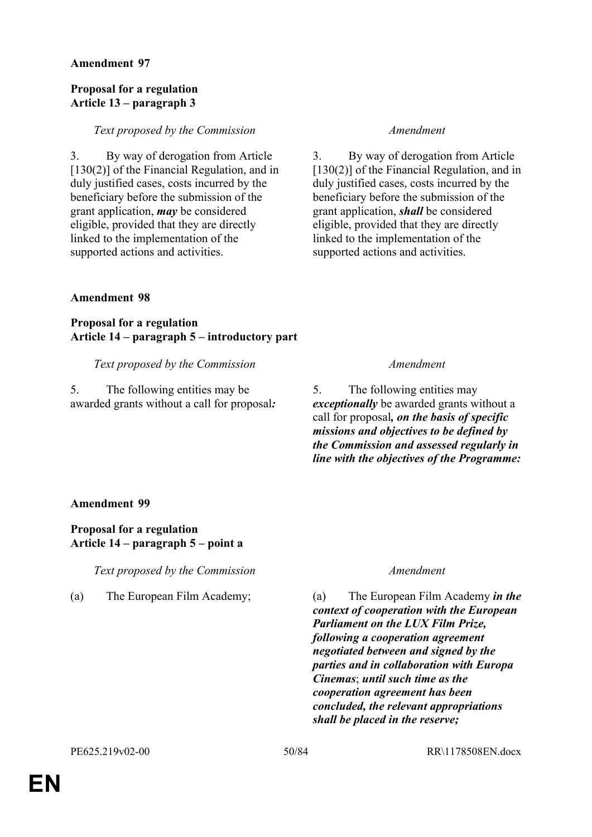### **Proposal for a regulation Article 13 – paragraph 3**

### *Text proposed by the Commission Amendment*

3. By way of derogation from Article [130(2)] of the Financial Regulation, and in duly justified cases, costs incurred by the beneficiary before the submission of the grant application, *may* be considered eligible, provided that they are directly linked to the implementation of the supported actions and activities.

3. By way of derogation from Article [130(2)] of the Financial Regulation, and in duly justified cases, costs incurred by the beneficiary before the submission of the grant application, *shall* be considered eligible, provided that they are directly linked to the implementation of the supported actions and activities.

### **Amendment 98**

**Proposal for a regulation Article 14 – paragraph 5 – introductory part**

## *Text proposed by the Commission Amendment*

5. The following entities may be awarded grants without a call for proposal*:*

5. The following entities may *exceptionally* be awarded grants without a call for proposal*, on the basis of specific missions and objectives to be defined by the Commission and assessed regularly in line with the objectives of the Programme:*

### **Amendment 99**

# **Proposal for a regulation Article 14 – paragraph 5 – point a**

*Text proposed by the Commission Amendment*

(a) The European Film Academy; (a) The European Film Academy *in the context of cooperation with the European Parliament on the LUX Film Prize, following a cooperation agreement negotiated between and signed by the parties and in collaboration with Europa Cinemas*; *until such time as the cooperation agreement has been concluded, the relevant appropriations shall be placed in the reserve;*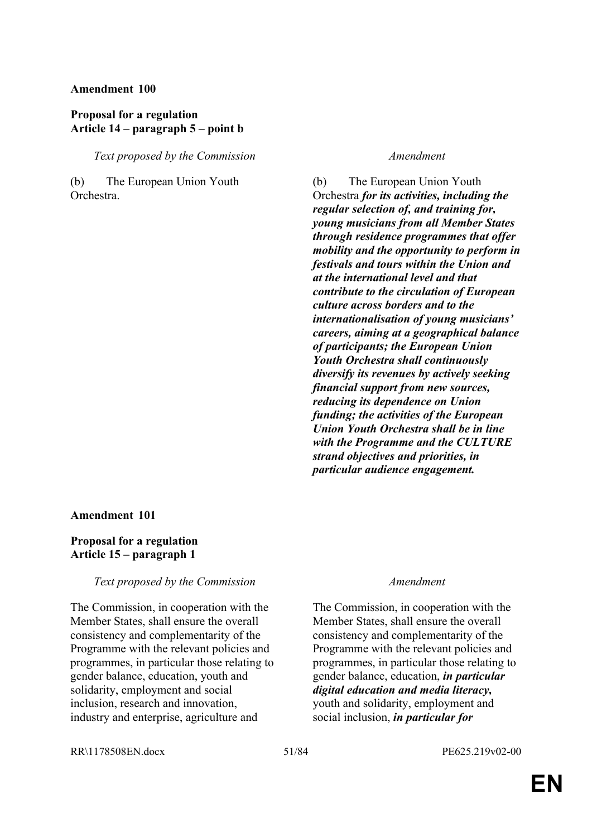## **Proposal for a regulation Article 14 – paragraph 5 – point b**

### *Text proposed by the Commission Amendment*

(b) The European Union Youth Orchestra.

(b) The European Union Youth Orchestra *for its activities, including the regular selection of, and training for, young musicians from all Member States through residence programmes that offer mobility and the opportunity to perform in festivals and tours within the Union and at the international level and that contribute to the circulation of European culture across borders and to the internationalisation of young musicians' careers, aiming at a geographical balance of participants; the European Union Youth Orchestra shall continuously diversify its revenues by actively seeking financial support from new sources, reducing its dependence on Union funding; the activities of the European Union Youth Orchestra shall be in line with the Programme and the CULTURE strand objectives and priorities, in particular audience engagement.*

### **Amendment 101**

### **Proposal for a regulation Article 15 – paragraph 1**

### *Text proposed by the Commission Amendment*

The Commission, in cooperation with the Member States, shall ensure the overall consistency and complementarity of the Programme with the relevant policies and programmes, in particular those relating to gender balance, education, youth and solidarity, employment and social inclusion, research and innovation, industry and enterprise, agriculture and

The Commission, in cooperation with the Member States, shall ensure the overall consistency and complementarity of the Programme with the relevant policies and programmes, in particular those relating to gender balance, education, *in particular digital education and media literacy,* youth and solidarity, employment and social inclusion, *in particular for* 

### RR\1178508EN.docx 51/84 PE625.219v02-00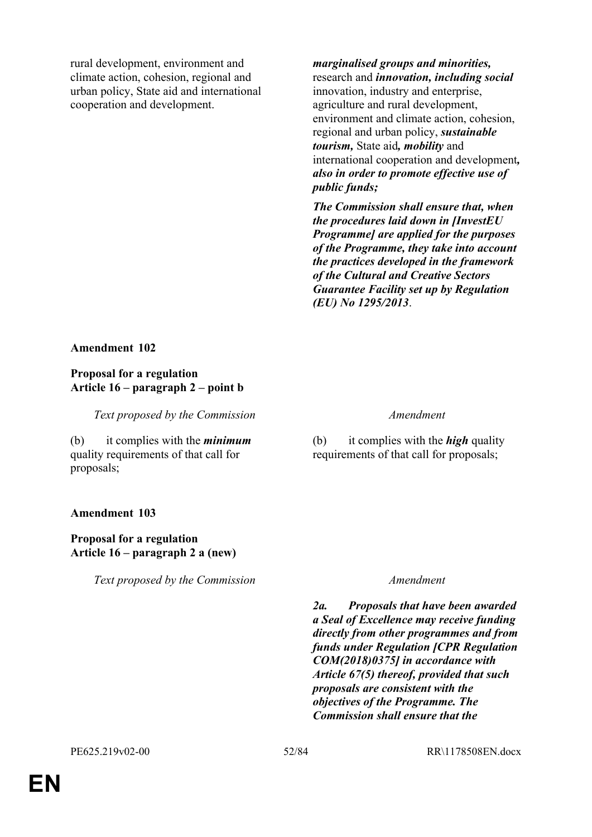rural development, environment and climate action, cohesion, regional and urban policy, State aid and international cooperation and development.

*marginalised groups and minorities,* research and *innovation, including social* innovation, industry and enterprise, agriculture and rural development, environment and climate action, cohesion, regional and urban policy, *sustainable tourism,* State aid*, mobility* and international cooperation and development*, also in order to promote effective use of public funds;*

*The Commission shall ensure that, when the procedures laid down in [InvestEU Programme] are applied for the purposes of the Programme, they take into account the practices developed in the framework of the Cultural and Creative Sectors Guarantee Facility set up by Regulation (EU) No 1295/2013*.

### **Amendment 102**

### **Proposal for a regulation Article 16 – paragraph 2 – point b**

*Text proposed by the Commission Amendment*

(b) it complies with the *minimum* quality requirements of that call for proposals;

# **Amendment 103**

## **Proposal for a regulation Article 16 – paragraph 2 a (new)**

*Text proposed by the Commission Amendment*

(b) it complies with the *high* quality requirements of that call for proposals;

*2a. Proposals that have been awarded a Seal of Excellence may receive funding directly from other programmes and from funds under Regulation [CPR Regulation COM(2018)0375] in accordance with Article 67(5) thereof, provided that such proposals are consistent with the objectives of the Programme. The Commission shall ensure that the*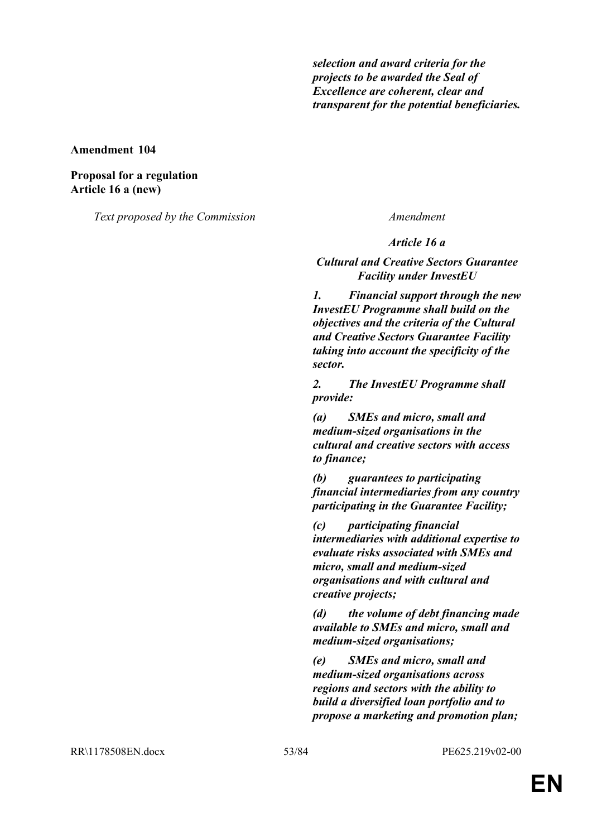*selection and award criteria for the projects to be awarded the Seal of Excellence are coherent, clear and transparent for the potential beneficiaries.*

**Amendment 104**

**Proposal for a regulation Article 16 a (new)**

*Text proposed by the Commission Amendment*

*Article 16 a*

*Cultural and Creative Sectors Guarantee Facility under InvestEU*

*1. Financial support through the new InvestEU Programme shall build on the objectives and the criteria of the Cultural and Creative Sectors Guarantee Facility taking into account the specificity of the sector.*

*2. The InvestEU Programme shall provide:*

*(a) SMEs and micro, small and medium-sized organisations in the cultural and creative sectors with access to finance;*

*(b) guarantees to participating financial intermediaries from any country participating in the Guarantee Facility;*

*(c) participating financial intermediaries with additional expertise to evaluate risks associated with SMEs and micro, small and medium-sized organisations and with cultural and creative projects;*

*(d) the volume of debt financing made available to SMEs and micro, small and medium-sized organisations;*

*(e) SMEs and micro, small and medium-sized organisations across regions and sectors with the ability to build a diversified loan portfolio and to propose a marketing and promotion plan;*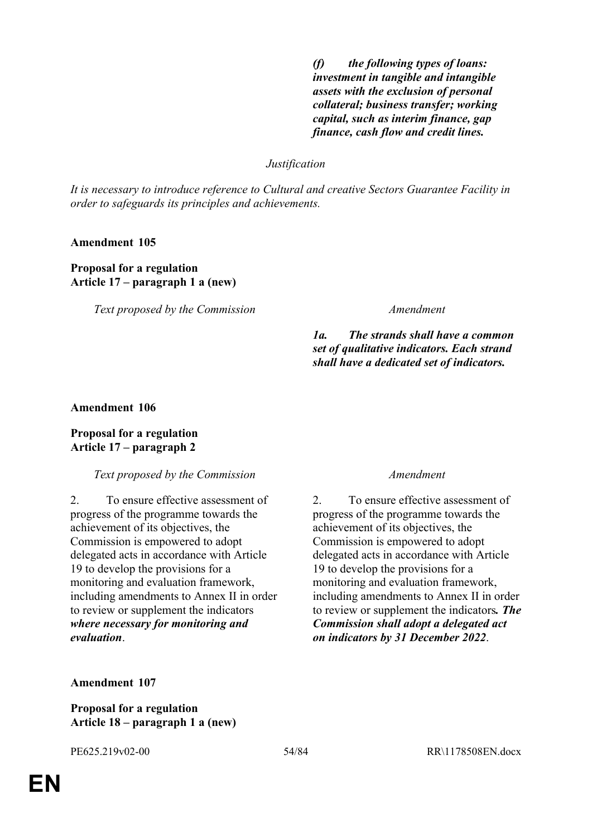*(f) the following types of loans: investment in tangible and intangible assets with the exclusion of personal collateral; business transfer; working capital, such as interim finance, gap finance, cash flow and credit lines.*

### *Justification*

*It is necessary to introduce reference to Cultural and creative Sectors Guarantee Facility in order to safeguards its principles and achievements.*

### **Amendment 105**

## **Proposal for a regulation Article 17 – paragraph 1 a (new)**

*Text proposed by the Commission Amendment*

*1a. The strands shall have a common set of qualitative indicators. Each strand shall have a dedicated set of indicators.*

### **Amendment 106**

### **Proposal for a regulation Article 17 – paragraph 2**

### *Text proposed by the Commission Amendment*

2. To ensure effective assessment of progress of the programme towards the achievement of its objectives, the Commission is empowered to adopt delegated acts in accordance with Article 19 to develop the provisions for a monitoring and evaluation framework, including amendments to Annex II in order to review or supplement the indicators *where necessary for monitoring and evaluation*.

2. To ensure effective assessment of progress of the programme towards the achievement of its objectives, the Commission is empowered to adopt delegated acts in accordance with Article 19 to develop the provisions for a monitoring and evaluation framework, including amendments to Annex II in order to review or supplement the indicators*. The Commission shall adopt a delegated act on indicators by 31 December 2022*.

**Amendment 107**

**Proposal for a regulation Article 18 – paragraph 1 a (new)**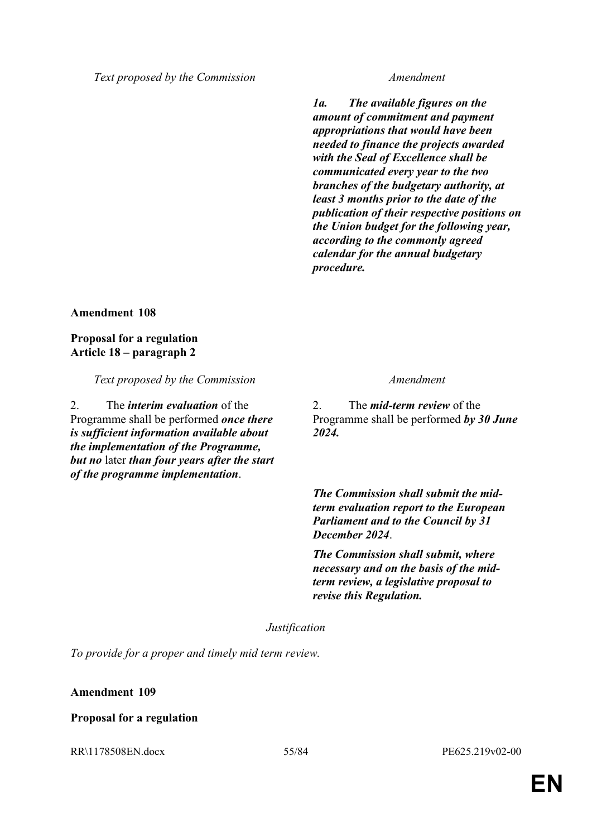*1a. The available figures on the amount of commitment and payment appropriations that would have been needed to finance the projects awarded with the Seal of Excellence shall be communicated every year to the two branches of the budgetary authority, at least 3 months prior to the date of the publication of their respective positions on the Union budget for the following year, according to the commonly agreed calendar for the annual budgetary procedure.*

**Amendment 108**

**Proposal for a regulation Article 18 – paragraph 2**

*Text proposed by the Commission Amendment*

2. The *interim evaluation* of the Programme shall be performed *once there is sufficient information available about the implementation of the Programme, but no* later *than four years after the start of the programme implementation*.

2. The *mid-term review* of the Programme shall be performed *by 30 June 2024.*

*The Commission shall submit the midterm evaluation report to the European Parliament and to the Council by 31 December 2024*.

*The Commission shall submit, where necessary and on the basis of the midterm review, a legislative proposal to revise this Regulation.*

*Justification*

*To provide for a proper and timely mid term review.*

### **Amendment 109**

### **Proposal for a regulation**

RR\1178508EN.docx 55/84 PE625.219v02-00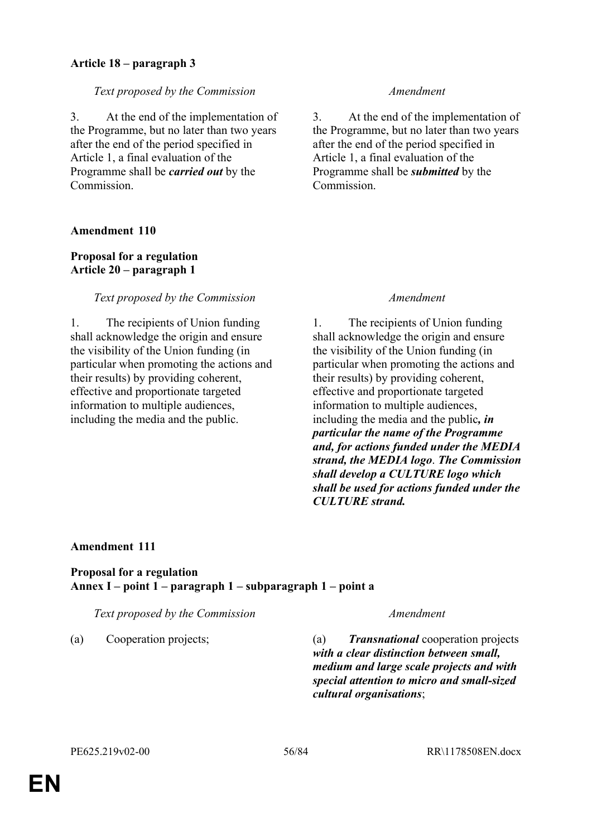# **Article 18 – paragraph 3**

## *Text proposed by the Commission Amendment*

3. At the end of the implementation of the Programme, but no later than two years after the end of the period specified in Article 1, a final evaluation of the Programme shall be *carried out* by the **Commission** 

## **Amendment 110**

## **Proposal for a regulation Article 20 – paragraph 1**

## *Text proposed by the Commission Amendment*

1. The recipients of Union funding shall acknowledge the origin and ensure the visibility of the Union funding (in particular when promoting the actions and their results) by providing coherent, effective and proportionate targeted information to multiple audiences, including the media and the public.

3. At the end of the implementation of the Programme, but no later than two years after the end of the period specified in Article 1, a final evaluation of the Programme shall be *submitted* by the Commission.

1. The recipients of Union funding shall acknowledge the origin and ensure the visibility of the Union funding (in particular when promoting the actions and their results) by providing coherent, effective and proportionate targeted information to multiple audiences, including the media and the public*, in particular the name of the Programme and, for actions funded under the MEDIA strand, the MEDIA logo*. *The Commission shall develop a CULTURE logo which shall be used for actions funded under the CULTURE strand.*

### **Amendment 111**

## **Proposal for a regulation Annex I – point 1 – paragraph 1 – subparagraph 1 – point a**

*Text proposed by the Commission Amendment*

(a) Cooperation projects; (a) *Transnational* cooperation projects *with a clear distinction between small, medium and large scale projects and with special attention to micro and small-sized cultural organisations*;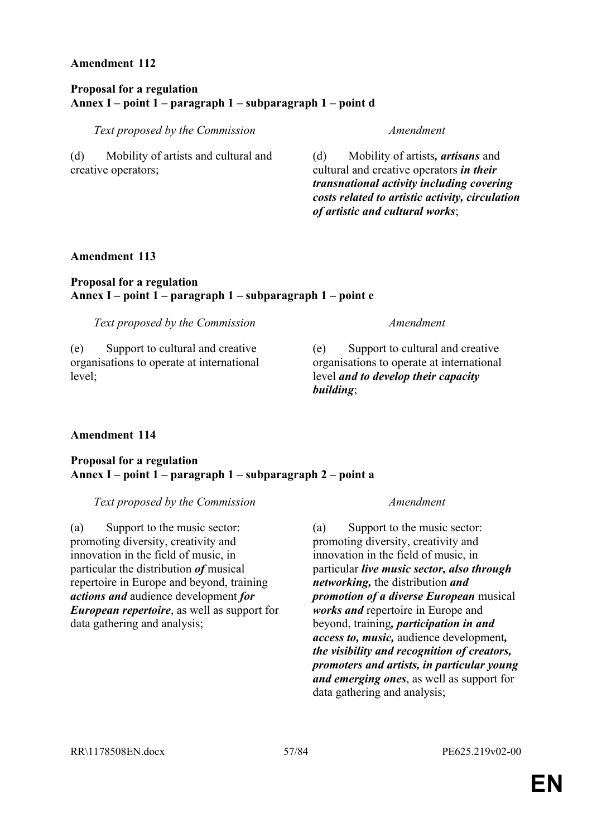### **Proposal for a regulation Annex I – point 1 – paragraph 1 – subparagraph 1 – point d**

*Text proposed by the Commission Amendment*

(d) Mobility of artists and cultural and creative operators;

(d) Mobility of artists*, artisans* and cultural and creative operators *in their transnational activity including covering costs related to artistic activity, circulation of artistic and cultural works*;

### **Amendment 113**

### **Proposal for a regulation Annex I – point 1 – paragraph 1 – subparagraph 1 – point e**

*Text proposed by the Commission Amendment*

(e) Support to cultural and creative organisations to operate at international level;

(e) Support to cultural and creative organisations to operate at international level *and to develop their capacity building*;

# **Amendment 114**

### **Proposal for a regulation Annex I – point 1 – paragraph 1 – subparagraph 2 – point a**

*Text proposed by the Commission Amendment*

(a) Support to the music sector: promoting diversity, creativity and innovation in the field of music, in particular the distribution *of* musical repertoire in Europe and beyond, training *actions and* audience development *for European repertoire*, as well as support for data gathering and analysis;

(a) Support to the music sector: promoting diversity, creativity and innovation in the field of music, in particular *live music sector, also through networking,* the distribution *and promotion of a diverse European* musical *works and* repertoire in Europe and beyond, training*, participation in and access to, music,* audience development*, the visibility and recognition of creators, promoters and artists, in particular young and emerging ones*, as well as support for data gathering and analysis;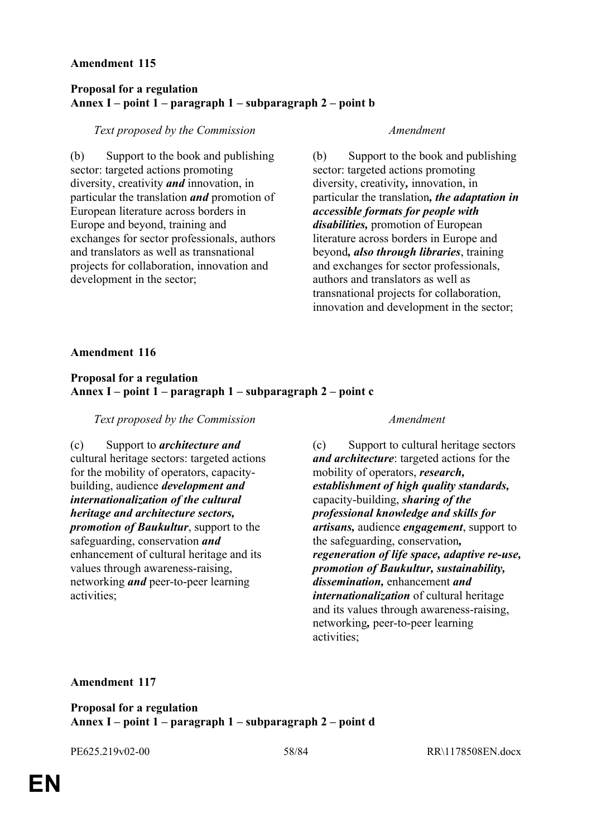### **Proposal for a regulation Annex I – point 1 – paragraph 1 – subparagraph 2 – point b**

### *Text proposed by the Commission Amendment*

(b) Support to the book and publishing sector: targeted actions promoting diversity, creativity *and* innovation, in particular the translation *and* promotion of European literature across borders in Europe and beyond, training and exchanges for sector professionals, authors and translators as well as transnational projects for collaboration, innovation and development in the sector;

(b) Support to the book and publishing sector: targeted actions promoting diversity, creativity*,* innovation, in particular the translation*, the adaptation in accessible formats for people with disabilities,* promotion of European literature across borders in Europe and beyond*, also through libraries*, training and exchanges for sector professionals, authors and translators as well as transnational projects for collaboration, innovation and development in the sector;

### **Amendment 116**

# **Proposal for a regulation Annex I – point 1 – paragraph 1 – subparagraph 2 – point c**

## *Text proposed by the Commission Amendment*

(c) Support to *architecture and* cultural heritage sectors: targeted actions for the mobility of operators, capacitybuilding, audience *development and internationalization of the cultural heritage and architecture sectors, promotion of Baukultur*, support to the safeguarding, conservation *and* enhancement of cultural heritage and its values through awareness-raising, networking *and* peer-to-peer learning activities;

(c) Support to cultural heritage sectors *and architecture*: targeted actions for the mobility of operators, *research, establishment of high quality standards,* capacity-building, *sharing of the professional knowledge and skills for artisans,* audience *engagement*, support to the safeguarding, conservation*, regeneration of life space, adaptive re-use, promotion of Baukultur, sustainability, dissemination,* enhancement *and internationalization* of cultural heritage and its values through awareness-raising, networking*,* peer-to-peer learning activities;

### **Amendment 117**

**Proposal for a regulation Annex I – point 1 – paragraph 1 – subparagraph 2 – point d**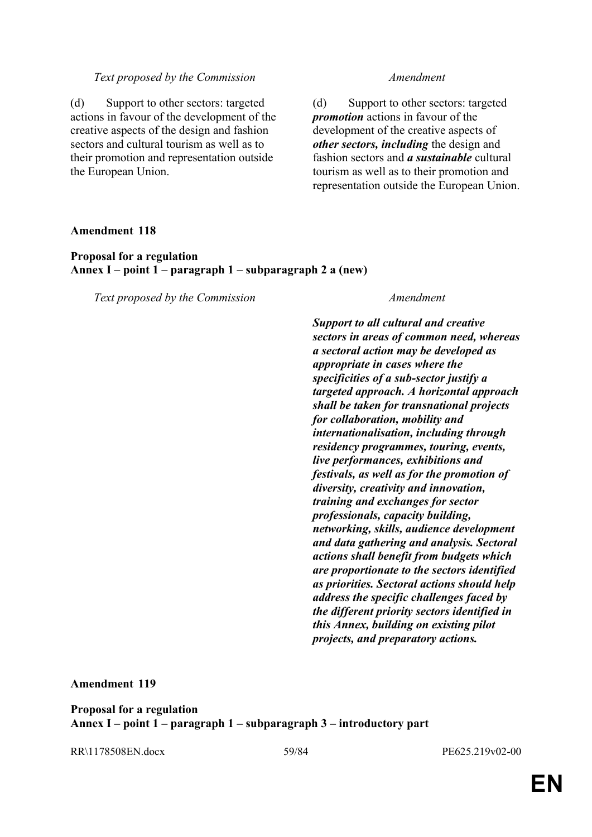(d) Support to other sectors: targeted actions in favour of the development of the creative aspects of the design and fashion sectors and cultural tourism as well as to their promotion and representation outside the European Union.

(d) Support to other sectors: targeted *promotion* actions in favour of the development of the creative aspects of *other sectors, including* the design and fashion sectors and *a sustainable* cultural tourism as well as to their promotion and representation outside the European Union.

### **Amendment 118**

### **Proposal for a regulation Annex I – point 1 – paragraph 1 – subparagraph 2 a (new)**

*Text proposed by the Commission Amendment*

*Support to all cultural and creative sectors in areas of common need, whereas a sectoral action may be developed as appropriate in cases where the specificities of a sub-sector justify a targeted approach. A horizontal approach shall be taken for transnational projects for collaboration, mobility and internationalisation, including through residency programmes, touring, events, live performances, exhibitions and festivals, as well as for the promotion of diversity, creativity and innovation, training and exchanges for sector professionals, capacity building, networking, skills, audience development and data gathering and analysis. Sectoral actions shall benefit from budgets which are proportionate to the sectors identified as priorities. Sectoral actions should help address the specific challenges faced by the different priority sectors identified in this Annex, building on existing pilot projects, and preparatory actions.*

### **Amendment 119**

**Proposal for a regulation Annex I – point 1 – paragraph 1 – subparagraph 3 – introductory part**

RR\1178508EN.docx 59/84 PE625.219v02-00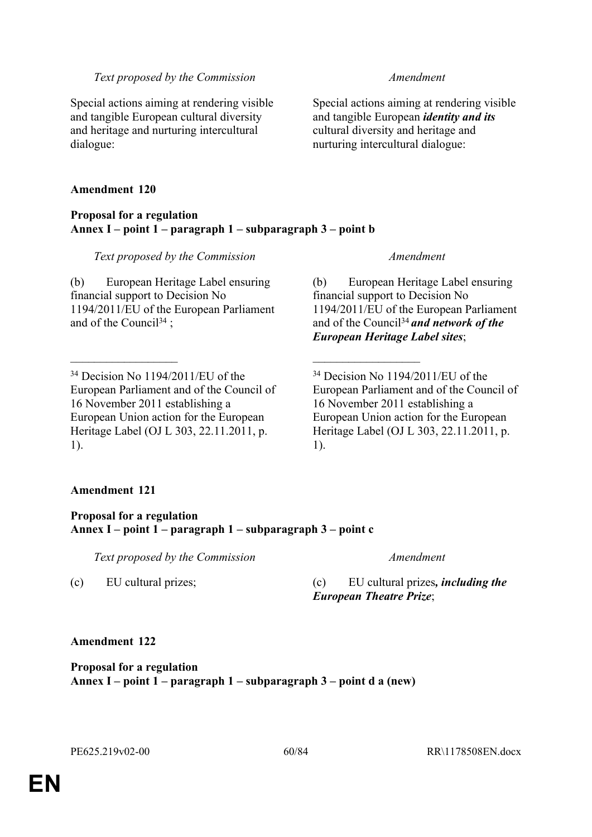Special actions aiming at rendering visible and tangible European cultural diversity and heritage and nurturing intercultural dialogue:

## **Amendment 120**

### **Proposal for a regulation Annex I – point 1 – paragraph 1 – subparagraph 3 – point b**

 $\mathcal{L}_\text{max}$  , and the contract of the contract of the contract of the contract of the contract of the contract of

## *Text proposed by the Commission Amendment*

(b) European Heritage Label ensuring financial support to Decision No 1194/2011/EU of the European Parliament and of the Council<sup>34</sup>;

<sup>34</sup> Decision No 1194/2011/EU of the European Parliament and of the Council of 16 November 2011 establishing a European Union action for the European Heritage Label (OJ L 303, 22.11.2011, p. 1).

Special actions aiming at rendering visible and tangible European *identity and its* cultural diversity and heritage and nurturing intercultural dialogue:

(b) European Heritage Label ensuring financial support to Decision No 1194/2011/EU of the European Parliament and of the Council<sup>34</sup>*and network of the European Heritage Label sites*;

<sup>34</sup> Decision No 1194/2011/EU of the European Parliament and of the Council of 16 November 2011 establishing a European Union action for the European Heritage Label (OJ L 303, 22.11.2011, p. 1).

# **Amendment 121**

# **Proposal for a regulation Annex I – point 1 – paragraph 1 – subparagraph 3 – point c**

*Text proposed by the Commission Amendment*

(c) EU cultural prizes; (c) EU cultural prizes*, including the European Theatre Prize*;

# **Amendment 122**

**Proposal for a regulation Annex I – point 1 – paragraph 1 – subparagraph 3 – point d a (new)**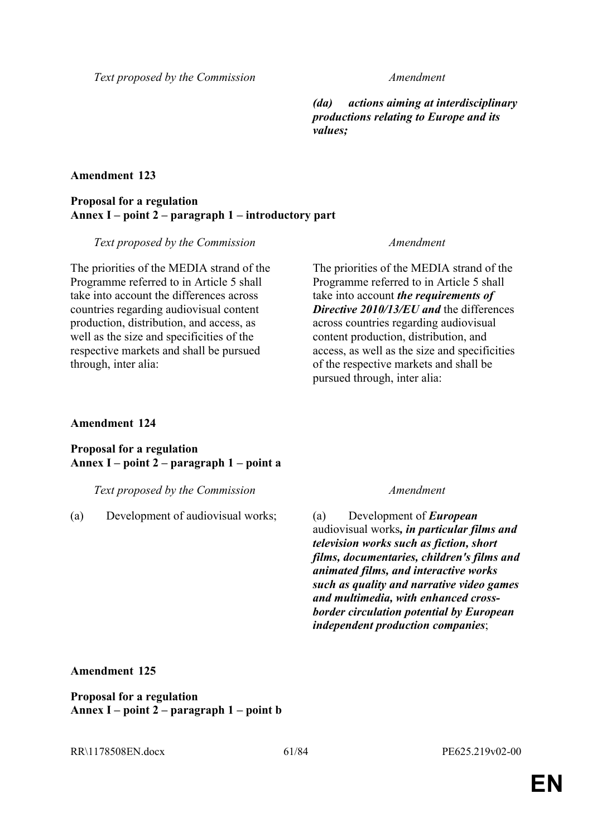*(da) actions aiming at interdisciplinary productions relating to Europe and its values;*

## **Amendment 123**

## **Proposal for a regulation Annex I – point 2 – paragraph 1 – introductory part**

### *Text proposed by the Commission Amendment*

The priorities of the MEDIA strand of the Programme referred to in Article 5 shall take into account the differences across countries regarding audiovisual content production, distribution, and access, as well as the size and specificities of the respective markets and shall be pursued through, inter alia:

The priorities of the MEDIA strand of the Programme referred to in Article 5 shall take into account *the requirements of Directive 2010/13/EU and* the differences across countries regarding audiovisual content production, distribution, and access, as well as the size and specificities of the respective markets and shall be pursued through, inter alia:

## **Amendment 124**

## **Proposal for a regulation Annex I – point 2 – paragraph 1 – point a**

*Text proposed by the Commission Amendment*

(a) Development of audiovisual works; (a) Development of *European*

audiovisual works*, in particular films and television works such as fiction, short films, documentaries, children's films and animated films, and interactive works such as quality and narrative video games and multimedia, with enhanced crossborder circulation potential by European independent production companies*;

### **Amendment 125**

**Proposal for a regulation Annex I – point 2 – paragraph 1 – point b**

RR\1178508EN.docx 61/84 PE625.219v02-00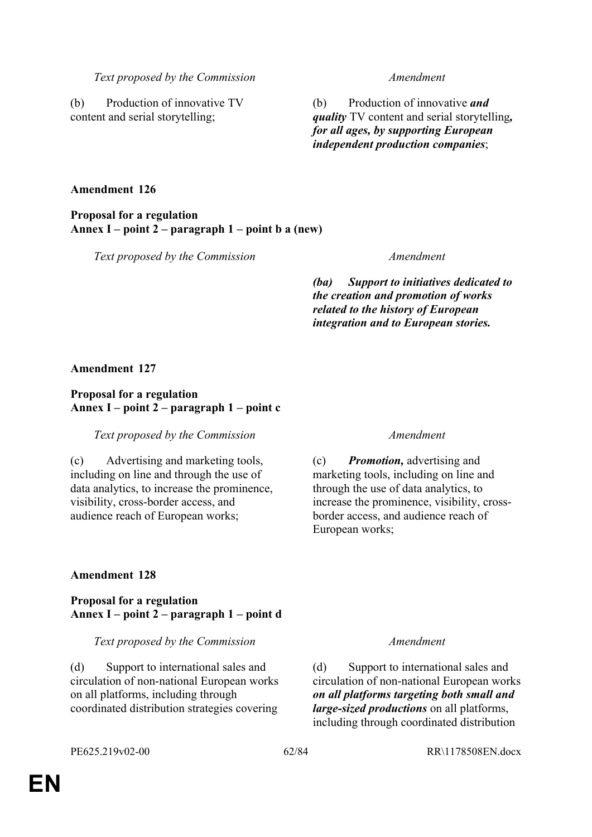(b) Production of innovative TV content and serial storytelling;

(b) Production of innovative *and quality* TV content and serial storytelling*, for all ages, by supporting European independent production companies*;

### **Amendment 126**

**Proposal for a regulation Annex I – point 2 – paragraph 1 – point b a (new)**

*Text proposed by the Commission Amendment*

*(ba) Support to initiatives dedicated to the creation and promotion of works related to the history of European integration and to European stories.*

### **Amendment 127**

## **Proposal for a regulation Annex I – point 2 – paragraph 1 – point c**

*Text proposed by the Commission Amendment*

(c) Advertising and marketing tools, including on line and through the use of data analytics, to increase the prominence, visibility, cross-border access, and audience reach of European works;

(c) *Promotion,* advertising and marketing tools, including on line and through the use of data analytics, to increase the prominence, visibility, crossborder access, and audience reach of European works;

# **Amendment 128**

**Proposal for a regulation Annex I – point 2 – paragraph 1 – point d**

*Text proposed by the Commission Amendment*

(d) Support to international sales and circulation of non-national European works on all platforms, including through coordinated distribution strategies covering

(d) Support to international sales and circulation of non-national European works *on all platforms targeting both small and large-sized productions* on all platforms, including through coordinated distribution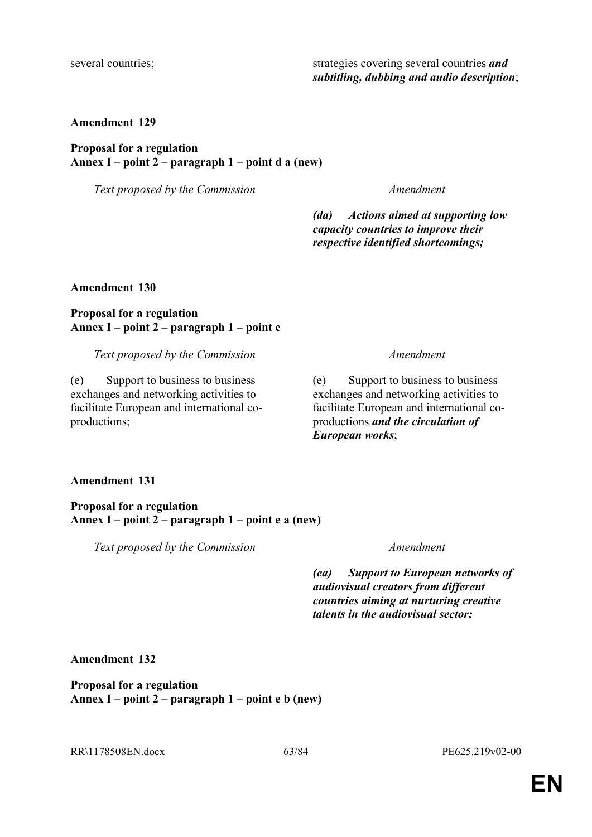several countries; strategies covering several countries *and* **strategies** covering several countries *and subtitling, dubbing and audio description*;

### **Amendment 129**

# **Proposal for a regulation Annex I – point 2 – paragraph 1 – point d a (new)**

*Text proposed by the Commission Amendment*

*(da) Actions aimed at supporting low capacity countries to improve their respective identified shortcomings;*

**Amendment 130**

## **Proposal for a regulation Annex I – point 2 – paragraph 1 – point e**

*Text proposed by the Commission Amendment*

(e) Support to business to business exchanges and networking activities to facilitate European and international coproductions;

(e) Support to business to business exchanges and networking activities to facilitate European and international coproductions *and the circulation of European works*;

### **Amendment 131**

**Proposal for a regulation Annex I – point 2 – paragraph 1 – point e a (new)**

*Text proposed by the Commission Amendment*

*(ea) Support to European networks of audiovisual creators from different countries aiming at nurturing creative talents in the audiovisual sector;*

### **Amendment 132**

**Proposal for a regulation Annex I – point 2 – paragraph 1 – point e b (new)**

RR\1178508EN.docx 63/84 PE625.219v02-00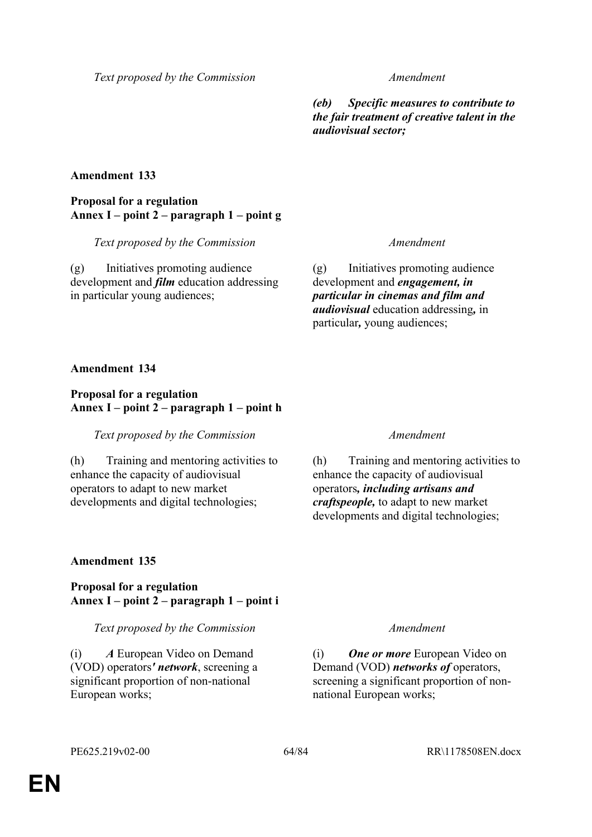*(eb) Specific measures to contribute to the fair treatment of creative talent in the audiovisual sector;*

## **Amendment 133**

# **Proposal for a regulation Annex I – point 2 – paragraph 1 – point g**

*Text proposed by the Commission Amendment*

(g) Initiatives promoting audience development and *film* education addressing in particular young audiences;

(g) Initiatives promoting audience development and *engagement, in particular in cinemas and film and audiovisual* education addressing*,* in particular*,* young audiences;

### **Amendment 134**

## **Proposal for a regulation Annex I – point 2 – paragraph 1 – point h**

### *Text proposed by the Commission Amendment*

(h) Training and mentoring activities to enhance the capacity of audiovisual operators to adapt to new market developments and digital technologies;

(h) Training and mentoring activities to enhance the capacity of audiovisual operators*, including artisans and craftspeople,* to adapt to new market developments and digital technologies;

# **Amendment 135**

# **Proposal for a regulation Annex I – point 2 – paragraph 1 – point i**

### *Text proposed by the Commission Amendment*

(i) *A* European Video on Demand (VOD) operators*' network*, screening a significant proportion of non-national European works;

(i) *One or more* European Video on Demand (VOD) *networks of* operators, screening a significant proportion of nonnational European works;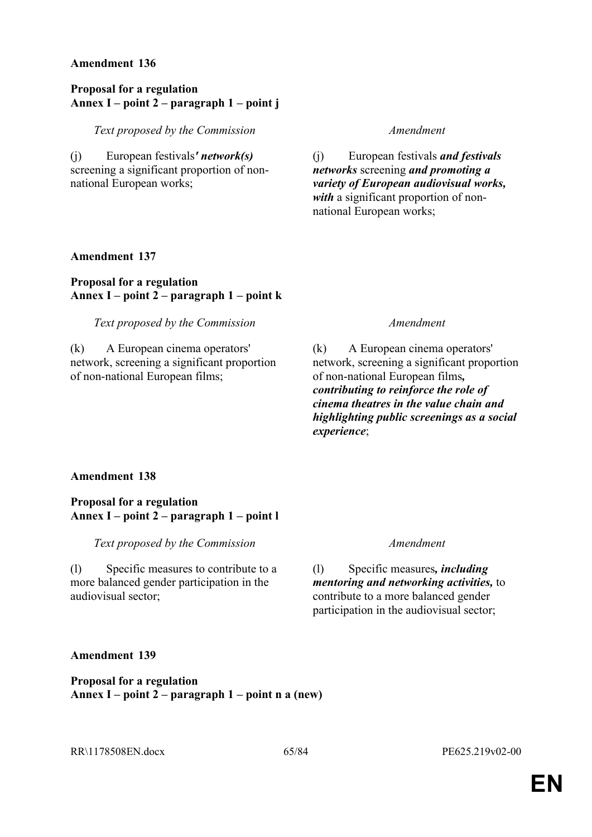### **Proposal for a regulation Annex I – point 2 – paragraph 1 – point j**

*Text proposed by the Commission Amendment*

(j) European festivals*' network(s)* screening a significant proportion of nonnational European works;

(j) European festivals *and festivals networks* screening *and promoting a variety of European audiovisual works, with* a significant proportion of nonnational European works;

## **Amendment 137**

# **Proposal for a regulation Annex I – point 2 – paragraph 1 – point k**

*Text proposed by the Commission Amendment*

(k) A European cinema operators' network, screening a significant proportion of non-national European films;

(k) A European cinema operators' network, screening a significant proportion of non-national European films*, contributing to reinforce the role of cinema theatres in the value chain and highlighting public screenings as a social experience*;

### **Amendment 138**

## **Proposal for a regulation Annex I – point 2 – paragraph 1 – point l**

*Text proposed by the Commission Amendment*

(l) Specific measures to contribute to a more balanced gender participation in the audiovisual sector;

(l) Specific measures*, including mentoring and networking activities,* to contribute to a more balanced gender participation in the audiovisual sector;

### **Amendment 139**

**Proposal for a regulation Annex I – point 2 – paragraph 1 – point n a (new)**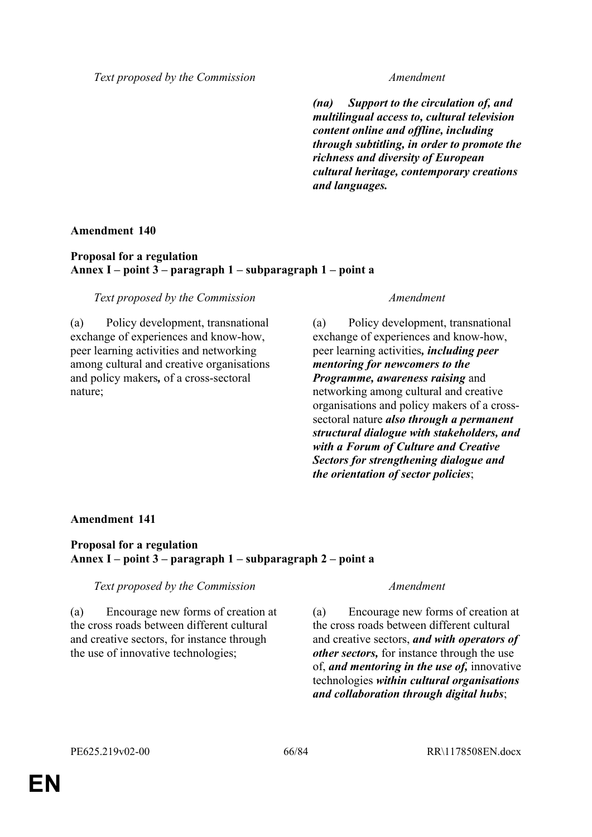*(na) Support to the circulation of, and multilingual access to, cultural television content online and offline, including through subtitling, in order to promote the richness and diversity of European cultural heritage, contemporary creations and languages.*

## **Amendment 140**

## **Proposal for a regulation Annex I – point 3 – paragraph 1 – subparagraph 1 – point a**

## *Text proposed by the Commission Amendment*

(a) Policy development, transnational exchange of experiences and know-how, peer learning activities and networking among cultural and creative organisations and policy makers*,* of a cross-sectoral nature;

(a) Policy development, transnational exchange of experiences and know-how, peer learning activities*, including peer mentoring for newcomers to the Programme, awareness raising* and networking among cultural and creative organisations and policy makers of a crosssectoral nature *also through a permanent structural dialogue with stakeholders, and with a Forum of Culture and Creative Sectors for strengthening dialogue and the orientation of sector policies*;

# **Amendment 141**

# **Proposal for a regulation Annex I – point 3 – paragraph 1 – subparagraph 2 – point a**

# *Text proposed by the Commission Amendment*

(a) Encourage new forms of creation at the cross roads between different cultural and creative sectors, for instance through the use of innovative technologies;

(a) Encourage new forms of creation at the cross roads between different cultural and creative sectors, *and with operators of other sectors,* for instance through the use of, *and mentoring in the use of,* innovative technologies *within cultural organisations and collaboration through digital hubs*;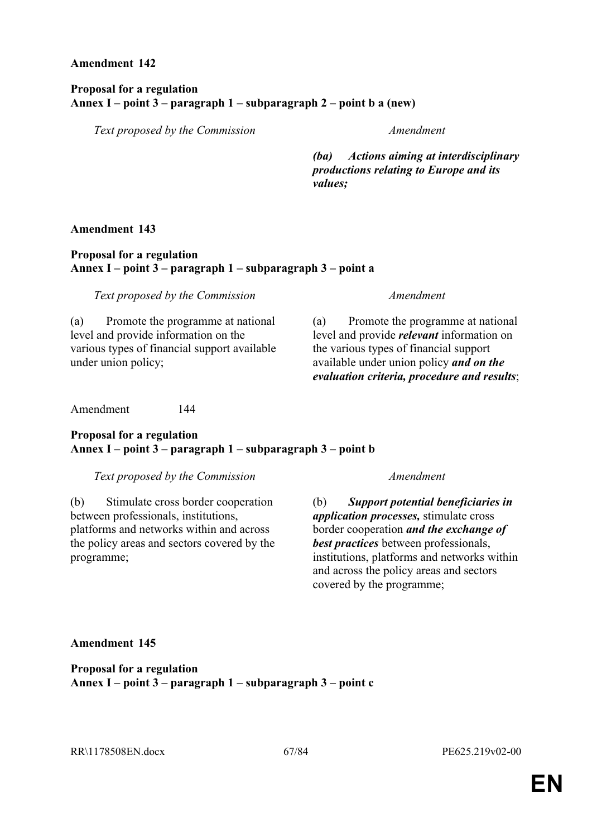## **Proposal for a regulation Annex I – point 3 – paragraph 1 – subparagraph 2 – point b a (new)**

*Text proposed by the Commission Amendment*

*(ba) Actions aiming at interdisciplinary productions relating to Europe and its values;*

## **Amendment 143**

## **Proposal for a regulation Annex I – point 3 – paragraph 1 – subparagraph 3 – point a**

*Text proposed by the Commission Amendment*

(a) Promote the programme at national level and provide information on the various types of financial support available under union policy;

(a) Promote the programme at national level and provide *relevant* information on the various types of financial support available under union policy *and on the evaluation criteria, procedure and results*;

Amendment 144

# **Proposal for a regulation Annex I – point 3 – paragraph 1 – subparagraph 3 – point b**

*Text proposed by the Commission Amendment*

(b) Stimulate cross border cooperation between professionals, institutions, platforms and networks within and across the policy areas and sectors covered by the programme;

(b) *Support potential beneficiaries in application processes,* stimulate cross border cooperation *and the exchange of best practices* between professionals, institutions, platforms and networks within and across the policy areas and sectors covered by the programme;

# **Amendment 145**

**Proposal for a regulation Annex I – point 3 – paragraph 1 – subparagraph 3 – point c**

RR\1178508EN.docx 67/84 PE625.219v02-00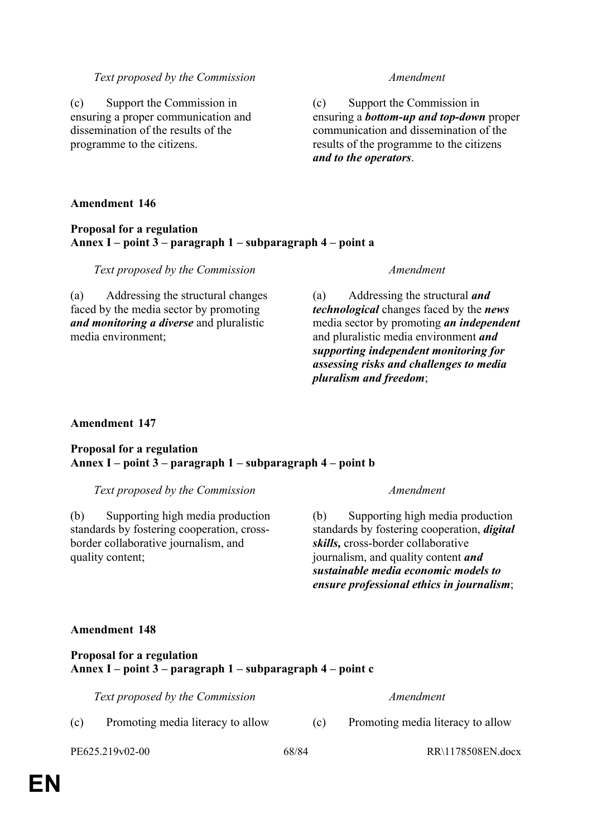(c) Support the Commission in ensuring a proper communication and dissemination of the results of the programme to the citizens.

(c) Support the Commission in ensuring a *bottom-up and top-down* proper communication and dissemination of the results of the programme to the citizens *and to the operators*.

### **Amendment 146**

### **Proposal for a regulation Annex I – point 3 – paragraph 1 – subparagraph 4 – point a**

*Text proposed by the Commission Amendment*

(a) Addressing the structural changes faced by the media sector by promoting *and monitoring a diverse* and pluralistic media environment;

(a) Addressing the structural *and technological* changes faced by the *news* media sector by promoting *an independent* and pluralistic media environment *and supporting independent monitoring for assessing risks and challenges to media pluralism and freedom*;

### **Amendment 147**

### **Proposal for a regulation Annex I – point 3 – paragraph 1 – subparagraph 4 – point b**

*Text proposed by the Commission Amendment*

(b) Supporting high media production standards by fostering cooperation, crossborder collaborative journalism, and quality content;

(b) Supporting high media production standards by fostering cooperation, *digital skills,* cross-border collaborative journalism, and quality content *and sustainable media economic models to ensure professional ethics in journalism*;

### **Amendment 148**

**Proposal for a regulation Annex I – point 3 – paragraph 1 – subparagraph 4 – point c**

*Text proposed by the Commission Amendment*

(c) Promoting media literacy to allow (c) Promoting media literacy to allow

PE625.219v02-00 68/84 RR\1178508EN.docx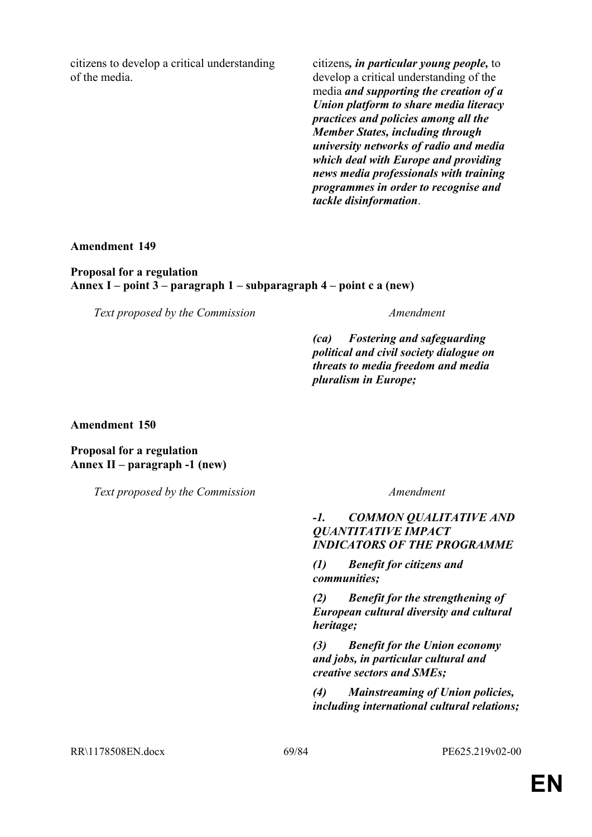citizens to develop a critical understanding of the media.

citizens*, in particular young people,* to develop a critical understanding of the media *and supporting the creation of a Union platform to share media literacy practices and policies among all the Member States, including through university networks of radio and media which deal with Europe and providing news media professionals with training programmes in order to recognise and tackle disinformation*.

**Amendment 149**

**Proposal for a regulation Annex I – point 3 – paragraph 1 – subparagraph 4 – point c a (new)**

*Text proposed by the Commission Amendment*

*(ca) Fostering and safeguarding political and civil society dialogue on threats to media freedom and media pluralism in Europe;*

**Amendment 150**

**Proposal for a regulation Annex II – paragraph -1 (new)**

*Text proposed by the Commission Amendment*

### *-1. COMMON QUALITATIVE AND QUANTITATIVE IMPACT INDICATORS OF THE PROGRAMME*

*(1) Benefit for citizens and communities;*

*(2) Benefit for the strengthening of European cultural diversity and cultural heritage;*

*(3) Benefit for the Union economy and jobs, in particular cultural and creative sectors and SMEs;*

*(4) Mainstreaming of Union policies, including international cultural relations;*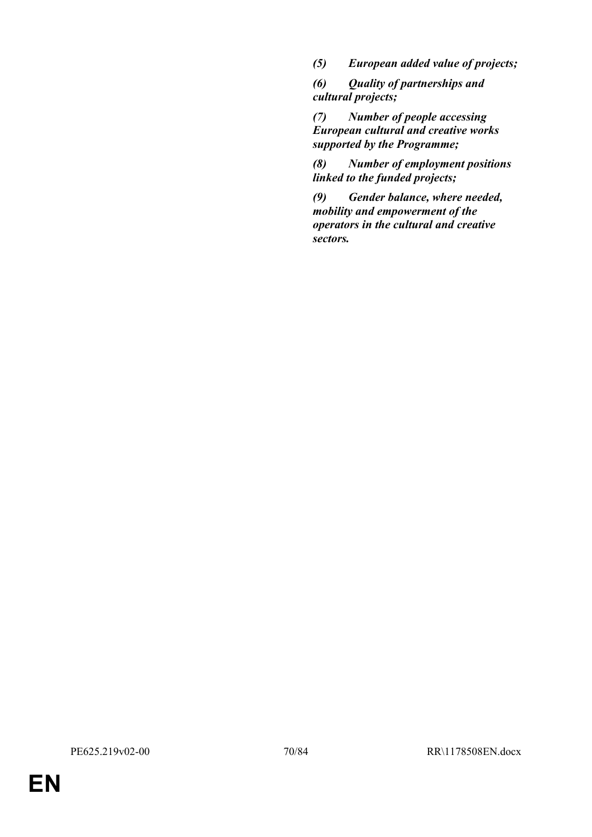*(5) European added value of projects;*

*(6) Quality of partnerships and cultural projects;*

*(7) Number of people accessing European cultural and creative works supported by the Programme;*

*(8) Number of employment positions linked to the funded projects;*

*(9) Gender balance, where needed, mobility and empowerment of the operators in the cultural and creative sectors.*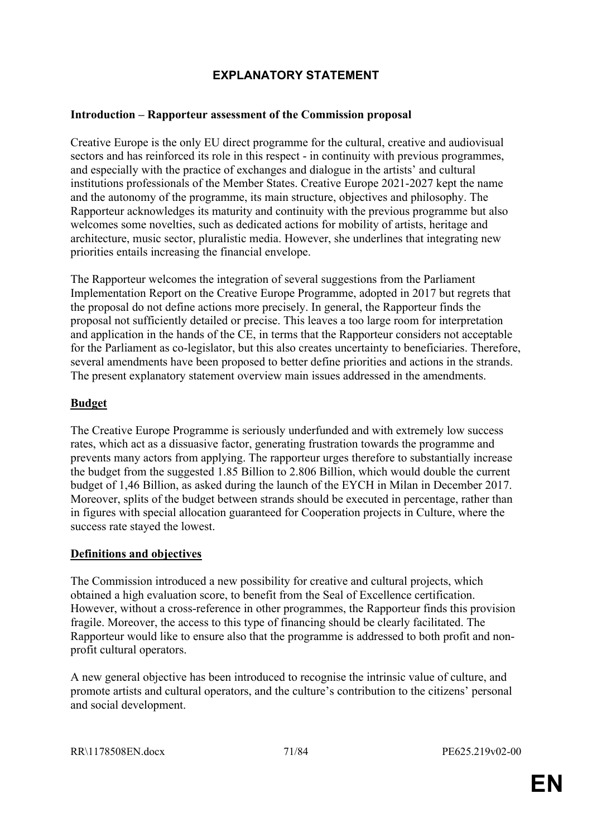# **EXPLANATORY STATEMENT**

# **Introduction – Rapporteur assessment of the Commission proposal**

Creative Europe is the only EU direct programme for the cultural, creative and audiovisual sectors and has reinforced its role in this respect - in continuity with previous programmes, and especially with the practice of exchanges and dialogue in the artists' and cultural institutions professionals of the Member States. Creative Europe 2021-2027 kept the name and the autonomy of the programme, its main structure, objectives and philosophy. The Rapporteur acknowledges its maturity and continuity with the previous programme but also welcomes some novelties, such as dedicated actions for mobility of artists, heritage and architecture, music sector, pluralistic media. However, she underlines that integrating new priorities entails increasing the financial envelope.

The Rapporteur welcomes the integration of several suggestions from the Parliament Implementation Report on the Creative Europe Programme, adopted in 2017 but regrets that the proposal do not define actions more precisely. In general, the Rapporteur finds the proposal not sufficiently detailed or precise. This leaves a too large room for interpretation and application in the hands of the CE, in terms that the Rapporteur considers not acceptable for the Parliament as co-legislator, but this also creates uncertainty to beneficiaries. Therefore, several amendments have been proposed to better define priorities and actions in the strands. The present explanatory statement overview main issues addressed in the amendments.

## **Budget**

The Creative Europe Programme is seriously underfunded and with extremely low success rates, which act as a dissuasive factor, generating frustration towards the programme and prevents many actors from applying. The rapporteur urges therefore to substantially increase the budget from the suggested 1.85 Billion to 2.806 Billion, which would double the current budget of 1,46 Billion, as asked during the launch of the EYCH in Milan in December 2017. Moreover, splits of the budget between strands should be executed in percentage, rather than in figures with special allocation guaranteed for Cooperation projects in Culture, where the success rate stayed the lowest.

# **Definitions and objectives**

The Commission introduced a new possibility for creative and cultural projects, which obtained a high evaluation score, to benefit from the Seal of Excellence certification. However, without a cross-reference in other programmes, the Rapporteur finds this provision fragile. Moreover, the access to this type of financing should be clearly facilitated. The Rapporteur would like to ensure also that the programme is addressed to both profit and nonprofit cultural operators.

A new general objective has been introduced to recognise the intrinsic value of culture, and promote artists and cultural operators, and the culture's contribution to the citizens' personal and social development.

RR\1178508EN.docx 71/84 PE625.219v02-00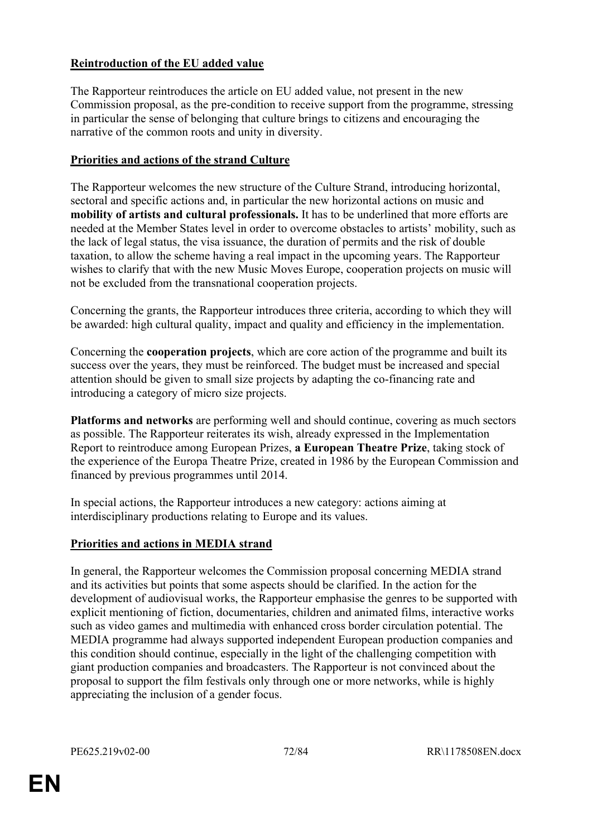# **Reintroduction of the EU added value**

The Rapporteur reintroduces the article on EU added value, not present in the new Commission proposal, as the pre-condition to receive support from the programme, stressing in particular the sense of belonging that culture brings to citizens and encouraging the narrative of the common roots and unity in diversity.

# **Priorities and actions of the strand Culture**

The Rapporteur welcomes the new structure of the Culture Strand, introducing horizontal, sectoral and specific actions and, in particular the new horizontal actions on music and **mobility of artists and cultural professionals.** It has to be underlined that more efforts are needed at the Member States level in order to overcome obstacles to artists' mobility, such as the lack of legal status, the visa issuance, the duration of permits and the risk of double taxation, to allow the scheme having a real impact in the upcoming years. The Rapporteur wishes to clarify that with the new Music Moves Europe, cooperation projects on music will not be excluded from the transnational cooperation projects.

Concerning the grants, the Rapporteur introduces three criteria, according to which they will be awarded: high cultural quality, impact and quality and efficiency in the implementation.

Concerning the **cooperation projects**, which are core action of the programme and built its success over the years, they must be reinforced. The budget must be increased and special attention should be given to small size projects by adapting the co-financing rate and introducing a category of micro size projects.

**Platforms and networks** are performing well and should continue, covering as much sectors as possible. The Rapporteur reiterates its wish, already expressed in the Implementation Report to reintroduce among European Prizes, **a European Theatre Prize**, taking stock of the experience of the Europa Theatre Prize, created in 1986 by the European Commission and financed by previous programmes until 2014.

In special actions, the Rapporteur introduces a new category: actions aiming at interdisciplinary productions relating to Europe and its values.

# **Priorities and actions in MEDIA strand**

In general, the Rapporteur welcomes the Commission proposal concerning MEDIA strand and its activities but points that some aspects should be clarified. In the action for the development of audiovisual works, the Rapporteur emphasise the genres to be supported with explicit mentioning of fiction, documentaries, children and animated films, interactive works such as video games and multimedia with enhanced cross border circulation potential. The MEDIA programme had always supported independent European production companies and this condition should continue, especially in the light of the challenging competition with giant production companies and broadcasters. The Rapporteur is not convinced about the proposal to support the film festivals only through one or more networks, while is highly appreciating the inclusion of a gender focus.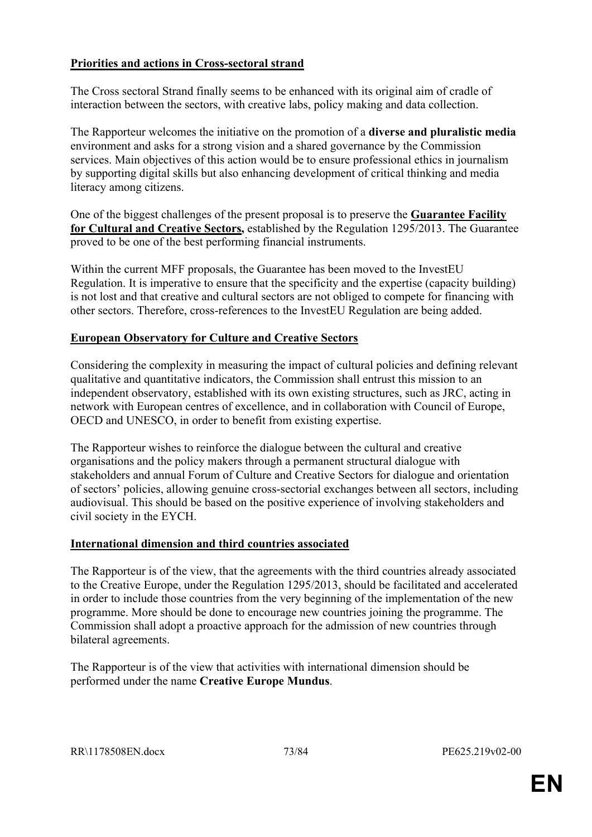# **Priorities and actions in Cross-sectoral strand**

The Cross sectoral Strand finally seems to be enhanced with its original aim of cradle of interaction between the sectors, with creative labs, policy making and data collection.

The Rapporteur welcomes the initiative on the promotion of a **diverse and pluralistic media** environment and asks for a strong vision and a shared governance by the Commission services. Main objectives of this action would be to ensure professional ethics in journalism by supporting digital skills but also enhancing development of critical thinking and media literacy among citizens.

One of the biggest challenges of the present proposal is to preserve the **Guarantee Facility for Cultural and Creative Sectors,** established by the Regulation 1295/2013. The Guarantee proved to be one of the best performing financial instruments.

Within the current MFF proposals, the Guarantee has been moved to the InvestEU Regulation. It is imperative to ensure that the specificity and the expertise (capacity building) is not lost and that creative and cultural sectors are not obliged to compete for financing with other sectors. Therefore, cross-references to the InvestEU Regulation are being added.

# **European Observatory for Culture and Creative Sectors**

Considering the complexity in measuring the impact of cultural policies and defining relevant qualitative and quantitative indicators, the Commission shall entrust this mission to an independent observatory, established with its own existing structures, such as JRC, acting in network with European centres of excellence, and in collaboration with Council of Europe, OECD and UNESCO, in order to benefit from existing expertise.

The Rapporteur wishes to reinforce the dialogue between the cultural and creative organisations and the policy makers through a permanent structural dialogue with stakeholders and annual Forum of Culture and Creative Sectors for dialogue and orientation of sectors' policies, allowing genuine cross-sectorial exchanges between all sectors, including audiovisual. This should be based on the positive experience of involving stakeholders and civil society in the EYCH.

# **International dimension and third countries associated**

The Rapporteur is of the view, that the agreements with the third countries already associated to the Creative Europe, under the Regulation 1295/2013, should be facilitated and accelerated in order to include those countries from the very beginning of the implementation of the new programme. More should be done to encourage new countries joining the programme. The Commission shall adopt a proactive approach for the admission of new countries through bilateral agreements.

The Rapporteur is of the view that activities with international dimension should be performed under the name **Creative Europe Mundus**.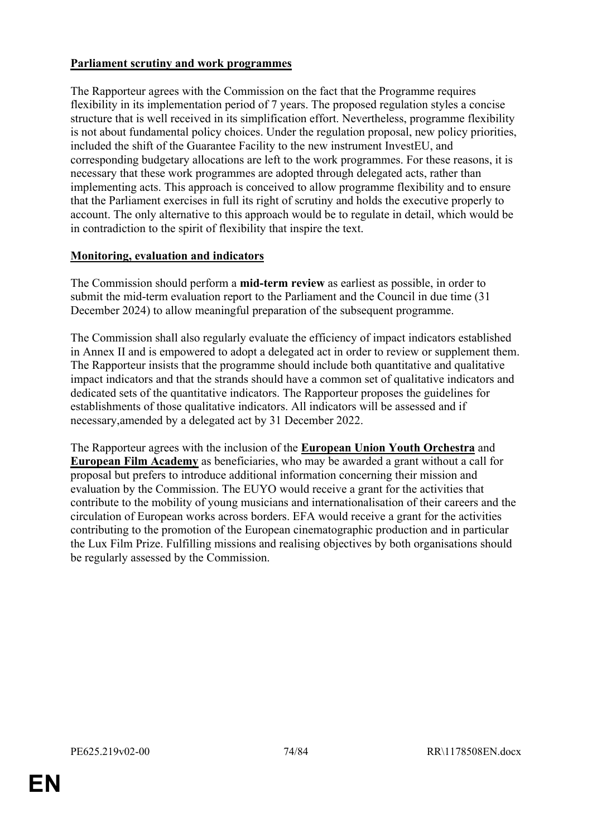# **Parliament scrutiny and work programmes**

The Rapporteur agrees with the Commission on the fact that the Programme requires flexibility in its implementation period of 7 years. The proposed regulation styles a concise structure that is well received in its simplification effort. Nevertheless, programme flexibility is not about fundamental policy choices. Under the regulation proposal, new policy priorities, included the shift of the Guarantee Facility to the new instrument InvestEU, and corresponding budgetary allocations are left to the work programmes. For these reasons, it is necessary that these work programmes are adopted through delegated acts, rather than implementing acts. This approach is conceived to allow programme flexibility and to ensure that the Parliament exercises in full its right of scrutiny and holds the executive properly to account. The only alternative to this approach would be to regulate in detail, which would be in contradiction to the spirit of flexibility that inspire the text.

# **Monitoring, evaluation and indicators**

The Commission should perform a **mid-term review** as earliest as possible, in order to submit the mid-term evaluation report to the Parliament and the Council in due time (31 December 2024) to allow meaningful preparation of the subsequent programme.

The Commission shall also regularly evaluate the efficiency of impact indicators established in Annex II and is empowered to adopt a delegated act in order to review or supplement them. The Rapporteur insists that the programme should include both quantitative and qualitative impact indicators and that the strands should have a common set of qualitative indicators and dedicated sets of the quantitative indicators. The Rapporteur proposes the guidelines for establishments of those qualitative indicators. All indicators will be assessed and if necessary,amended by a delegated act by 31 December 2022.

The Rapporteur agrees with the inclusion of the **European Union Youth Orchestra** and **European Film Academy** as beneficiaries, who may be awarded a grant without a call for proposal but prefers to introduce additional information concerning their mission and evaluation by the Commission. The EUYO would receive a grant for the activities that contribute to the mobility of young musicians and internationalisation of their careers and the circulation of European works across borders. EFA would receive a grant for the activities contributing to the promotion of the European cinematographic production and in particular the Lux Film Prize. Fulfilling missions and realising objectives by both organisations should be regularly assessed by the Commission.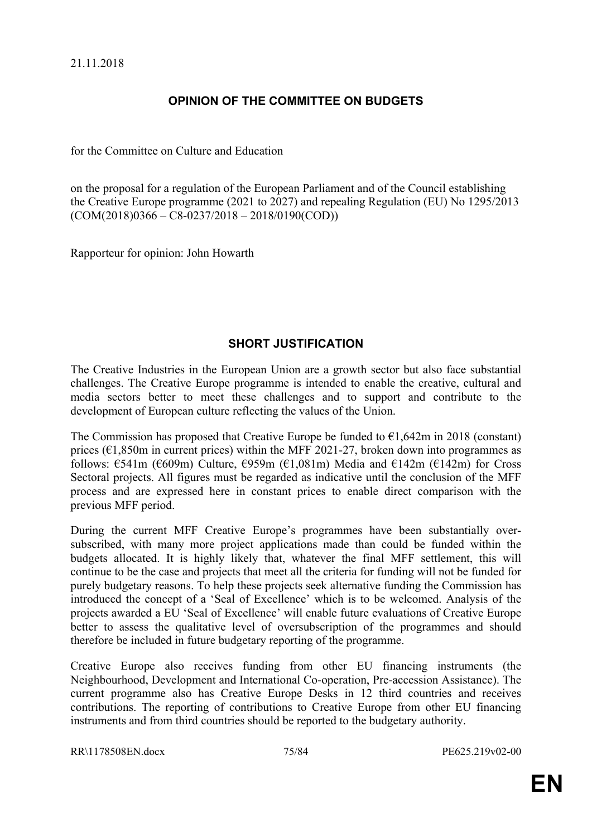# **OPINION OF THE COMMITTEE ON BUDGETS**

for the Committee on Culture and Education

on the proposal for a regulation of the European Parliament and of the Council establishing the Creative Europe programme (2021 to 2027) and repealing Regulation (EU) No 1295/2013  $(COM(2018)0366 - C8-0237/2018 - 2018/0190(COD))$ 

Rapporteur for opinion: John Howarth

# **SHORT JUSTIFICATION**

The Creative Industries in the European Union are a growth sector but also face substantial challenges. The Creative Europe programme is intended to enable the creative, cultural and media sectors better to meet these challenges and to support and contribute to the development of European culture reflecting the values of the Union.

The Commission has proposed that Creative Europe be funded to  $\epsilon$ 1,642m in 2018 (constant) prices ( $\epsilon$ 1,850m in current prices) within the MFF 2021-27, broken down into programmes as follows:  $\epsilon$ 541m ( $\epsilon$ 609m) Culture,  $\epsilon$ 959m ( $\epsilon$ 1,081m) Media and  $\epsilon$ 142m ( $\epsilon$ 142m) for Cross Sectoral projects. All figures must be regarded as indicative until the conclusion of the MFF process and are expressed here in constant prices to enable direct comparison with the previous MFF period.

During the current MFF Creative Europe's programmes have been substantially oversubscribed, with many more project applications made than could be funded within the budgets allocated. It is highly likely that, whatever the final MFF settlement, this will continue to be the case and projects that meet all the criteria for funding will not be funded for purely budgetary reasons. To help these projects seek alternative funding the Commission has introduced the concept of a 'Seal of Excellence' which is to be welcomed. Analysis of the projects awarded a EU 'Seal of Excellence' will enable future evaluations of Creative Europe better to assess the qualitative level of oversubscription of the programmes and should therefore be included in future budgetary reporting of the programme.

Creative Europe also receives funding from other EU financing instruments (the Neighbourhood, Development and International Co-operation, Pre-accession Assistance). The current programme also has Creative Europe Desks in 12 third countries and receives contributions. The reporting of contributions to Creative Europe from other EU financing instruments and from third countries should be reported to the budgetary authority.

```
RR\1178508EN.docx 75/84 PE625.219v02-00
```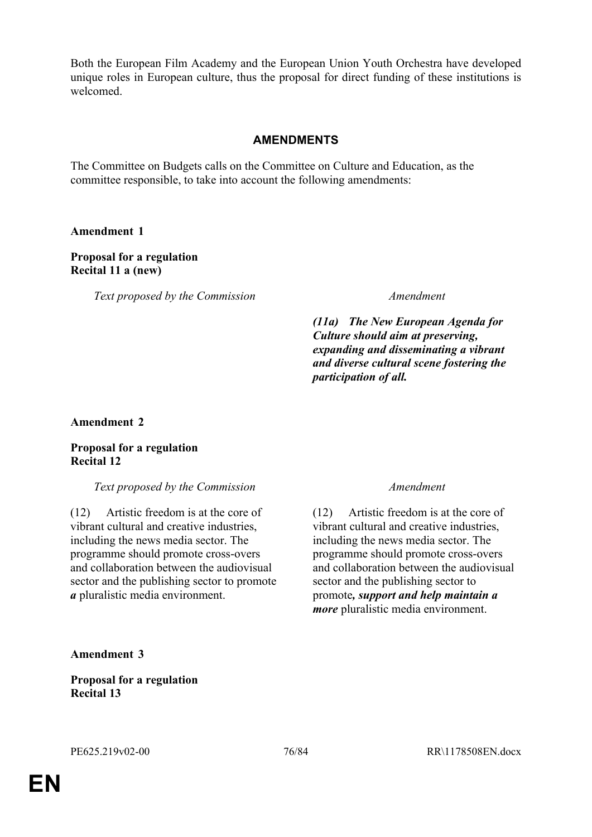Both the European Film Academy and the European Union Youth Orchestra have developed unique roles in European culture, thus the proposal for direct funding of these institutions is welcomed.

# **AMENDMENTS**

The Committee on Budgets calls on the Committee on Culture and Education, as the committee responsible, to take into account the following amendments:

## **Amendment 1**

# **Proposal for a regulation Recital 11 a (new)**

*Text proposed by the Commission Amendment*

*(11a) The New European Agenda for Culture should aim at preserving, expanding and disseminating a vibrant and diverse cultural scene fostering the participation of all.*

## **Amendment 2**

## **Proposal for a regulation Recital 12**

## *Text proposed by the Commission Amendment*

(12) Artistic freedom is at the core of vibrant cultural and creative industries, including the news media sector. The programme should promote cross-overs and collaboration between the audiovisual sector and the publishing sector to promote *a* pluralistic media environment.

(12) Artistic freedom is at the core of vibrant cultural and creative industries, including the news media sector. The programme should promote cross-overs and collaboration between the audiovisual sector and the publishing sector to promote*, support and help maintain a more* pluralistic media environment.

## **Amendment 3**

**Proposal for a regulation Recital 13**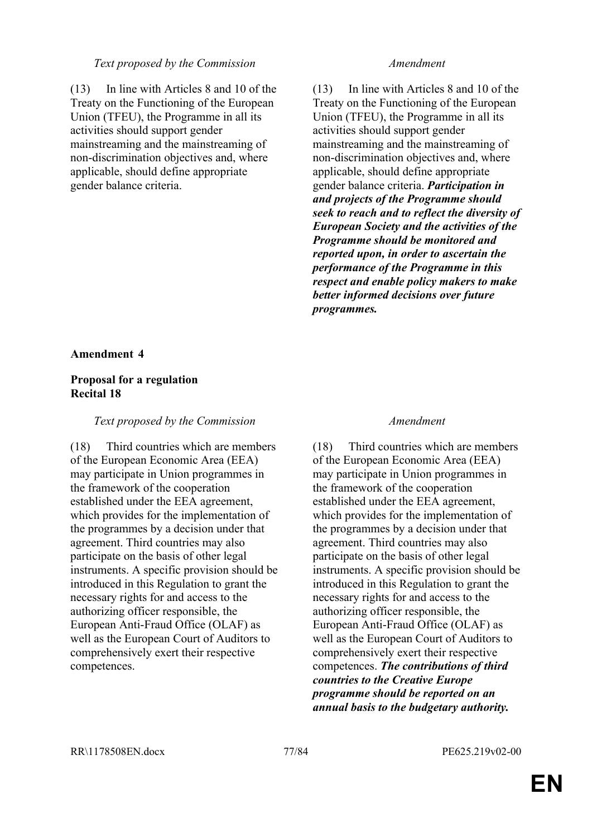## *Text proposed by the Commission Amendment*

(13) In line with Articles 8 and 10 of the Treaty on the Functioning of the European Union (TFEU), the Programme in all its activities should support gender mainstreaming and the mainstreaming of non-discrimination objectives and, where applicable, should define appropriate gender balance criteria.

(13) In line with Articles 8 and 10 of the Treaty on the Functioning of the European Union (TFEU), the Programme in all its activities should support gender mainstreaming and the mainstreaming of non-discrimination objectives and, where applicable, should define appropriate gender balance criteria. *Participation in and projects of the Programme should seek to reach and to reflect the diversity of European Society and the activities of the Programme should be monitored and reported upon, in order to ascertain the performance of the Programme in this respect and enable policy makers to make better informed decisions over future programmes.*

## **Amendment 4**

# **Proposal for a regulation Recital 18**

## *Text proposed by the Commission Amendment*

(18) Third countries which are members of the European Economic Area (EEA) may participate in Union programmes in the framework of the cooperation established under the EEA agreement, which provides for the implementation of the programmes by a decision under that agreement. Third countries may also participate on the basis of other legal instruments. A specific provision should be introduced in this Regulation to grant the necessary rights for and access to the authorizing officer responsible, the European Anti-Fraud Office (OLAF) as well as the European Court of Auditors to comprehensively exert their respective competences.

(18) Third countries which are members of the European Economic Area (EEA) may participate in Union programmes in the framework of the cooperation established under the EEA agreement, which provides for the implementation of the programmes by a decision under that agreement. Third countries may also participate on the basis of other legal instruments. A specific provision should be introduced in this Regulation to grant the necessary rights for and access to the authorizing officer responsible, the European Anti-Fraud Office (OLAF) as well as the European Court of Auditors to comprehensively exert their respective competences. *The contributions of third countries to the Creative Europe programme should be reported on an annual basis to the budgetary authority.*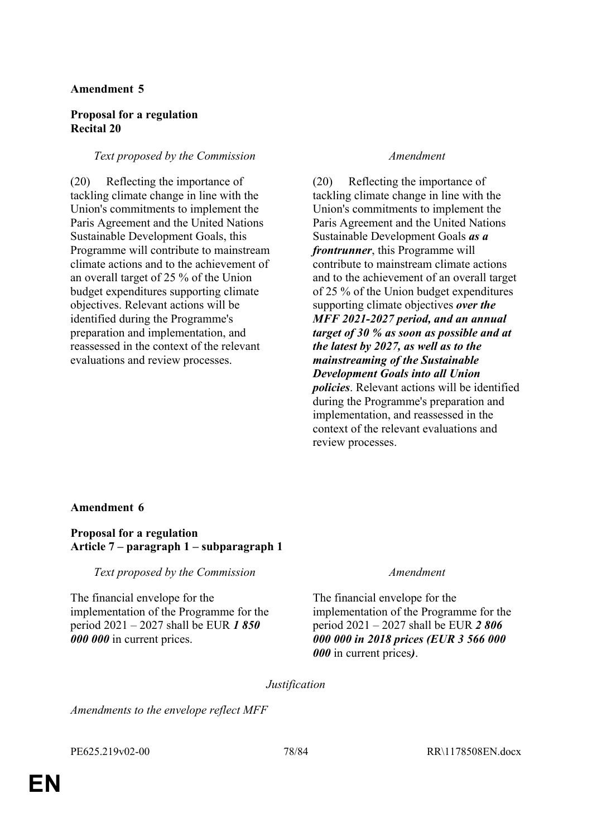# **Amendment 5**

# **Proposal for a regulation Recital 20**

# *Text proposed by the Commission Amendment*

(20) Reflecting the importance of tackling climate change in line with the Union's commitments to implement the Paris Agreement and the United Nations Sustainable Development Goals, this Programme will contribute to mainstream climate actions and to the achievement of an overall target of 25 % of the Union budget expenditures supporting climate objectives. Relevant actions will be identified during the Programme's preparation and implementation, and reassessed in the context of the relevant evaluations and review processes.

(20) Reflecting the importance of tackling climate change in line with the Union's commitments to implement the Paris Agreement and the United Nations Sustainable Development Goals *as a frontrunner*, this Programme will contribute to mainstream climate actions and to the achievement of an overall target of 25 % of the Union budget expenditures supporting climate objectives *over the MFF 2021-2027 period, and an annual target of 30 % as soon as possible and at the latest by 2027, as well as to the mainstreaming of the Sustainable Development Goals into all Union policies*. Relevant actions will be identified during the Programme's preparation and implementation, and reassessed in the context of the relevant evaluations and review processes.

## **Amendment 6**

# **Proposal for a regulation Article 7 – paragraph 1 – subparagraph 1**

*Text proposed by the Commission Amendment*

The financial envelope for the implementation of the Programme for the period 2021 – 2027 shall be EUR *1 850 000 000* in current prices.

The financial envelope for the implementation of the Programme for the period 2021 – 2027 shall be EUR *2 806 000 000 in 2018 prices (EUR 3 566 000 000* in current prices*)*.

*Justification*

*Amendments to the envelope reflect MFF*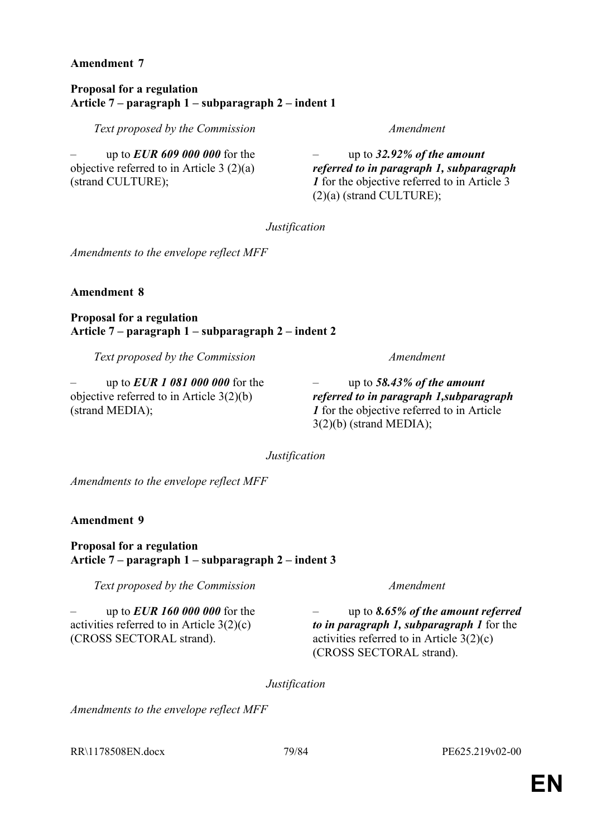## **Amendment 7**

### **Proposal for a regulation Article 7 – paragraph 1 – subparagraph 2 – indent 1**

*Text proposed by the Commission Amendment*

– up to *EUR 609 000 000* for the objective referred to in Article 3 (2)(a) (strand CULTURE);

– up to *32.92% of the amount referred to in paragraph 1, subparagraph 1* for the objective referred to in Article 3 (2)(a) (strand CULTURE);

*Justification*

*Amendments to the envelope reflect MFF*

**Amendment 8**

**Proposal for a regulation Article 7 – paragraph 1 – subparagraph 2 – indent 2**

*Text proposed by the Commission Amendment*

– up to *EUR 1 081 000 000* for the objective referred to in Article 3(2)(b) (strand MEDIA);

– up to *58.43% of the amount referred to in paragraph 1,subparagraph 1* for the objective referred to in Article 3(2)(b) (strand MEDIA);

*Justification*

*Amendments to the envelope reflect MFF*

**Amendment 9**

**Proposal for a regulation Article 7 – paragraph 1 – subparagraph 2 – indent 3**

*Text proposed by the Commission Amendment*

– up to *EUR 160 000 000* for the activities referred to in Article 3(2)(c) (CROSS SECTORAL strand).

– up to *8.65% of the amount referred to in paragraph 1, subparagraph 1* for the activities referred to in Article 3(2)(c) (CROSS SECTORAL strand).

*Justification*

*Amendments to the envelope reflect MFF*

RR\1178508EN.docx 79/84 PE625.219v02-00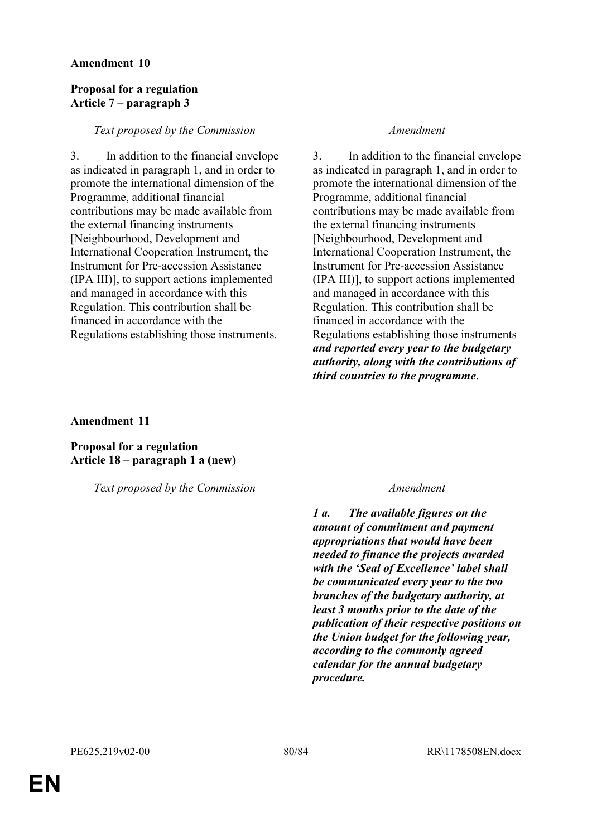## **Amendment 10**

# **Proposal for a regulation Article 7 – paragraph 3**

## *Text proposed by the Commission Amendment*

3. In addition to the financial envelope as indicated in paragraph 1, and in order to promote the international dimension of the Programme, additional financial contributions may be made available from the external financing instruments [Neighbourhood, Development and International Cooperation Instrument, the Instrument for Pre-accession Assistance (IPA III)], to support actions implemented and managed in accordance with this Regulation. This contribution shall be financed in accordance with the Regulations establishing those instruments.

3. In addition to the financial envelope as indicated in paragraph 1, and in order to promote the international dimension of the Programme, additional financial contributions may be made available from the external financing instruments [Neighbourhood, Development and International Cooperation Instrument, the Instrument for Pre-accession Assistance (IPA III)], to support actions implemented and managed in accordance with this Regulation. This contribution shall be financed in accordance with the Regulations establishing those instruments *and reported every year to the budgetary authority, along with the contributions of third countries to the programme*.

**Amendment 11**

**Proposal for a regulation Article 18 – paragraph 1 a (new)**

*Text proposed by the Commission Amendment*

*1 a. The available figures on the amount of commitment and payment appropriations that would have been needed to finance the projects awarded with the 'Seal of Excellence' label shall be communicated every year to the two branches of the budgetary authority, at least 3 months prior to the date of the publication of their respective positions on the Union budget for the following year, according to the commonly agreed calendar for the annual budgetary procedure.*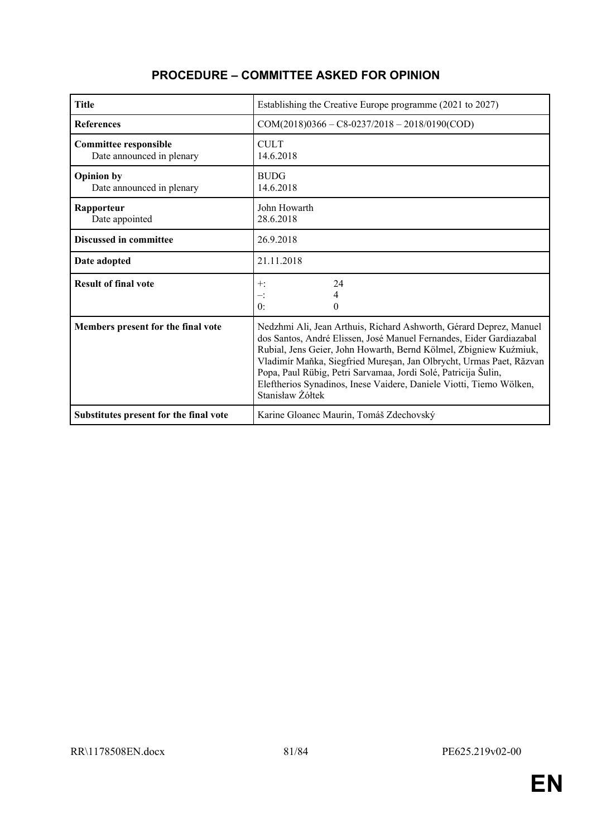| <b>Title</b>                                              | Establishing the Creative Europe programme (2021 to 2027)                                                                                                                                                                                                                                                                                                                                                                                          |  |
|-----------------------------------------------------------|----------------------------------------------------------------------------------------------------------------------------------------------------------------------------------------------------------------------------------------------------------------------------------------------------------------------------------------------------------------------------------------------------------------------------------------------------|--|
| <b>References</b>                                         | $COM(2018)0366 - C8 - 0237/2018 - 2018/0190(COD)$                                                                                                                                                                                                                                                                                                                                                                                                  |  |
| <b>Committee responsible</b><br>Date announced in plenary | <b>CULT</b><br>14.6.2018                                                                                                                                                                                                                                                                                                                                                                                                                           |  |
| <b>Opinion by</b><br>Date announced in plenary            | <b>BUDG</b><br>14.6.2018                                                                                                                                                                                                                                                                                                                                                                                                                           |  |
| Rapporteur<br>Date appointed                              | John Howarth<br>28.6.2018                                                                                                                                                                                                                                                                                                                                                                                                                          |  |
| <b>Discussed in committee</b>                             | 26.9.2018                                                                                                                                                                                                                                                                                                                                                                                                                                          |  |
| Date adopted                                              | 21.11.2018                                                                                                                                                                                                                                                                                                                                                                                                                                         |  |
| <b>Result of final vote</b>                               | 24<br>$+$ :<br>4<br>$-$ :<br>0:<br>0                                                                                                                                                                                                                                                                                                                                                                                                               |  |
| Members present for the final vote                        | Nedzhmi Ali, Jean Arthuis, Richard Ashworth, Gérard Deprez, Manuel<br>dos Santos, André Elissen, José Manuel Fernandes, Eider Gardiazabal<br>Rubial, Jens Geier, John Howarth, Bernd Kölmel, Zbigniew Kuźmiuk,<br>Vladimír Maňka, Siegfried Mureșan, Jan Olbrycht, Urmas Paet, Răzvan<br>Popa, Paul Rübig, Petri Sarvamaa, Jordi Solé, Patricija Šulin,<br>Eleftherios Synadinos, Inese Vaidere, Daniele Viotti, Tiemo Wölken,<br>Stanisław Żółtek |  |
| Substitutes present for the final vote                    | Karine Gloanec Maurin, Tomáš Zdechovský                                                                                                                                                                                                                                                                                                                                                                                                            |  |

# **PROCEDURE – COMMITTEE ASKED FOR OPINION**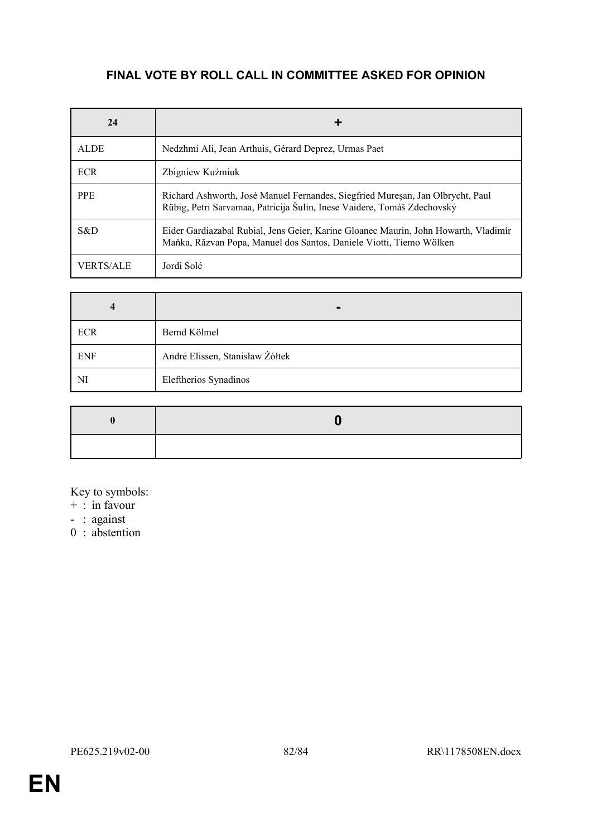# **FINAL VOTE BY ROLL CALL IN COMMITTEE ASKED FOR OPINION**

| 24          |                                                                                                                                                            |
|-------------|------------------------------------------------------------------------------------------------------------------------------------------------------------|
| <b>ALDE</b> | Nedzhmi Ali, Jean Arthuis, Gérard Deprez, Urmas Paet                                                                                                       |
| <b>ECR</b>  | Zbigniew Kuźmiuk                                                                                                                                           |
| <b>PPE</b>  | Richard Ashworth, José Manuel Fernandes, Siegfried Muresan, Jan Olbrycht, Paul<br>Rübig, Petri Sarvamaa, Patricija Šulin, Inese Vaidere, Tomáš Zdechovský  |
| S&D         | Eider Gardiazabal Rubial, Jens Geier, Karine Gloanec Maurin, John Howarth, Vladimír<br>Maňka, Răzvan Popa, Manuel dos Santos, Daniele Viotti, Tiemo Wölken |
| VERTS/ALE   | Jordi Solé                                                                                                                                                 |

| $\overline{\mathbf{4}}$ |                                 |
|-------------------------|---------------------------------|
| <b>ECR</b>              | Bernd Kölmel                    |
| <b>ENF</b>              | André Elissen, Stanisław Żółtek |
| NI                      | Eleftherios Synadinos           |

Key to symbols:

- + : in favour
- : against
- 0 : abstention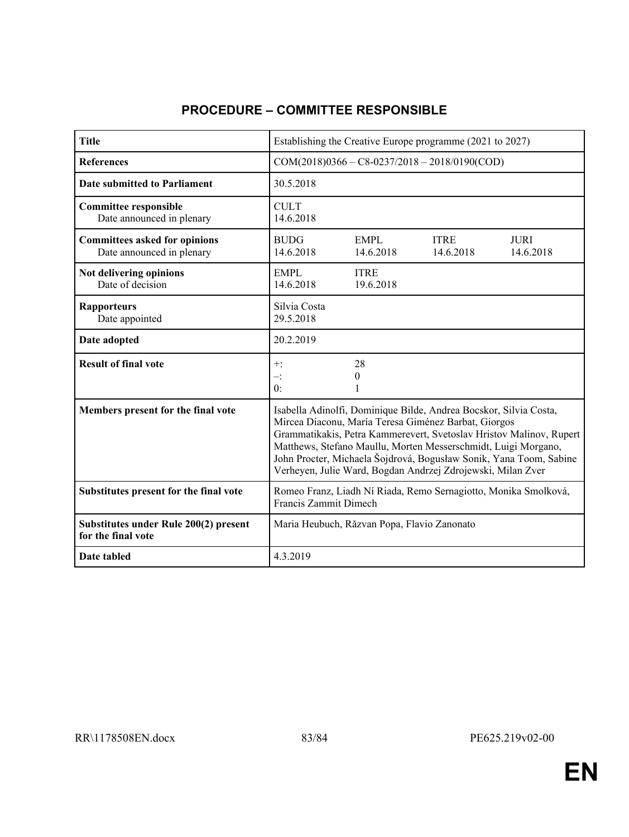| <b>Title</b>                                                      | Establishing the Creative Europe programme (2021 to 2027)                                                                                                                                                                                                                                                                                                                                               |                          |                          |                          |
|-------------------------------------------------------------------|---------------------------------------------------------------------------------------------------------------------------------------------------------------------------------------------------------------------------------------------------------------------------------------------------------------------------------------------------------------------------------------------------------|--------------------------|--------------------------|--------------------------|
| <b>References</b>                                                 | $COM(2018)0366 - C8 - 0237/2018 - 2018/0190(COD)$                                                                                                                                                                                                                                                                                                                                                       |                          |                          |                          |
| <b>Date submitted to Parliament</b>                               | 30.5.2018                                                                                                                                                                                                                                                                                                                                                                                               |                          |                          |                          |
| <b>Committee responsible</b><br>Date announced in plenary         | <b>CULT</b><br>14.6.2018                                                                                                                                                                                                                                                                                                                                                                                |                          |                          |                          |
| <b>Committees asked for opinions</b><br>Date announced in plenary | <b>BUDG</b><br>14.6.2018                                                                                                                                                                                                                                                                                                                                                                                | <b>EMPL</b><br>14.6.2018 | <b>ITRE</b><br>14.6.2018 | <b>JURI</b><br>14.6.2018 |
| Not delivering opinions<br>Date of decision                       | <b>EMPL</b><br>14.6.2018                                                                                                                                                                                                                                                                                                                                                                                | <b>ITRE</b><br>19.6.2018 |                          |                          |
| <b>Rapporteurs</b><br>Date appointed                              | Silvia Costa<br>29.5.2018                                                                                                                                                                                                                                                                                                                                                                               |                          |                          |                          |
| Date adopted                                                      | 20.2.2019                                                                                                                                                                                                                                                                                                                                                                                               |                          |                          |                          |
| <b>Result of final vote</b>                                       | $+$ :<br>$-$ :<br>0:                                                                                                                                                                                                                                                                                                                                                                                    | 28<br>$\theta$           |                          |                          |
| Members present for the final vote                                | Isabella Adinolfi, Dominique Bilde, Andrea Bocskor, Silvia Costa,<br>Mircea Diaconu, María Teresa Giménez Barbat, Giorgos<br>Grammatikakis, Petra Kammerevert, Svetoslav Hristov Malinov, Rupert<br>Matthews, Stefano Maullu, Morten Messerschmidt, Luigi Morgano,<br>John Procter, Michaela Šojdrová, Bogusław Sonik, Yana Toom, Sabine<br>Verheyen, Julie Ward, Bogdan Andrzej Zdrojewski, Milan Zver |                          |                          |                          |
| Substitutes present for the final vote                            | Romeo Franz, Liadh Ní Riada, Remo Sernagiotto, Monika Smolková,<br><b>Francis Zammit Dimech</b>                                                                                                                                                                                                                                                                                                         |                          |                          |                          |
| Substitutes under Rule 200(2) present<br>for the final vote       | Maria Heubuch, Răzvan Popa, Flavio Zanonato                                                                                                                                                                                                                                                                                                                                                             |                          |                          |                          |
| Date tabled                                                       | 4.3.2019                                                                                                                                                                                                                                                                                                                                                                                                |                          |                          |                          |

# **PROCEDURE – COMMITTEE RESPONSIBLE**